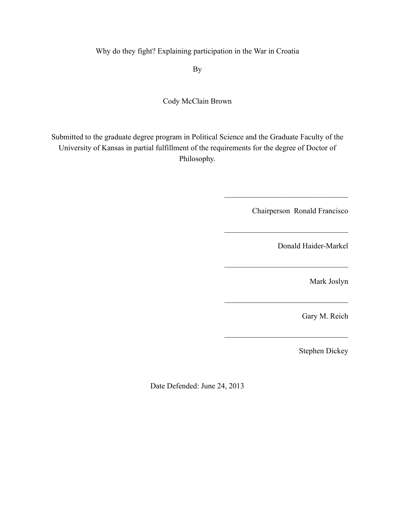Why do they fight? Explaining participation in the War in Croatia

By

## Cody McClain Brown

Submitted to the graduate degree program in Political Science and the Graduate Faculty of the University of Kansas in partial fulfillment of the requirements for the degree of Doctor of Philosophy.

Chairperson Ronald Francisco

 $\mathcal{L}_\text{max}$ 

 $\mathcal{L}_\text{max}$ 

 $\mathcal{L}_\text{max}$ 

 $\mathcal{L}_\text{max}$  , and the set of the set of the set of the set of the set of the set of the set of the set of the set of the set of the set of the set of the set of the set of the set of the set of the set of the set of the

 $\mathcal{L}_\text{max}$  , and the set of the set of the set of the set of the set of the set of the set of the set of the set of the set of the set of the set of the set of the set of the set of the set of the set of the set of the

Donald Haider-Markel

Mark Joslyn

Gary M. Reich

Stephen Dickey

Date Defended: June 24, 2013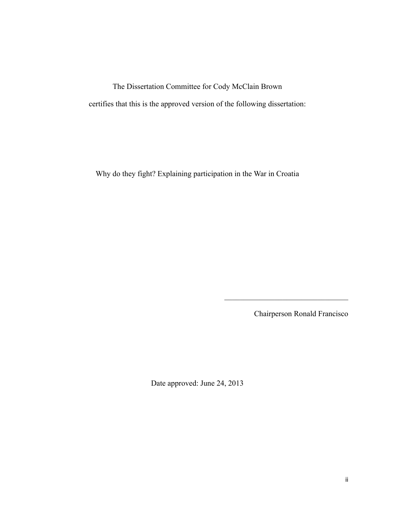The Dissertation Committee for Cody McClain Brown certifies that this is the approved version of the following dissertation:

Why do they fight? Explaining participation in the War in Croatia

Chairperson Ronald Francisco

 $\mathcal{L}_\text{max}$ 

Date approved: June 24, 2013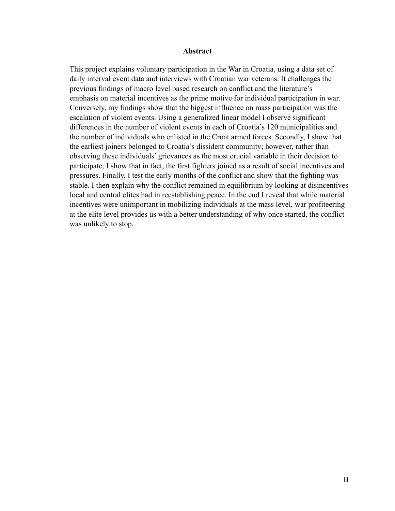#### **Abstract**

 This project explains voluntary participation in the War in Croatia, using a data set of daily interval event data and interviews with Croatian war veterans. It challenges the previous findings of macro level based research on conflict and the literature's emphasis on material incentives as the prime motive for individual participation in war. Conversely, my findings show that the biggest influence on mass participation was the escalation of violent events. Using a generalized linear model I observe significant differences in the number of violent events in each of Croatia's 120 municipalities and the number of individuals who enlisted in the Croat armed forces. Secondly, I show that the earliest joiners belonged to Croatia's dissident community; however, rather than observing these individuals' grievances as the most crucial variable in their decision to participate, I show that in fact, the first fighters joined as a result of social incentives and pressures. Finally, I test the early months of the conflict and show that the fighting was stable. I then explain why the conflict remained in equilibrium by looking at disincentives local and central elites had in reestablishing peace. In the end I reveal that while material incentives were unimportant in mobilizing individuals at the mass level, war profiteering at the elite level provides us with a better understanding of why once started, the conflict was unlikely to stop.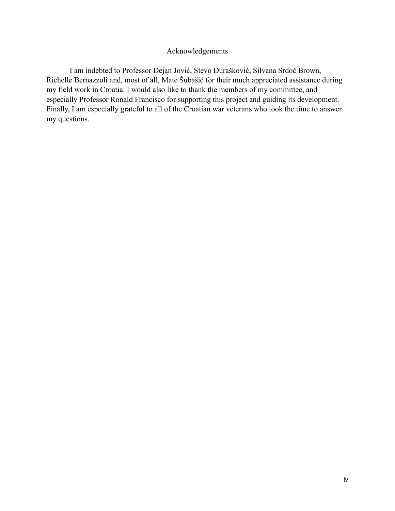## Acknowledgements

 I am indebted to Professor Dejan Jović, Stevo Đurašković, Silvana Srdoč Brown, Richelle Bernazzoli and, most of all, Mate Šubašić for their much appreciated assistance during my field work in Croatia. I would also like to thank the members of my committee, and especially Professor Ronald Francisco for supporting this project and guiding its development. Finally, I am especially grateful to all of the Croatian war veterans who took the time to answer my questions.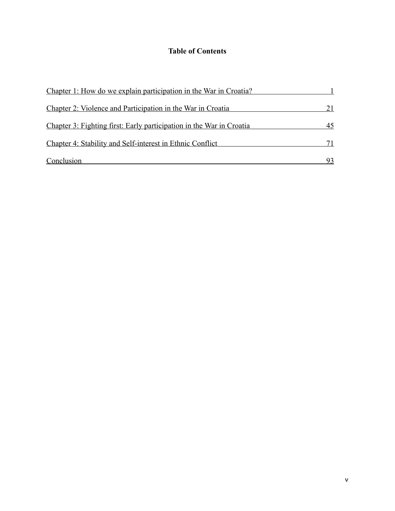## **Table of Contents**

| Chapter 1: How do we explain participation in the War in Croatia?    |    |
|----------------------------------------------------------------------|----|
| Chapter 2: Violence and Participation in the War in Croatia          | 21 |
| Chapter 3: Fighting first: Early participation in the War in Croatia | 45 |
| Chapter 4: Stability and Self-interest in Ethnic Conflict            |    |
| Conclusion                                                           |    |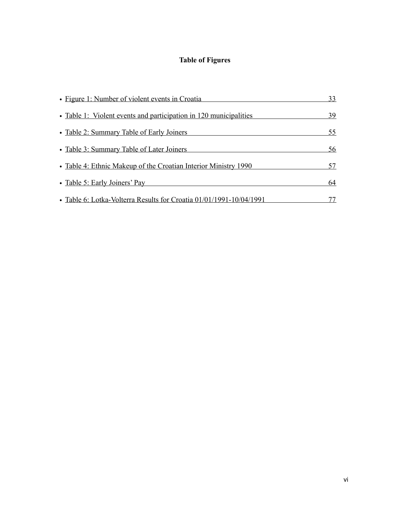# **Table of Figures**

| • Figure 1: Number of violent events in Croatia                                                                                                             | 33             |                                                                 |    |
|-------------------------------------------------------------------------------------------------------------------------------------------------------------|----------------|-----------------------------------------------------------------|----|
| • Table 1: Violent events and participation in 120 municipalities<br>• Table 2: Summary Table of Early Joiners<br>• Table 3: Summary Table of Later Joiners | 39<br>55<br>56 |                                                                 |    |
|                                                                                                                                                             |                | • Table 4: Ethnic Makeup of the Croatian Interior Ministry 1990 | 57 |
|                                                                                                                                                             |                | • Table 5: Early Joiners' Pay                                   | 64 |
| • Table 6: Lotka-Volterra Results for Croatia 01/01/1991-10/04/1991                                                                                         |                |                                                                 |    |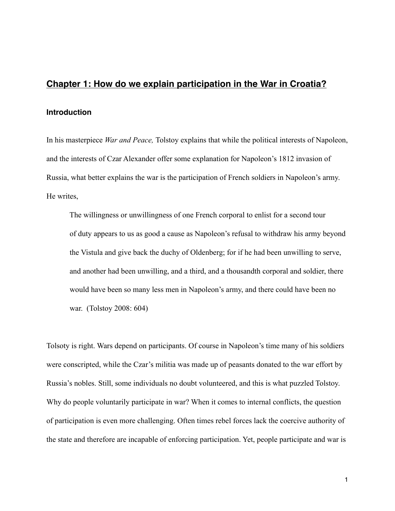## <span id="page-6-0"></span>**Chapter 1: How do we explain participation in the War in Croatia?**

#### **Introduction**

In his masterpiece *War and Peace,* Tolstoy explains that while the political interests of Napoleon, and the interests of Czar Alexander offer some explanation for Napoleon's 1812 invasion of Russia, what better explains the war is the participation of French soldiers in Napoleon's army. He writes,

 The willingness or unwillingness of one French corporal to enlist for a second tour of duty appears to us as good a cause as Napoleon's refusal to withdraw his army beyond the Vistula and give back the duchy of Oldenberg; for if he had been unwilling to serve, and another had been unwilling, and a third, and a thousandth corporal and soldier, there would have been so many less men in Napoleon's army, and there could have been no war. (Tolstoy 2008: 604)

Tolsoty is right. Wars depend on participants. Of course in Napoleon's time many of his soldiers were conscripted, while the Czar's militia was made up of peasants donated to the war effort by Russia's nobles. Still, some individuals no doubt volunteered, and this is what puzzled Tolstoy. Why do people voluntarily participate in war? When it comes to internal conflicts, the question of participation is even more challenging. Often times rebel forces lack the coercive authority of the state and therefore are incapable of enforcing participation. Yet, people participate and war is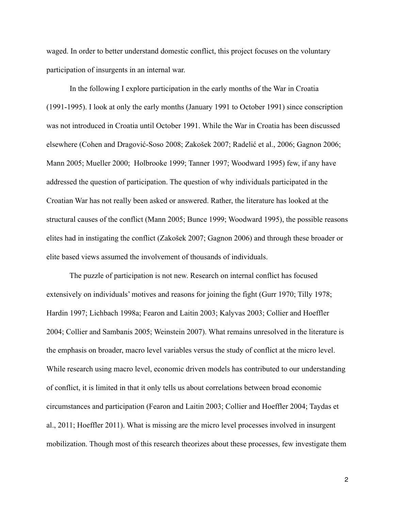waged. In order to better understand domestic conflict, this project focuses on the voluntary participation of insurgents in an internal war.

 In the following I explore participation in the early months of the War in Croatia (1991-1995). I look at only the early months (January 1991 to October 1991) since conscription was not introduced in Croatia until October 1991. While the War in Croatia has been discussed elsewhere (Cohen and Dragović-Soso 2008; Zakošek 2007; Radelić et al., 2006; Gagnon 2006; Mann 2005; Mueller 2000; Holbrooke 1999; Tanner 1997; Woodward 1995) few, if any have addressed the question of participation. The question of why individuals participated in the Croatian War has not really been asked or answered. Rather, the literature has looked at the structural causes of the conflict (Mann 2005; Bunce 1999; Woodward 1995), the possible reasons elites had in instigating the conflict (Zakošek 2007; Gagnon 2006) and through these broader or elite based views assumed the involvement of thousands of individuals.

 The puzzle of participation is not new. Research on internal conflict has focused extensively on individuals' motives and reasons for joining the fight (Gurr 1970; Tilly 1978; Hardin 1997; Lichbach 1998a; Fearon and Laitin 2003; Kalyvas 2003; Collier and Hoeffler 2004; Collier and Sambanis 2005; Weinstein 2007). What remains unresolved in the literature is the emphasis on broader, macro level variables versus the study of conflict at the micro level. While research using macro level, economic driven models has contributed to our understanding of conflict, it is limited in that it only tells us about correlations between broad economic circumstances and participation (Fearon and Laitin 2003; Collier and Hoeffler 2004; Taydas et al., 2011; Hoeffler 2011). What is missing are the micro level processes involved in insurgent mobilization. Though most of this research theorizes about these processes, few investigate them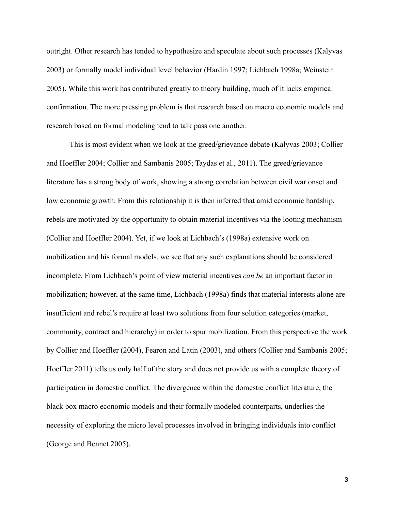outright. Other research has tended to hypothesize and speculate about such processes (Kalyvas 2003) or formally model individual level behavior (Hardin 1997; Lichbach 1998a; Weinstein 2005). While this work has contributed greatly to theory building, much of it lacks empirical confirmation. The more pressing problem is that research based on macro economic models and research based on formal modeling tend to talk pass one another.

 This is most evident when we look at the greed/grievance debate (Kalyvas 2003; Collier and Hoeffler 2004; Collier and Sambanis 2005; Taydas et al., 2011). The greed/grievance literature has a strong body of work, showing a strong correlation between civil war onset and low economic growth. From this relationship it is then inferred that amid economic hardship, rebels are motivated by the opportunity to obtain material incentives via the looting mechanism (Collier and Hoeffler 2004). Yet, if we look at Lichbach's (1998a) extensive work on mobilization and his formal models, we see that any such explanations should be considered incomplete. From Lichbach's point of view material incentives *can be* an important factor in mobilization; however, at the same time, Lichbach (1998a) finds that material interests alone are insufficient and rebel's require at least two solutions from four solution categories (market, community, contract and hierarchy) in order to spur mobilization. From this perspective the work by Collier and Hoeffler (2004), Fearon and Latin (2003), and others (Collier and Sambanis 2005; Hoeffler 2011) tells us only half of the story and does not provide us with a complete theory of participation in domestic conflict. The divergence within the domestic conflict literature, the black box macro economic models and their formally modeled counterparts, underlies the necessity of exploring the micro level processes involved in bringing individuals into conflict (George and Bennet 2005).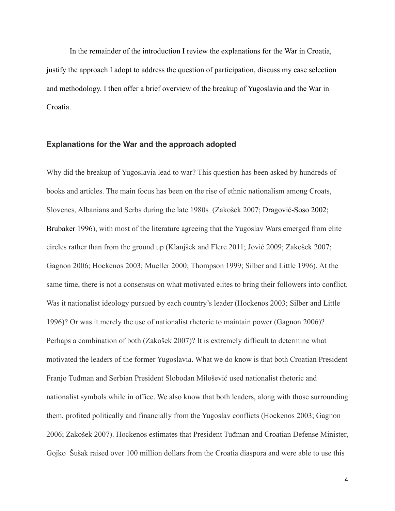In the remainder of the introduction I review the explanations for the War in Croatia, justify the approach I adopt to address the question of participation, discuss my case selection and methodology. I then offer a brief overview of the breakup of Yugoslavia and the War in Croatia.

#### **Explanations for the War and the approach adopted**

Why did the breakup of Yugoslavia lead to war? This question has been asked by hundreds of books and articles. The main focus has been on the rise of ethnic nationalism among Croats, Slovenes, Albanians and Serbs during the late 1980s (Zakošek 2007; Dragović-Soso 2002; Brubaker 1996), with most of the literature agreeing that the Yugoslav Wars emerged from elite circles rather than from the ground up (Klanjšek and Flere 2011; Jović 2009; Zakošek 2007; Gagnon 2006; Hockenos 2003; Mueller 2000; Thompson 1999; Silber and Little 1996). At the same time, there is not a consensus on what motivated elites to bring their followers into conflict. Was it nationalist ideology pursued by each country's leader (Hockenos 2003; Silber and Little 1996)? Or was it merely the use of nationalist rhetoric to maintain power (Gagnon 2006)? Perhaps a combination of both (Zakošek 2007)? It is extremely difficult to determine what motivated the leaders of the former Yugoslavia. What we do know is that both Croatian President Franjo Tuđman and Serbian President Slobodan Milošević used nationalist rhetoric and nationalist symbols while in office. We also know that both leaders, along with those surrounding them, profited politically and financially from the Yugoslav conflicts (Hockenos 2003; Gagnon 2006; Zakošek 2007). Hockenos estimates that President Tuđman and Croatian Defense Minister, Gojko Šušak raised over 100 million dollars from the Croatia diaspora and were able to use this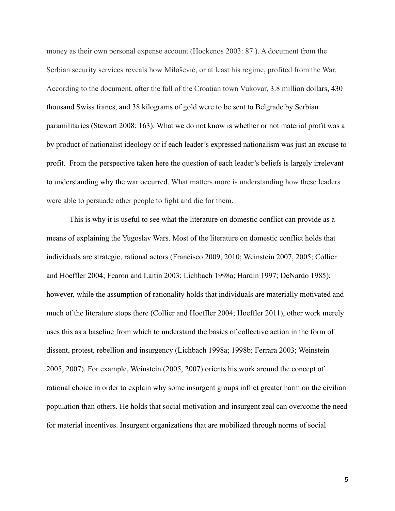money as their own personal expense account (Hockenos 2003: 87 ). A document from the Serbian security services reveals how Milošević, or at least his regime, profited from the War. According to the document, after the fall of the Croatian town Vukovar, 3.8 million dollars, 430 thousand Swiss francs, and 38 kilograms of gold were to be sent to Belgrade by Serbian paramilitaries (Stewart 2008: 163). What we do not know is whether or not material profit was a by product of nationalist ideology or if each leader's expressed nationalism was just an excuse to profit. From the perspective taken here the question of each leader's beliefs is largely irrelevant to understanding why the war occurred. What matters more is understanding how these leaders were able to persuade other people to fight and die for them.

 This is why it is useful to see what the literature on domestic conflict can provide as a means of explaining the Yugoslav Wars. Most of the literature on domestic conflict holds that individuals are strategic, rational actors (Francisco 2009, 2010; Weinstein 2007, 2005; Collier and Hoeffler 2004; Fearon and Laitin 2003; Lichbach 1998a; Hardin 1997; DeNardo 1985); however, while the assumption of rationality holds that individuals are materially motivated and much of the literature stops there (Collier and Hoeffler 2004; Hoeffler 2011), other work merely uses this as a baseline from which to understand the basics of collective action in the form of dissent, protest, rebellion and insurgency (Lichbach 1998a; 1998b; Ferrara 2003; Weinstein 2005, 2007). For example, Weinstein (2005, 2007) orients his work around the concept of rational choice in order to explain why some insurgent groups inflict greater harm on the civilian population than others. He holds that social motivation and insurgent zeal can overcome the need for material incentives. Insurgent organizations that are mobilized through norms of social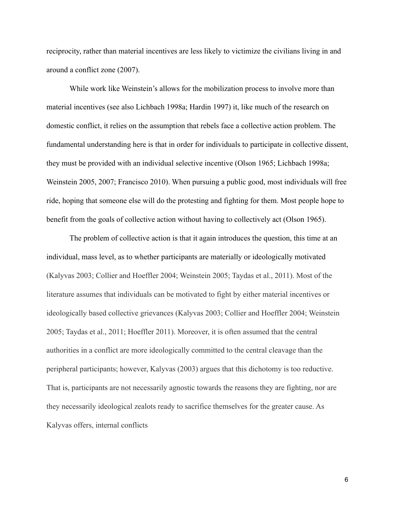reciprocity, rather than material incentives are less likely to victimize the civilians living in and around a conflict zone (2007).

 While work like Weinstein's allows for the mobilization process to involve more than material incentives (see also Lichbach 1998a; Hardin 1997) it, like much of the research on domestic conflict, it relies on the assumption that rebels face a collective action problem. The fundamental understanding here is that in order for individuals to participate in collective dissent, they must be provided with an individual selective incentive (Olson 1965; Lichbach 1998a; Weinstein 2005, 2007; Francisco 2010). When pursuing a public good, most individuals will free ride, hoping that someone else will do the protesting and fighting for them. Most people hope to benefit from the goals of collective action without having to collectively act (Olson 1965).

 The problem of collective action is that it again introduces the question, this time at an individual, mass level, as to whether participants are materially or ideologically motivated (Kalyvas 2003; Collier and Hoeffler 2004; Weinstein 2005; Taydas et al., 2011). Most of the literature assumes that individuals can be motivated to fight by either material incentives or ideologically based collective grievances (Kalyvas 2003; Collier and Hoeffler 2004; Weinstein 2005; Taydas et al., 2011; Hoeffler 2011). Moreover, it is often assumed that the central authorities in a conflict are more ideologically committed to the central cleavage than the peripheral participants; however, Kalyvas (2003) argues that this dichotomy is too reductive. That is, participants are not necessarily agnostic towards the reasons they are fighting, nor are they necessarily ideological zealots ready to sacrifice themselves for the greater cause. As Kalyvas offers, internal conflicts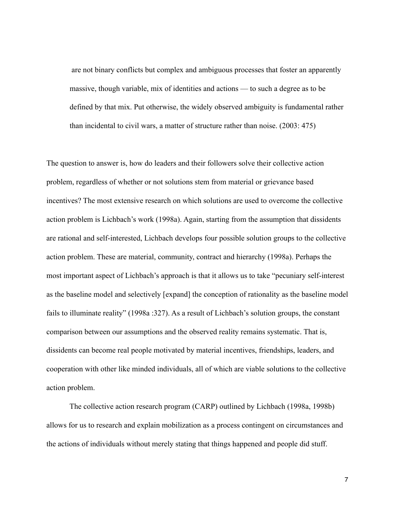are not binary conflicts but complex and ambiguous processes that foster an apparently massive, though variable, mix of identities and actions — to such a degree as to be defined by that mix. Put otherwise, the widely observed ambiguity is fundamental rather than incidental to civil wars, a matter of structure rather than noise. (2003: 475)

The question to answer is, how do leaders and their followers solve their collective action problem, regardless of whether or not solutions stem from material or grievance based incentives? The most extensive research on which solutions are used to overcome the collective action problem is Lichbach's work (1998a). Again, starting from the assumption that dissidents are rational and self-interested, Lichbach develops four possible solution groups to the collective action problem. These are material, community, contract and hierarchy (1998a). Perhaps the most important aspect of Lichbach's approach is that it allows us to take "pecuniary self-interest as the baseline model and selectively [expand] the conception of rationality as the baseline model fails to illuminate reality" (1998a :327). As a result of Lichbach's solution groups, the constant comparison between our assumptions and the observed reality remains systematic. That is, dissidents can become real people motivated by material incentives, friendships, leaders, and cooperation with other like minded individuals, all of which are viable solutions to the collective action problem.

 The collective action research program (CARP) outlined by Lichbach (1998a, 1998b) allows for us to research and explain mobilization as a process contingent on circumstances and the actions of individuals without merely stating that things happened and people did stuff.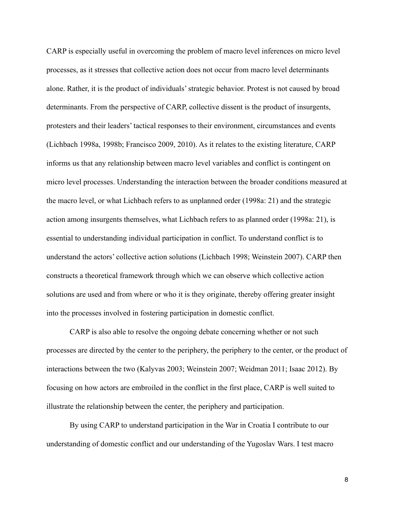CARP is especially useful in overcoming the problem of macro level inferences on micro level processes, as it stresses that collective action does not occur from macro level determinants alone. Rather, it is the product of individuals' strategic behavior. Protest is not caused by broad determinants. From the perspective of CARP, collective dissent is the product of insurgents, protesters and their leaders' tactical responses to their environment, circumstances and events (Lichbach 1998a, 1998b; Francisco 2009, 2010). As it relates to the existing literature, CARP informs us that any relationship between macro level variables and conflict is contingent on micro level processes. Understanding the interaction between the broader conditions measured at the macro level, or what Lichbach refers to as unplanned order (1998a: 21) and the strategic action among insurgents themselves, what Lichbach refers to as planned order (1998a: 21), is essential to understanding individual participation in conflict. To understand conflict is to understand the actors' collective action solutions (Lichbach 1998; Weinstein 2007). CARP then constructs a theoretical framework through which we can observe which collective action solutions are used and from where or who it is they originate, thereby offering greater insight into the processes involved in fostering participation in domestic conflict.

 CARP is also able to resolve the ongoing debate concerning whether or not such processes are directed by the center to the periphery, the periphery to the center, or the product of interactions between the two (Kalyvas 2003; Weinstein 2007; Weidman 2011; Isaac 2012). By focusing on how actors are embroiled in the conflict in the first place, CARP is well suited to illustrate the relationship between the center, the periphery and participation.

 By using CARP to understand participation in the War in Croatia I contribute to our understanding of domestic conflict and our understanding of the Yugoslav Wars. I test macro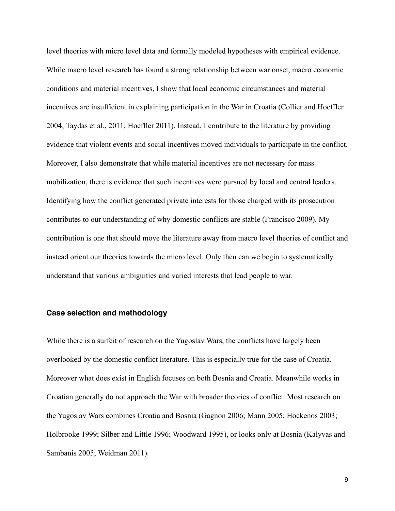level theories with micro level data and formally modeled hypotheses with empirical evidence. While macro level research has found a strong relationship between war onset, macro economic conditions and material incentives, I show that local economic circumstances and material incentives are insufficient in explaining participation in the War in Croatia (Collier and Hoeffler 2004; Taydas et al., 2011; Hoeffler 2011). Instead, I contribute to the literature by providing evidence that violent events and social incentives moved individuals to participate in the conflict. Moreover, I also demonstrate that while material incentives are not necessary for mass mobilization, there is evidence that such incentives were pursued by local and central leaders. Identifying how the conflict generated private interests for those charged with its prosecution contributes to our understanding of why domestic conflicts are stable (Francisco 2009). My contribution is one that should move the literature away from macro level theories of conflict and instead orient our theories towards the micro level. Only then can we begin to systematically understand that various ambiguities and varied interests that lead people to war.

#### **Case selection and methodology**

While there is a surfeit of research on the Yugoslav Wars, the conflicts have largely been overlooked by the domestic conflict literature. This is especially true for the case of Croatia. Moreover what does exist in English focuses on both Bosnia and Croatia. Meanwhile works in Croatian generally do not approach the War with broader theories of conflict. Most research on the Yugoslav Wars combines Croatia and Bosnia (Gagnon 2006; Mann 2005; Hockenos 2003; Holbrooke 1999; Silber and Little 1996; Woodward 1995), or looks only at Bosnia (Kalyvas and Sambanis 2005; Weidman 2011).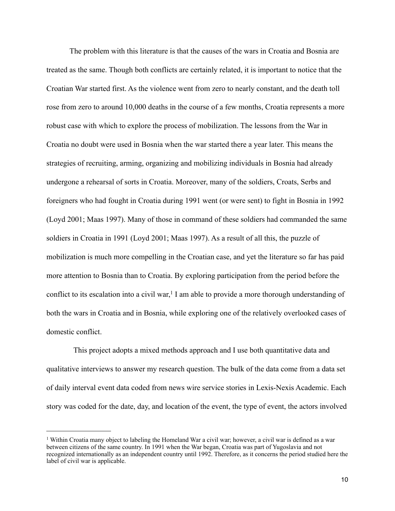The problem with this literature is that the causes of the wars in Croatia and Bosnia are treated as the same. Though both conflicts are certainly related, it is important to notice that the Croatian War started first. As the violence went from zero to nearly constant, and the death toll rose from zero to around 10,000 deaths in the course of a few months, Croatia represents a more robust case with which to explore the process of mobilization. The lessons from the War in Croatia no doubt were used in Bosnia when the war started there a year later. This means the strategies of recruiting, arming, organizing and mobilizing individuals in Bosnia had already undergone a rehearsal of sorts in Croatia. Moreover, many of the soldiers, Croats, Serbs and foreigners who had fought in Croatia during 1991 went (or were sent) to fight in Bosnia in 1992 (Loyd 2001; Maas 1997). Many of those in command of these soldiers had commanded the same soldiers in Croatia in 1991 (Loyd 2001; Maas 1997). As a result of all this, the puzzle of mobilization is much more compelling in the Croatian case, and yet the literature so far has paid more attention to Bosnia than to Croatia. By exploring participation from the period before the conflict to its escalation into a civil war,<sup>1</sup> I am able to provide a more thorough understanding of both the wars in Croatia and in Bosnia, while exploring one of the relatively overlooked cases of domestic conflict.

 This project adopts a mixed methods approach and I use both quantitative data and qualitative interviews to answer my research question. The bulk of the data come from a data set of daily interval event data coded from news wire service stories in Lexis-Nexis Academic. Each story was coded for the date, day, and location of the event, the type of event, the actors involved

<span id="page-15-0"></span><sup>&</sup>lt;sup>1</sup> Within Croatia many object to labeling the Homeland War a civil war; however, a civil war is defined as a war between citizens of the same country. In 1991 when the War began, Croatia was part of Yugoslavia and not recognized internationally as an independent country until 1992. Therefore, as it concerns the period studied here the label of civil war is applicable.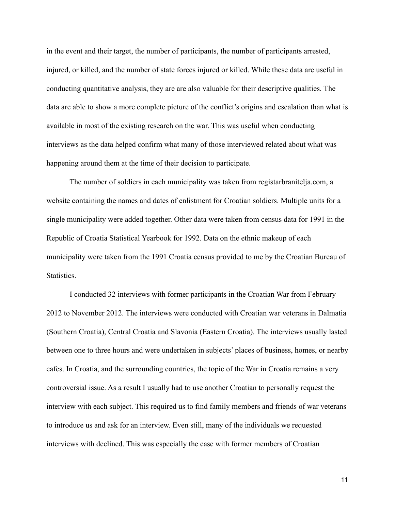in the event and their target, the number of participants, the number of participants arrested, injured, or killed, and the number of state forces injured or killed. While these data are useful in conducting quantitative analysis, they are are also valuable for their descriptive qualities. The data are able to show a more complete picture of the conflict's origins and escalation than what is available in most of the existing research on the war. This was useful when conducting interviews as the data helped confirm what many of those interviewed related about what was happening around them at the time of their decision to participate.

 The number of soldiers in each municipality was taken from registarbranitelja.com, a website containing the names and dates of enlistment for Croatian soldiers. Multiple units for a single municipality were added together. Other data were taken from census data for 1991 in the Republic of Croatia Statistical Yearbook for 1992. Data on the ethnic makeup of each municipality were taken from the 1991 Croatia census provided to me by the Croatian Bureau of Statistics.

 I conducted 32 interviews with former participants in the Croatian War from February 2012 to November 2012. The interviews were conducted with Croatian war veterans in Dalmatia (Southern Croatia), Central Croatia and Slavonia (Eastern Croatia). The interviews usually lasted between one to three hours and were undertaken in subjects' places of business, homes, or nearby cafes. In Croatia, and the surrounding countries, the topic of the War in Croatia remains a very controversial issue. As a result I usually had to use another Croatian to personally request the interview with each subject. This required us to find family members and friends of war veterans to introduce us and ask for an interview. Even still, many of the individuals we requested interviews with declined. This was especially the case with former members of Croatian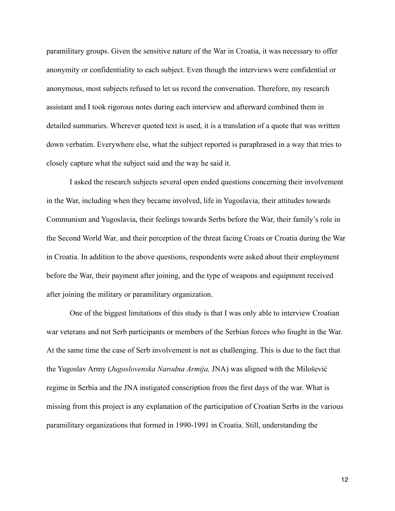paramilitary groups. Given the sensitive nature of the War in Croatia, it was necessary to offer anonymity or confidentiality to each subject. Even though the interviews were confidential or anonymous, most subjects refused to let us record the conversation. Therefore, my research assistant and I took rigorous notes during each interview and afterward combined them in detailed summaries. Wherever quoted text is used, it is a translation of a quote that was written down verbatim. Everywhere else, what the subject reported is paraphrased in a way that tries to closely capture what the subject said and the way he said it.

 I asked the research subjects several open ended questions concerning their involvement in the War, including when they became involved, life in Yugoslavia, their attitudes towards Communism and Yugoslavia, their feelings towards Serbs before the War, their family's role in the Second World War, and their perception of the threat facing Croats or Croatia during the War in Croatia. In addition to the above questions, respondents were asked about their employment before the War, their payment after joining, and the type of weapons and equipment received after joining the military or paramilitary organization.

 One of the biggest limitations of this study is that I was only able to interview Croatian war veterans and not Serb participants or members of the Serbian forces who fought in the War. At the same time the case of Serb involvement is not as challenging. This is due to the fact that the Yugoslav Army (*Jugoslovenska Narodna Armija,* JNA) was aligned with the Мilošević regime in Serbia and the JNA instigated conscription from the first days of the war. What is missing from this project is any explanation of the participation of Croatian Serbs in the various paramilitary organizations that formed in 1990-1991 in Croatia. Still, understanding the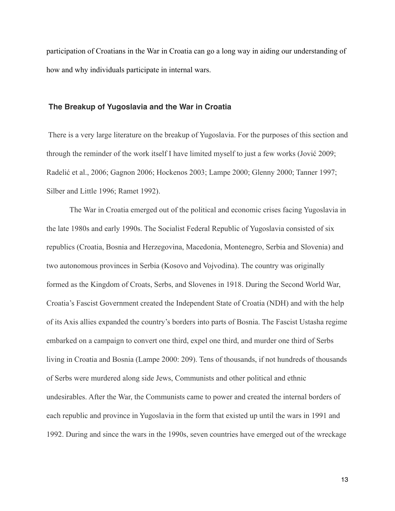participation of Croatians in the War in Croatia can go a long way in aiding our understanding of how and why individuals participate in internal wars.

#### **The Breakup of Yugoslavia and the War in Croatia**

 There is a very large literature on the breakup of Yugoslavia. For the purposes of this section and through the reminder of the work itself I have limited myself to just a few works (Jović 2009; Radelić et al., 2006; Gagnon 2006; Hockenos 2003; Lampe 2000; Glenny 2000; Tanner 1997; Silber and Little 1996; Ramet 1992).

 The War in Croatia emerged out of the political and economic crises facing Yugoslavia in the late 1980s and early 1990s. The Socialist Federal Republic of Yugoslavia consisted of six republics (Croatia, Bosnia and Herzegovina, Macedonia, Montenegro, Serbia and Slovenia) and two autonomous provinces in Serbia (Kosovo and Vojvodina). The country was originally formed as the Kingdom of Croats, Serbs, and Slovenes in 1918. During the Second World War, Croatia's Fascist Government created the Independent State of Croatia (NDH) and with the help of its Axis allies expanded the country's borders into parts of Bosnia. The Fascist Ustasha regime embarked on a campaign to convert one third, expel one third, and murder one third of Serbs living in Croatia and Bosnia (Lampe 2000: 209). Tens of thousands, if not hundreds of thousands of Serbs were murdered along side Jews, Communists and other political and ethnic undesirables. After the War, the Communists came to power and created the internal borders of each republic and province in Yugoslavia in the form that existed up until the wars in 1991 and 1992. During and since the wars in the 1990s, seven countries have emerged out of the wreckage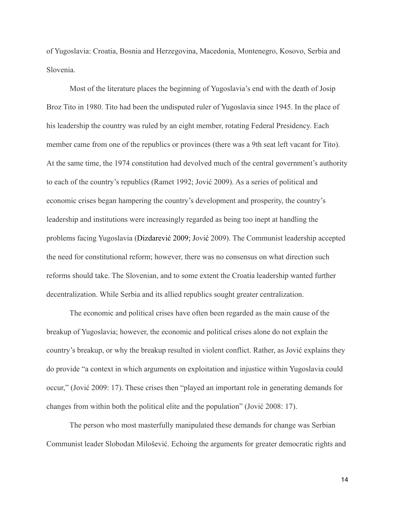of Yugoslavia: Croatia, Bosnia and Herzegovina, Macedonia, Montenegro, Kosovo, Serbia and Slovenia.

 Most of the literature places the beginning of Yugoslavia's end with the death of Josip Broz Tito in 1980. Tito had been the undisputed ruler of Yugoslavia since 1945. In the place of his leadership the country was ruled by an eight member, rotating Federal Presidency. Each member came from one of the republics or provinces (there was a 9th seat left vacant for Tito). At the same time, the 1974 constitution had devolved much of the central government's authority to each of the country's republics (Ramet 1992; Jović 2009). As a series of political and economic crises began hampering the country's development and prosperity, the country's leadership and institutions were increasingly regarded as being too inept at handling the problems facing Yugoslavia (Dizdarević 2009; Jović 2009). The Communist leadership accepted the need for constitutional reform; however, there was no consensus on what direction such reforms should take. The Slovenian, and to some extent the Croatia leadership wanted further decentralization. While Serbia and its allied republics sought greater centralization.

 The economic and political crises have often been regarded as the main cause of the breakup of Yugoslavia; however, the economic and political crises alone do not explain the country's breakup, or why the breakup resulted in violent conflict. Rather, as Jović explains they do provide "a context in which arguments on exploitation and injustice within Yugoslavia could occur," (Jović 2009: 17). These crises then "played an important role in generating demands for changes from within both the political elite and the population" (Jović 2008: 17).

 The person who most masterfully manipulated these demands for change was Serbian Communist leader Slobodan Milošević. Echoing the arguments for greater democratic rights and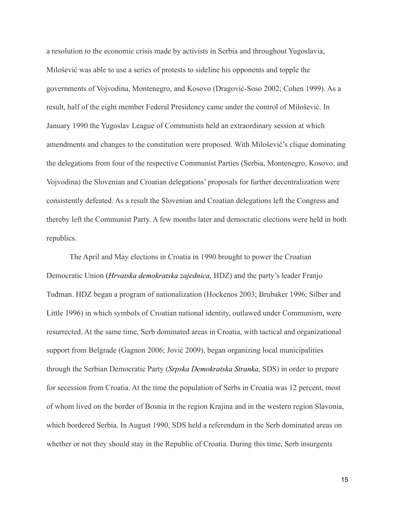a resolution to the economic crisis made by activists in Serbia and throughout Yugoslavia, Milošević was able to use a series of protests to sideline his opponents and topple the governments of Vojvodina, Montenegro, and Kosovo (Dragović-Soso 2002; Cohen 1999). As a result, half of the eight member Federal Presidency came under the control of Milošević. In January 1990 the Yugoslav League of Communists held an extraordinary session at which amendments and changes to the constitution were proposed. With Milošević's clique dominating the delegations from four of the respective Communist Parties (Serbia, Montenegro, Kosovo, and Vojvodina) the Slovenian and Croatian delegations' proposals for further decentralization were consistently defeated. As a result the Slovenian and Croatian delegations left the Congress and thereby left the Communist Party. A few months later and democratic elections were held in both republics.

 The April and May elections in Croatia in 1990 brought to power the Croatian Democratic Union (*Hrvatska demokratska zajednica,* HDZ) and the party's leader Franjo Tuđman. HDZ began a program of nationalization (Hockenos 2003; Brubaker 1996; Silber and Little 1996) in which symbols of Croatian national identity, outlawed under Communism, were resurrected. At the same time, Serb dominated areas in Croatia, with tactical and organizational support from Belgrade (Gagnon 2006; Jović 2009), began organizing local municipalities through the Serbian Democratic Party (*Srpska Demokratska Stranka,* SDS) in order to prepare for secession from Croatia. At the time the population of Serbs in Croatia was 12 percent, most of whom lived on the border of Bosnia in the region Krajina and in the western region Slavonia, which bordered Serbia. In August 1990, SDS held a referendum in the Serb dominated areas on whether or not they should stay in the Republic of Croatia. During this time, Serb insurgents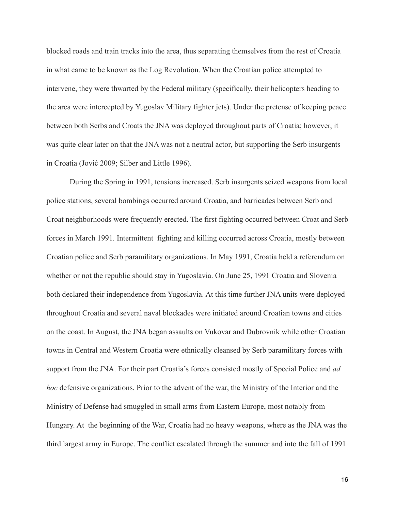blocked roads and train tracks into the area, thus separating themselves from the rest of Croatia in what came to be known as the Log Revolution. When the Croatian police attempted to intervene, they were thwarted by the Federal military (specifically, their helicopters heading to the area were intercepted by Yugoslav Military fighter jets). Under the pretense of keeping peace between both Serbs and Croats the JNA was deployed throughout parts of Croatia; however, it was quite clear later on that the JNA was not a neutral actor, but supporting the Serb insurgents in Croatia (Jović 2009; Silber and Little 1996).

 During the Spring in 1991, tensions increased. Serb insurgents seized weapons from local police stations, several bombings occurred around Croatia, and barricades between Serb and Croat neighborhoods were frequently erected. The first fighting occurred between Croat and Serb forces in March 1991. Intermittent fighting and killing occurred across Croatia, mostly between Croatian police and Serb paramilitary organizations. In May 1991, Croatia held a referendum on whether or not the republic should stay in Yugoslavia. On June 25, 1991 Croatia and Slovenia both declared their independence from Yugoslavia. At this time further JNA units were deployed throughout Croatia and several naval blockades were initiated around Croatian towns and cities on the coast. In August, the JNA began assaults on Vukovar and Dubrovnik while other Croatian towns in Central and Western Croatia were ethnically cleansed by Serb paramilitary forces with support from the JNA. For their part Croatia's forces consisted mostly of Special Police and *ad hoc* defensive organizations. Prior to the advent of the war, the Ministry of the Interior and the Ministry of Defense had smuggled in small arms from Eastern Europe, most notably from Hungary. At the beginning of the War, Croatia had no heavy weapons, where as the JNA was the third largest army in Europe. The conflict escalated through the summer and into the fall of 1991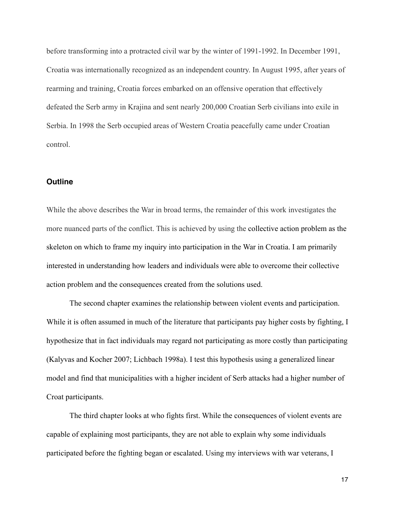before transforming into a protracted civil war by the winter of 1991-1992. In December 1991, Croatia was internationally recognized as an independent country. In August 1995, after years of rearming and training, Croatia forces embarked on an offensive operation that effectively defeated the Serb army in Krajina and sent nearly 200,000 Croatian Serb civilians into exile in Serbia. In 1998 the Serb occupied areas of Western Croatia peacefully came under Croatian control.

#### **Outline**

While the above describes the War in broad terms, the remainder of this work investigates the more nuanced parts of the conflict. This is achieved by using the collective action problem as the skeleton on which to frame my inquiry into participation in the War in Croatia. I am primarily interested in understanding how leaders and individuals were able to overcome their collective action problem and the consequences created from the solutions used.

 The second chapter examines the relationship between violent events and participation. While it is often assumed in much of the literature that participants pay higher costs by fighting, I hypothesize that in fact individuals may regard not participating as more costly than participating (Kalyvas and Kocher 2007; Lichbach 1998a). I test this hypothesis using a generalized linear model and find that municipalities with a higher incident of Serb attacks had a higher number of Croat participants.

 The third chapter looks at who fights first. While the consequences of violent events are capable of explaining most participants, they are not able to explain why some individuals participated before the fighting began or escalated. Using my interviews with war veterans, I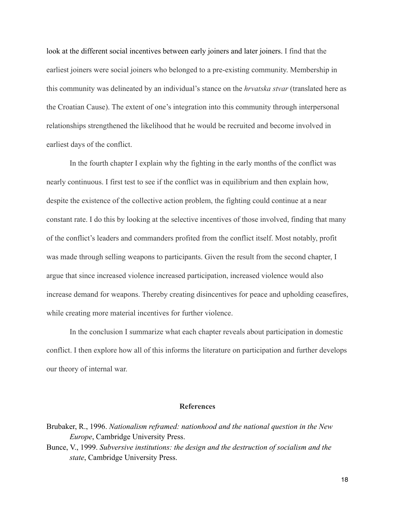look at the different social incentives between early joiners and later joiners. I find that the earliest joiners were social joiners who belonged to a pre-existing community. Membership in this community was delineated by an individual's stance on the *hrvatska stvar* (translated here as the Croatian Cause). The extent of one's integration into this community through interpersonal relationships strengthened the likelihood that he would be recruited and become involved in earliest days of the conflict.

 In the fourth chapter I explain why the fighting in the early months of the conflict was nearly continuous. I first test to see if the conflict was in equilibrium and then explain how, despite the existence of the collective action problem, the fighting could continue at a near constant rate. I do this by looking at the selective incentives of those involved, finding that many of the conflict's leaders and commanders profited from the conflict itself. Most notably, profit was made through selling weapons to participants. Given the result from the second chapter, I argue that since increased violence increased participation, increased violence would also increase demand for weapons. Thereby creating disincentives for peace and upholding ceasefires, while creating more material incentives for further violence.

 In the conclusion I summarize what each chapter reveals about participation in domestic conflict. I then explore how all of this informs the literature on participation and further develops our theory of internal war.

#### **References**

Bunce, V., 1999. *Subversive institutions: the design and the destruction of socialism and the state*, Cambridge University Press.

Brubaker, R., 1996. *Nationalism reframed: nationhood and the national question in the New Europe*, Cambridge University Press.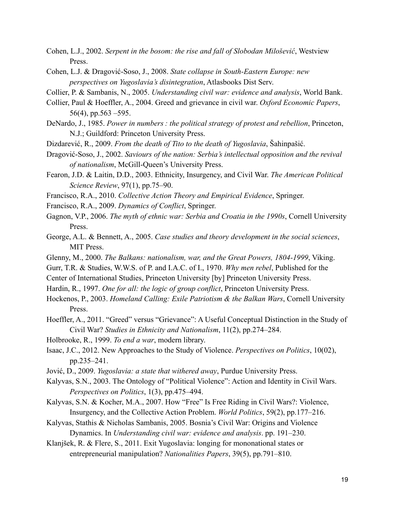- Cohen, L.J., 2002. *Serpent in the bosom: the rise and fall of Slobodan Milošević*, Westview Press.
- Cohen, L.J. & Dragović-Soso, J., 2008. *State collapse in South-Eastern Europe: new perspectives on Yugoslavia's disintegration*, Atlasbooks Dist Serv.
- Collier, P. & Sambanis, N., 2005. *Understanding civil war: evidence and analysis*, World Bank.
- Collier, Paul & Hoeffler, A., 2004. Greed and grievance in civil war. *Oxford Economic Papers*, 56(4), pp.563 –595.
- DeNardo, J., 1985. *Power in numbers : the political strategy of protest and rebellion*, Princeton, N.J.; Guildford: Princeton University Press.
- Dizdarević, R., 2009. *From the death of Tito to the death of Yugoslavia*, Šahinpašić.
- Dragović-Soso, J., 2002. *Saviours of the nation: Serbia's intellectual opposition and the revival of nationalism*, McGill-Queen's University Press.
- Fearon, J.D. & Laitin, D.D., 2003. Ethnicity, Insurgency, and Civil War. *The American Political Science Review*, 97(1), pp.75–90.
- Francisco, R.A., 2010. *Collective Action Theory and Empirical Evidence*, Springer.
- Francisco, R.A., 2009. *Dynamics of Conflict*, Springer.
- Gagnon, V.P., 2006. *The myth of ethnic war: Serbia and Croatia in the 1990s*, Cornell University Press.
- George, A.L. & Bennett, A., 2005. *Case studies and theory development in the social sciences*, **MIT Press.**
- Glenny, M., 2000. *The Balkans: nationalism, war, and the Great Powers, 1804-1999*, Viking.
- Gurr, T.R. & Studies, W.W.S. of P. and I.A.C. of I., 1970. *Why men rebel*, Published for the
- Center of International Studies, Princeton University [by] Princeton University Press.
- Hardin, R., 1997. *One for all: the logic of group conflict*, Princeton University Press.
- Hockenos, P., 2003. *Homeland Calling: Exile Patriotism & the Balkan Wars*, Cornell University Press.
- Hoeffler, A., 2011. "Greed" versus "Grievance": A Useful Conceptual Distinction in the Study of Civil War? *Studies in Ethnicity and Nationalism*, 11(2), pp.274–284.
- Holbrooke, R., 1999. *To end a war*, modern library.
- Isaac, J.C., 2012. New Approaches to the Study of Violence. *Perspectives on Politics*, 10(02), pp.235–241.
- Jović, D., 2009. *Yugoslavia: a state that withered away*, Purdue University Press.
- Kalyvas, S.N., 2003. The Ontology of "Political Violence": Action and Identity in Civil Wars. *Perspectives on Politics*, 1(3), pp.475–494.
- Kalyvas, S.N. & Kocher, M.A., 2007. How "Free" Is Free Riding in Civil Wars?: Violence, Insurgency, and the Collective Action Problem. *World Politics*, 59(2), pp.177–216.
- Kalyvas, Stathis & Nicholas Sambanis, 2005. Bosnia's Civil War: Origins and Violence Dynamics. In *Understanding civil war: evidence and analysis*. pp. 191–230.
- Klanjšek, R. & Flere, S., 2011. Exit Yugoslavia: longing for mononational states or entrepreneurial manipulation? *Nationalities Papers*, 39(5), pp.791–810.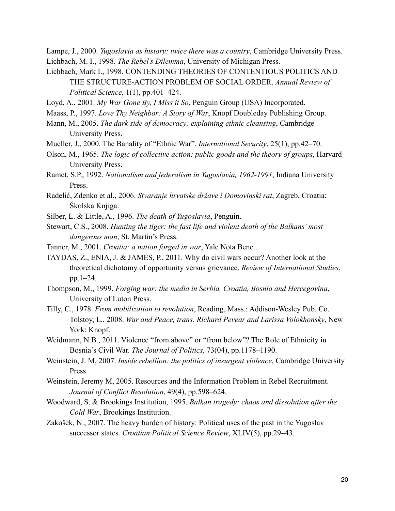Lampe, J., 2000. *Yugoslavia as history: twice there was a country*, Cambridge University Press. Lichbach, M. I., 1998. *The Rebel's Dilemma*, University of Michigan Press.

- Lichbach, Mark I., 1998. CONTENDING THEORIES OF CONTENTIOUS POLITICS AND THE STRUCTURE-ACTION PROBLEM OF SOCIAL ORDER. *Annual Review of Political Science*, 1(1), pp.401–424.
- Loyd, A., 2001. *My War Gone By, I Miss it So*, Penguin Group (USA) Incorporated.
- Maass, P., 1997. *Love Thy Neighbor: A Story of War*, Knopf Doubleday Publishing Group.
- Mann, M., 2005. *The dark side of democracy: explaining ethnic cleansing*, Cambridge University Press.
- Mueller, J., 2000. The Banality of "Ethnic War". *International Security*, 25(1), pp.42–70.
- Olson, M., 1965. *The logic of collective action: public goods and the theory of groups*, Harvard University Press.
- Ramet, S.P., 1992. *Nationalism and federalism in Yugoslavia, 1962-1991*, Indiana University Press.
- Radelić, Zdenko et al., 2006. *Stvaranje hrvatske države i Domovinski rat*, Zagreb, Croatia: Školska Knjiga.
- Silber, L. & Little, A., 1996. *The death of Yugoslavia*, Penguin.
- Stewart, C.S., 2008. *Hunting the tiger: the fast life and violent death of the Balkans' most dangerous man*, St. Martin's Press.
- Tanner, M., 2001. *Croatia: a nation forged in war*, Yale Nota Bene..
- TAYDAS, Z., ENIA, J. & JAMES, P., 2011. Why do civil wars occur? Another look at the theoretical dichotomy of opportunity versus grievance. *Review of International Studies*, pp.1–24.
- Thompson, M., 1999. *Forging war: the media in Serbia, Croatia, Bosnia and Hercegovina*, University of Luton Press.
- Tilly, C., 1978. *From mobilization to revolution*, Reading, Mass.: Addison-Wesley Pub. Co. Tolstoy, L., 2008. *War and Peace, trans. Richard Pevear and Larissa Volokhonsky*, New York: Knopf.
- Weidmann, N.B., 2011. Violence "from above" or "from below"? The Role of Ethnicity in Bosnia's Civil War. *The Journal of Politics*, 73(04), pp.1178–1190.
- Weinstein, J. M, 2007. *Inside rebellion: the politics of insurgent violence*, Cambridge University Press.
- Weinstein, Jeremy M, 2005. Resources and the Information Problem in Rebel Recruitment. *Journal of Conflict Resolution*, 49(4), pp.598–624.
- Woodward, S. & Brookings Institution, 1995. *Balkan tragedy: chaos and dissolution after the Cold War*, Brookings Institution.
- Zakošek, N., 2007. The heavy burden of history: Political uses of the past in the Yugoslav successor states. *Croatian Political Science Review*, XLIV(5), pp.29–43.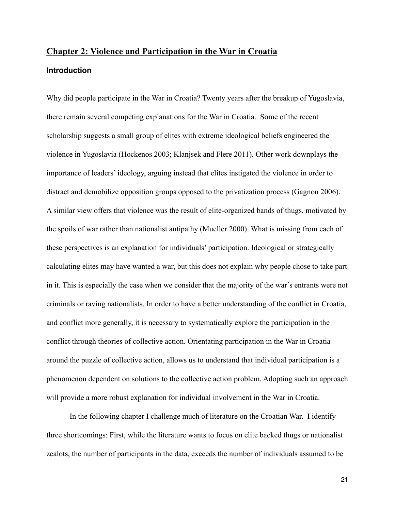# <span id="page-26-0"></span>**Chapter 2: Violence and Participation in the War in Croatia Introduction**

Why did people participate in the War in Croatia? Twenty years after the breakup of Yugoslavia, there remain several competing explanations for the War in Croatia. Some of the recent scholarship suggests a small group of elites with extreme ideological beliefs engineered the violence in Yugoslavia (Hockenos 2003; Klanjsek and Flere 2011). Other work downplays the importance of leaders' ideology, arguing instead that elites instigated the violence in order to distract and demobilize opposition groups opposed to the privatization process (Gagnon 2006). A similar view offers that violence was the result of elite-organized bands of thugs, motivated by the spoils of war rather than nationalist antipathy (Mueller 2000). What is missing from each of these perspectives is an explanation for individuals' participation. Ideological or strategically calculating elites may have wanted a war, but this does not explain why people chose to take part in it. This is especially the case when we consider that the majority of the war's entrants were not criminals or raving nationalists. In order to have a better understanding of the conflict in Croatia, and conflict more generally, it is necessary to systematically explore the participation in the conflict through theories of collective action. Orientating participation in the War in Croatia around the puzzle of collective action, allows us to understand that individual participation is a phenomenon dependent on solutions to the collective action problem. Adopting such an approach will provide a more robust explanation for individual involvement in the War in Croatia.

In the following chapter I challenge much of literature on the Croatian War. I identify three shortcomings: First, while the literature wants to focus on elite backed thugs or nationalist zealots, the number of participants in the data, exceeds the number of individuals assumed to be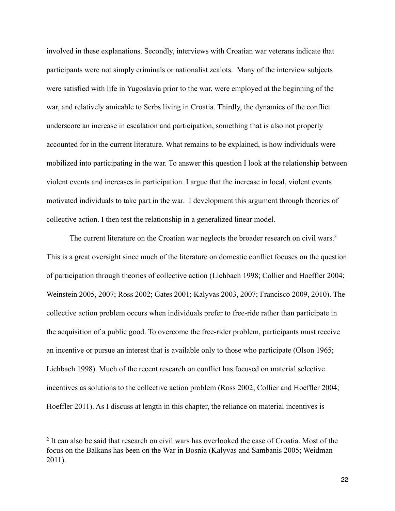involved in these explanations. Secondly, interviews with Croatian war veterans indicate that participants were not simply criminals or nationalist zealots. Many of the interview subjects were satisfied with life in Yugoslavia prior to the war, were employed at the beginning of the war, and relatively amicable to Serbs living in Croatia. Thirdly, the dynamics of the conflict underscore an increase in escalation and participation, something that is also not properly accounted for in the current literature. What remains to be explained, is how individuals were mobilized into participating in the war. To answer this question I look at the relationship between violent events and increases in participation. I argue that the increase in local, violent events motivated individuals to take part in the war. I development this argument through theories of collective action. I then test the relationship in a generalized linear model.

The current literature on the Croatian war neglects the broader research on civil wars.<sup>2</sup> This is a great oversight since much of the literature on domestic conflict focuses on the question of participation through theories of collective action (Lichbach 1998; Collier and Hoeffler 2004; Weinstein 2005, 2007; Ross 2002; Gates 2001; Kalyvas 2003, 2007; Francisco 2009, 2010). The collective action problem occurs when individuals prefer to free-ride rather than participate in the acquisition of a public good. To overcome the free-rider problem, participants must receive an incentive or pursue an interest that is available only to those who participate (Olson 1965; Lichbach 1998). Much of the recent research on conflict has focused on material selective incentives as solutions to the collective action problem (Ross 2002; Collier and Hoeffler 2004; Hoeffler 2011). As I discuss at length in this chapter, the reliance on material incentives is

<span id="page-27-0"></span><sup>&</sup>lt;sup>2</sup> It can also be said that research on civil wars has overlooked the case of Croatia. Most of the focus on the Balkans has been on the War in Bosnia (Kalyvas and Sambanis 2005; Weidman 2011).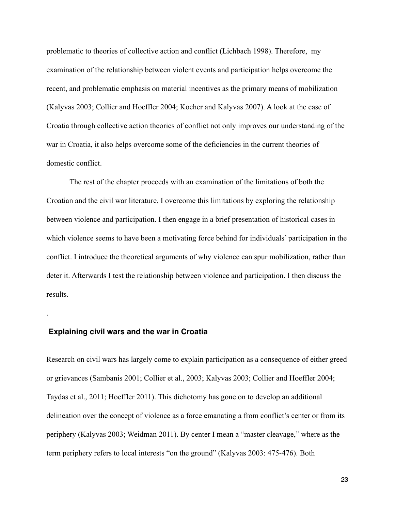problematic to theories of collective action and conflict (Lichbach 1998). Therefore, my examination of the relationship between violent events and participation helps overcome the recent, and problematic emphasis on material incentives as the primary means of mobilization (Kalyvas 2003; Collier and Hoeffler 2004; Kocher and Kalyvas 2007). A look at the case of Croatia through collective action theories of conflict not only improves our understanding of the war in Croatia, it also helps overcome some of the deficiencies in the current theories of domestic conflict.

 The rest of the chapter proceeds with an examination of the limitations of both the Croatian and the civil war literature. I overcome this limitations by exploring the relationship between violence and participation. I then engage in a brief presentation of historical cases in which violence seems to have been a motivating force behind for individuals' participation in the conflict. I introduce the theoretical arguments of why violence can spur mobilization, rather than deter it. Afterwards I test the relationship between violence and participation. I then discuss the results.

#### **Explaining civil wars and the war in Croatia**

.

Research on civil wars has largely come to explain participation as a consequence of either greed or grievances (Sambanis 2001; Collier et al., 2003; Kalyvas 2003; Collier and Hoeffler 2004; Taydas et al., 2011; Hoeffler 2011). This dichotomy has gone on to develop an additional delineation over the concept of violence as a force emanating a from conflict's center or from its periphery (Kalyvas 2003; Weidman 2011). By center I mean a "master cleavage," where as the term periphery refers to local interests "on the ground" (Kalyvas 2003: 475-476). Both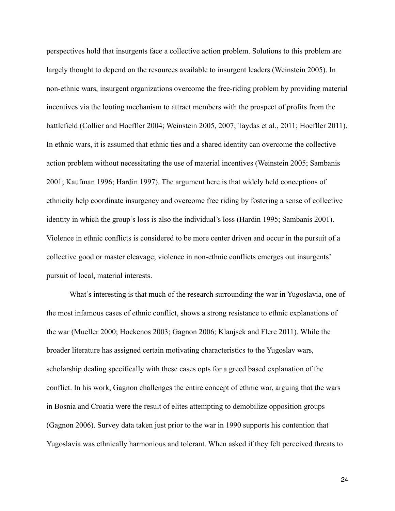perspectives hold that insurgents face a collective action problem. Solutions to this problem are largely thought to depend on the resources available to insurgent leaders (Weinstein 2005). In non-ethnic wars, insurgent organizations overcome the free-riding problem by providing material incentives via the looting mechanism to attract members with the prospect of profits from the battlefield (Collier and Hoeffler 2004; Weinstein 2005, 2007; Taydas et al., 2011; Hoeffler 2011). In ethnic wars, it is assumed that ethnic ties and a shared identity can overcome the collective action problem without necessitating the use of material incentives (Weinstein 2005; Sambanis 2001; Kaufman 1996; Hardin 1997). The argument here is that widely held conceptions of ethnicity help coordinate insurgency and overcome free riding by fostering a sense of collective identity in which the group's loss is also the individual's loss (Hardin 1995; Sambanis 2001). Violence in ethnic conflicts is considered to be more center driven and occur in the pursuit of a collective good or master cleavage; violence in non-ethnic conflicts emerges out insurgents' pursuit of local, material interests.

 What's interesting is that much of the research surrounding the war in Yugoslavia, one of the most infamous cases of ethnic conflict, shows a strong resistance to ethnic explanations of the war (Mueller 2000; Hockenos 2003; Gagnon 2006; Klanjsek and Flere 2011). While the broader literature has assigned certain motivating characteristics to the Yugoslav wars, scholarship dealing specifically with these cases opts for a greed based explanation of the conflict. In his work, Gagnon challenges the entire concept of ethnic war, arguing that the wars in Bosnia and Croatia were the result of elites attempting to demobilize opposition groups (Gagnon 2006). Survey data taken just prior to the war in 1990 supports his contention that Yugoslavia was ethnically harmonious and tolerant. When asked if they felt perceived threats to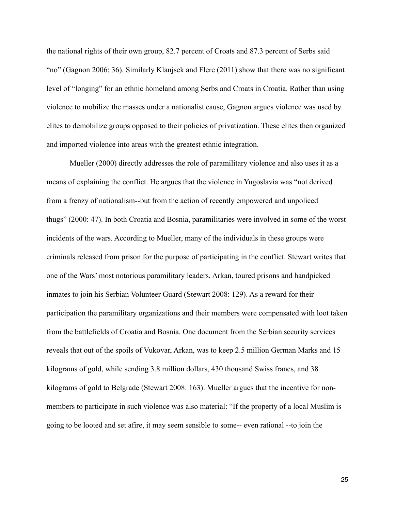the national rights of their own group, 82.7 percent of Croats and 87.3 percent of Serbs said "no" (Gagnon 2006: 36). Similarly Klanjsek and Flere (2011) show that there was no significant level of "longing" for an ethnic homeland among Serbs and Croats in Croatia. Rather than using violence to mobilize the masses under a nationalist cause, Gagnon argues violence was used by elites to demobilize groups opposed to their policies of privatization. These elites then organized and imported violence into areas with the greatest ethnic integration.

 Mueller (2000) directly addresses the role of paramilitary violence and also uses it as a means of explaining the conflict. He argues that the violence in Yugoslavia was "not derived from a frenzy of nationalism--but from the action of recently empowered and unpoliced thugs" (2000: 47). In both Croatia and Bosnia, paramilitaries were involved in some of the worst incidents of the wars. According to Mueller, many of the individuals in these groups were criminals released from prison for the purpose of participating in the conflict. Stewart writes that one of the Wars' most notorious paramilitary leaders, Arkan, toured prisons and handpicked inmates to join his Serbian Volunteer Guard (Stewart 2008: 129). As a reward for their participation the paramilitary organizations and their members were compensated with loot taken from the battlefields of Croatia and Bosnia. One document from the Serbian security services reveals that out of the spoils of Vukovar, Arkan, was to keep 2.5 million German Marks and 15 kilograms of gold, while sending 3.8 million dollars, 430 thousand Swiss francs, and 38 kilograms of gold to Belgrade (Stewart 2008: 163). Mueller argues that the incentive for nonmembers to participate in such violence was also material: "If the property of a local Muslim is going to be looted and set afire, it may seem sensible to some-- even rational --to join the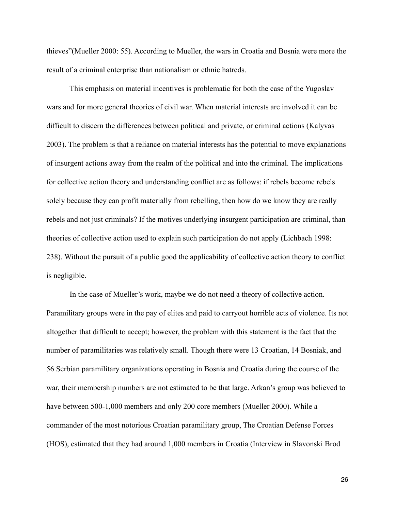thieves"(Mueller 2000: 55). According to Mueller, the wars in Croatia and Bosnia were more the result of a criminal enterprise than nationalism or ethnic hatreds.

 This emphasis on material incentives is problematic for both the case of the Yugoslav wars and for more general theories of civil war. When material interests are involved it can be difficult to discern the differences between political and private, or criminal actions (Kalyvas 2003). The problem is that a reliance on material interests has the potential to move explanations of insurgent actions away from the realm of the political and into the criminal. The implications for collective action theory and understanding conflict are as follows: if rebels become rebels solely because they can profit materially from rebelling, then how do we know they are really rebels and not just criminals? If the motives underlying insurgent participation are criminal, than theories of collective action used to explain such participation do not apply (Lichbach 1998: 238). Without the pursuit of a public good the applicability of collective action theory to conflict is negligible.

 In the case of Mueller's work, maybe we do not need a theory of collective action. Paramilitary groups were in the pay of elites and paid to carryout horrible acts of violence. Its not altogether that difficult to accept; however, the problem with this statement is the fact that the number of paramilitaries was relatively small. Though there were 13 Croatian, 14 Bosniak, and 56 Serbian paramilitary organizations operating in Bosnia and Croatia during the course of the war, their membership numbers are not estimated to be that large. Arkan's group was believed to have between 500-1,000 members and only 200 core members (Mueller 2000). While a commander of the most notorious Croatian paramilitary group, The Croatian Defense Forces (HOS), estimated that they had around 1,000 members in Croatia (Interview in Slavonski Brod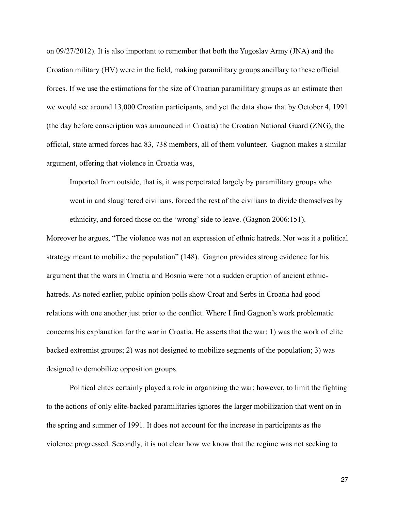on 09/27/2012). It is also important to remember that both the Yugoslav Army (JNA) and the Croatian military (HV) were in the field, making paramilitary groups ancillary to these official forces. If we use the estimations for the size of Croatian paramilitary groups as an estimate then we would see around 13,000 Croatian participants, and yet the data show that by October 4, 1991 (the day before conscription was announced in Croatia) the Croatian National Guard (ZNG), the official, state armed forces had 83, 738 members, all of them volunteer. Gagnon makes a similar argument, offering that violence in Croatia was,

 Imported from outside, that is, it was perpetrated largely by paramilitary groups who went in and slaughtered civilians, forced the rest of the civilians to divide themselves by ethnicity, and forced those on the 'wrong' side to leave. (Gagnon 2006:151).

Moreover he argues, "The violence was not an expression of ethnic hatreds. Nor was it a political strategy meant to mobilize the population" (148). Gagnon provides strong evidence for his argument that the wars in Croatia and Bosnia were not a sudden eruption of ancient ethnichatreds. As noted earlier, public opinion polls show Croat and Serbs in Croatia had good relations with one another just prior to the conflict. Where I find Gagnon's work problematic concerns his explanation for the war in Croatia. He asserts that the war: 1) was the work of elite backed extremist groups; 2) was not designed to mobilize segments of the population; 3) was designed to demobilize opposition groups.

 Political elites certainly played a role in organizing the war; however, to limit the fighting to the actions of only elite-backed paramilitaries ignores the larger mobilization that went on in the spring and summer of 1991. It does not account for the increase in participants as the violence progressed. Secondly, it is not clear how we know that the regime was not seeking to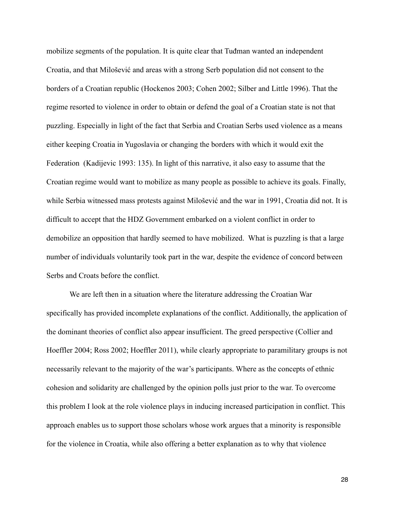mobilize segments of the population. It is quite clear that Tuđman wanted an independent Croatia, and that Milošević and areas with a strong Serb population did not consent to the borders of a Croatian republic (Hockenos 2003; Cohen 2002; Silber and Little 1996). That the regime resorted to violence in order to obtain or defend the goal of a Croatian state is not that puzzling. Especially in light of the fact that Serbia and Croatian Serbs used violence as a means either keeping Croatia in Yugoslavia or changing the borders with which it would exit the Federation (Kadijevic 1993: 135). In light of this narrative, it also easy to assume that the Croatian regime would want to mobilize as many people as possible to achieve its goals. Finally, while Serbia witnessed mass protests against Milošević and the war in 1991, Croatia did not. It is difficult to accept that the HDZ Government embarked on a violent conflict in order to demobilize an opposition that hardly seemed to have mobilized. What is puzzling is that a large number of individuals voluntarily took part in the war, despite the evidence of concord between Serbs and Croats before the conflict.

 We are left then in a situation where the literature addressing the Croatian War specifically has provided incomplete explanations of the conflict. Additionally, the application of the dominant theories of conflict also appear insufficient. The greed perspective (Collier and Hoeffler 2004; Ross 2002; Hoeffler 2011), while clearly appropriate to paramilitary groups is not necessarily relevant to the majority of the war's participants. Where as the concepts of ethnic cohesion and solidarity are challenged by the opinion polls just prior to the war. To overcome this problem I look at the role violence plays in inducing increased participation in conflict. This approach enables us to support those scholars whose work argues that a minority is responsible for the violence in Croatia, while also offering a better explanation as to why that violence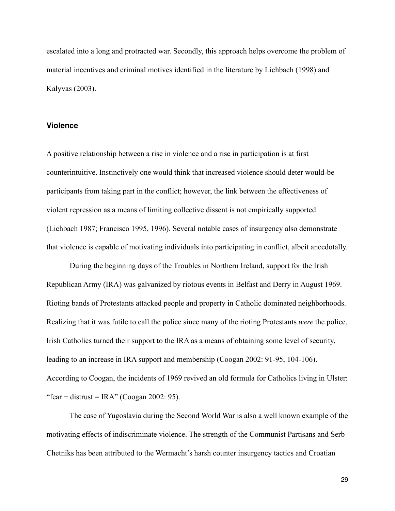escalated into a long and protracted war. Secondly, this approach helps overcome the problem of material incentives and criminal motives identified in the literature by Lichbach (1998) and Kalyvas (2003).

#### **Violence**

A positive relationship between a rise in violence and a rise in participation is at first counterintuitive. Instinctively one would think that increased violence should deter would-be participants from taking part in the conflict; however, the link between the effectiveness of violent repression as a means of limiting collective dissent is not empirically supported (Lichbach 1987; Francisco 1995, 1996). Several notable cases of insurgency also demonstrate that violence is capable of motivating individuals into participating in conflict, albeit anecdotally.

 During the beginning days of the Troubles in Northern Ireland, support for the Irish Republican Army (IRA) was galvanized by riotous events in Belfast and Derry in August 1969. Rioting bands of Protestants attacked people and property in Catholic dominated neighborhoods. Realizing that it was futile to call the police since many of the rioting Protestants *were* the police, Irish Catholics turned their support to the IRA as a means of obtaining some level of security, leading to an increase in IRA support and membership (Coogan 2002: 91-95, 104-106). According to Coogan, the incidents of 1969 revived an old formula for Catholics living in Ulster: "fear + distrust = IRA" (Coogan 2002: 95).

 The case of Yugoslavia during the Second World War is also a well known example of the motivating effects of indiscriminate violence. The strength of the Communist Partisans and Serb Chetniks has been attributed to the Wermacht's harsh counter insurgency tactics and Croatian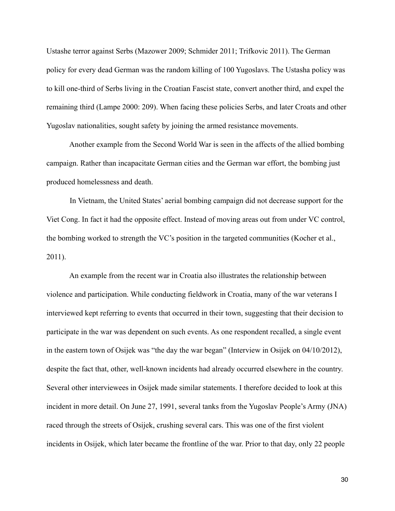Ustashe terror against Serbs (Mazower 2009; Schmider 2011; Trifkovic 2011). The German policy for every dead German was the random killing of 100 Yugoslavs. The Ustasha policy was to kill one-third of Serbs living in the Croatian Fascist state, convert another third, and expel the remaining third (Lampe 2000: 209). When facing these policies Serbs, and later Croats and other Yugoslav nationalities, sought safety by joining the armed resistance movements.

 Another example from the Second World War is seen in the affects of the allied bombing campaign. Rather than incapacitate German cities and the German war effort, the bombing just produced homelessness and death.

 In Vietnam, the United States' aerial bombing campaign did not decrease support for the Viet Cong. In fact it had the opposite effect. Instead of moving areas out from under VC control, the bombing worked to strength the VC's position in the targeted communities (Kocher et al., 2011).

 An example from the recent war in Croatia also illustrates the relationship between violence and participation. While conducting fieldwork in Croatia, many of the war veterans I interviewed kept referring to events that occurred in their town, suggesting that their decision to participate in the war was dependent on such events. As one respondent recalled, a single event in the eastern town of Osijek was "the day the war began" (Interview in Osijek on 04/10/2012), despite the fact that, other, well-known incidents had already occurred elsewhere in the country. Several other interviewees in Osijek made similar statements. I therefore decided to look at this incident in more detail. On June 27, 1991, several tanks from the Yugoslav People's Army (JNA) raced through the streets of Osijek, crushing several cars. This was one of the first violent incidents in Osijek, which later became the frontline of the war. Prior to that day, only 22 people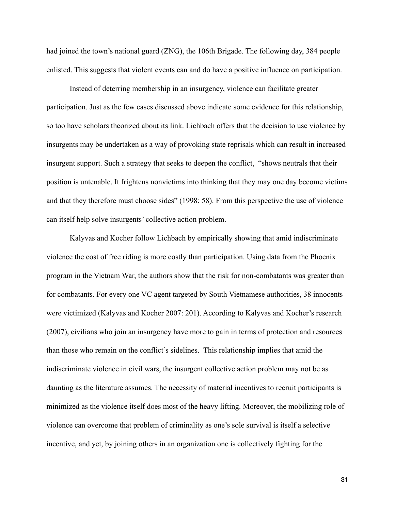had joined the town's national guard (ZNG), the 106th Brigade. The following day, 384 people enlisted. This suggests that violent events can and do have a positive influence on participation.

 Instead of deterring membership in an insurgency, violence can facilitate greater participation. Just as the few cases discussed above indicate some evidence for this relationship, so too have scholars theorized about its link. Lichbach offers that the decision to use violence by insurgents may be undertaken as a way of provoking state reprisals which can result in increased insurgent support. Such a strategy that seeks to deepen the conflict, "shows neutrals that their position is untenable. It frightens nonvictims into thinking that they may one day become victims and that they therefore must choose sides" (1998: 58). From this perspective the use of violence can itself help solve insurgents' collective action problem.

 Kalyvas and Kocher follow Lichbach by empirically showing that amid indiscriminate violence the cost of free riding is more costly than participation. Using data from the Phoenix program in the Vietnam War, the authors show that the risk for non-combatants was greater than for combatants. For every one VC agent targeted by South Vietnamese authorities, 38 innocents were victimized (Kalyvas and Kocher 2007: 201). According to Kalyvas and Kocher's research (2007), civilians who join an insurgency have more to gain in terms of protection and resources than those who remain on the conflict's sidelines. This relationship implies that amid the indiscriminate violence in civil wars, the insurgent collective action problem may not be as daunting as the literature assumes. The necessity of material incentives to recruit participants is minimized as the violence itself does most of the heavy lifting. Moreover, the mobilizing role of violence can overcome that problem of criminality as one's sole survival is itself a selective incentive, and yet, by joining others in an organization one is collectively fighting for the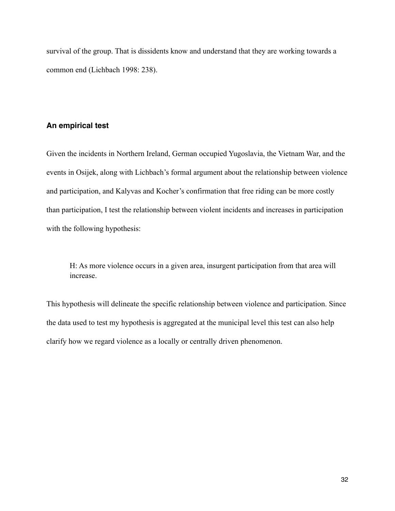survival of the group. That is dissidents know and understand that they are working towards a common end (Lichbach 1998: 238).

# **An empirical test**

Given the incidents in Northern Ireland, German occupied Yugoslavia, the Vietnam War, and the events in Osijek, along with Lichbach's formal argument about the relationship between violence and participation, and Kalyvas and Kocher's confirmation that free riding can be more costly than participation, I test the relationship between violent incidents and increases in participation with the following hypothesis:

 H: As more violence occurs in a given area, insurgent participation from that area will increase.

This hypothesis will delineate the specific relationship between violence and participation. Since the data used to test my hypothesis is aggregated at the municipal level this test can also help clarify how we regard violence as a locally or centrally driven phenomenon.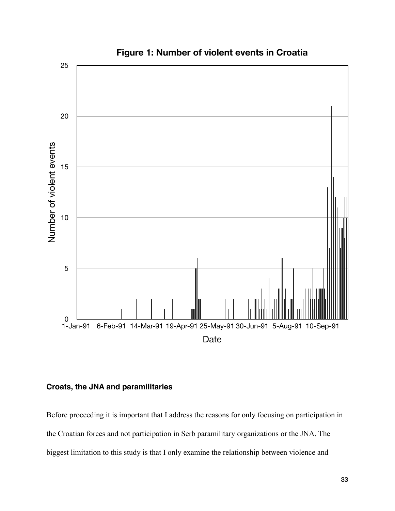

# **Figure 1: Number of violent events in Croatia**

## **Croats, the JNA and paramilitaries**

Before proceeding it is important that I address the reasons for only focusing on participation in the Croatian forces and not participation in Serb paramilitary organizations or the JNA. The biggest limitation to this study is that I only examine the relationship between violence and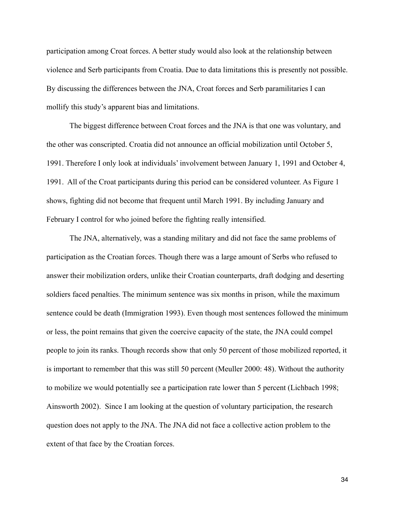participation among Croat forces. A better study would also look at the relationship between violence and Serb participants from Croatia. Due to data limitations this is presently not possible. By discussing the differences between the JNA, Croat forces and Serb paramilitaries I can mollify this study's apparent bias and limitations.

 The biggest difference between Croat forces and the JNA is that one was voluntary, and the other was conscripted. Croatia did not announce an official mobilization until October 5, 1991. Therefore I only look at individuals' involvement between January 1, 1991 and October 4, 1991. All of the Croat participants during this period can be considered volunteer. As Figure 1 shows, fighting did not become that frequent until March 1991. By including January and February I control for who joined before the fighting really intensified.

 The JNA, alternatively, was a standing military and did not face the same problems of participation as the Croatian forces. Though there was a large amount of Serbs who refused to answer their mobilization orders, unlike their Croatian counterparts, draft dodging and deserting soldiers faced penalties. The minimum sentence was six months in prison, while the maximum sentence could be death (Immigration 1993). Even though most sentences followed the minimum or less, the point remains that given the coercive capacity of the state, the JNA could compel people to join its ranks. Though records show that only 50 percent of those mobilized reported, it is important to remember that this was still 50 percent (Meuller 2000: 48). Without the authority to mobilize we would potentially see a participation rate lower than 5 percent (Lichbach 1998; Ainsworth 2002). Since I am looking at the question of voluntary participation, the research question does not apply to the JNA. The JNA did not face a collective action problem to the extent of that face by the Croatian forces.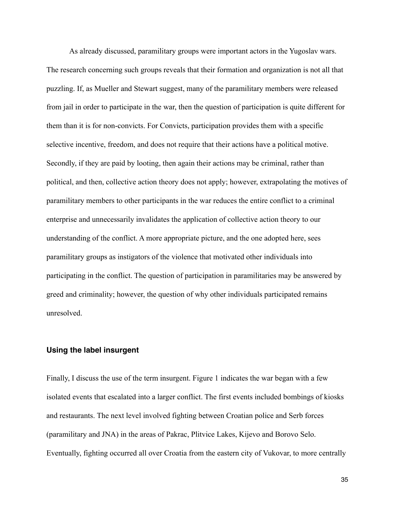As already discussed, paramilitary groups were important actors in the Yugoslav wars. The research concerning such groups reveals that their formation and organization is not all that puzzling. If, as Mueller and Stewart suggest, many of the paramilitary members were released from jail in order to participate in the war, then the question of participation is quite different for them than it is for non-convicts. For Convicts, participation provides them with a specific selective incentive, freedom, and does not require that their actions have a political motive. Secondly, if they are paid by looting, then again their actions may be criminal, rather than political, and then, collective action theory does not apply; however, extrapolating the motives of paramilitary members to other participants in the war reduces the entire conflict to a criminal enterprise and unnecessarily invalidates the application of collective action theory to our understanding of the conflict. A more appropriate picture, and the one adopted here, sees paramilitary groups as instigators of the violence that motivated other individuals into participating in the conflict. The question of participation in paramilitaries may be answered by greed and criminality; however, the question of why other individuals participated remains unresolved.

### **Using the label insurgent**

Finally, I discuss the use of the term insurgent. Figure 1 indicates the war began with a few isolated events that escalated into a larger conflict. The first events included bombings of kiosks and restaurants. The next level involved fighting between Croatian police and Serb forces (paramilitary and JNA) in the areas of Pakrac, Plitvice Lakes, Kijevo and Borovo Selo. Eventually, fighting occurred all over Croatia from the eastern city of Vukovar, to more centrally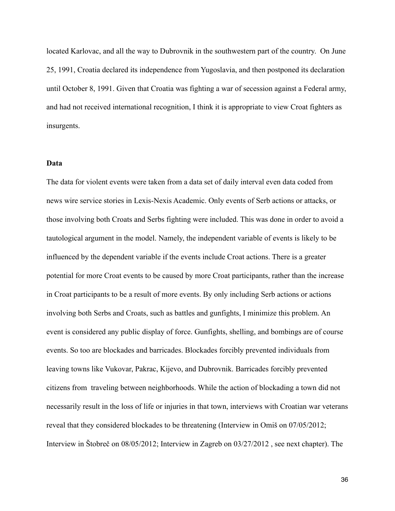located Karlovac, and all the way to Dubrovnik in the southwestern part of the country. On June 25, 1991, Croatia declared its independence from Yugoslavia, and then postponed its declaration until October 8, 1991. Given that Croatia was fighting a war of secession against a Federal army, and had not received international recognition, I think it is appropriate to view Croat fighters as insurgents.

### **Data**

The data for violent events were taken from a data set of daily interval even data coded from news wire service stories in Lexis-Nexis Academic. Only events of Serb actions or attacks, or those involving both Croats and Serbs fighting were included. This was done in order to avoid a tautological argument in the model. Namely, the independent variable of events is likely to be influenced by the dependent variable if the events include Croat actions. There is a greater potential for more Croat events to be caused by more Croat participants, rather than the increase in Croat participants to be a result of more events. By only including Serb actions or actions involving both Serbs and Croats, such as battles and gunfights, I minimize this problem. An event is considered any public display of force. Gunfights, shelling, and bombings are of course events. So too are blockades and barricades. Blockades forcibly prevented individuals from leaving towns like Vukovar, Pakrac, Kijevo, and Dubrovnik. Barricades forcibly prevented citizens from traveling between neighborhoods. While the action of blockading a town did not necessarily result in the loss of life or injuries in that town, interviews with Croatian war veterans reveal that they considered blockades to be threatening (Interview in Omiš on 07/05/2012; Interview in Štobreč on 08/05/2012; Interview in Zagreb on 03/27/2012 , see next chapter). The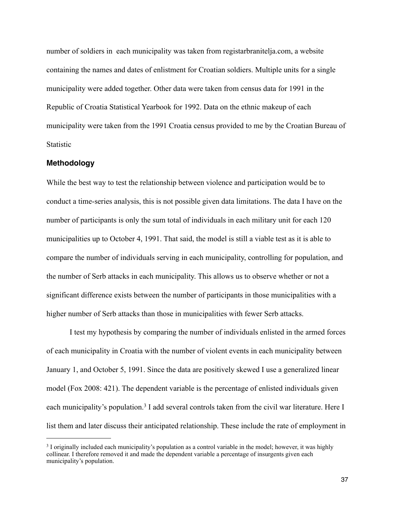number of soldiers in each municipality was taken from registarbranitelja.com, a website containing the names and dates of enlistment for Croatian soldiers. Multiple units for a single municipality were added together. Other data were taken from census data for 1991 in the Republic of Croatia Statistical Yearbook for 1992. Data on the ethnic makeup of each municipality were taken from the 1991 Croatia census provided to me by the Croatian Bureau of Statistic

### **Methodology**

While the best way to test the relationship between violence and participation would be to conduct a time-series analysis, this is not possible given data limitations. The data I have on the number of participants is only the sum total of individuals in each military unit for each 120 municipalities up to October 4, 1991. That said, the model is still a viable test as it is able to compare the number of individuals serving in each municipality, controlling for population, and the number of Serb attacks in each municipality. This allows us to observe whether or not a significant difference exists between the number of participants in those municipalities with a higher number of Serb attacks than those in municipalities with fewer Serb attacks.

 I test my hypothesis by comparing the number of individuals enlisted in the armed forces of each municipality in Croatia with the number of violent events in each municipality between January 1, and October 5, 1991. Since the data are positively skewed I use a generalized linear model (Fox 2008: 421). The dependent variable is the percentage of enlisted individuals given each municipality's population.<sup>3</sup> I add several controls taken from the civil war literature. Here I list them and later discuss their anticipated relationship. These include the rate of employment in

<span id="page-42-0"></span><sup>3</sup> I originally included each municipality's population as a control variable in the model; however, it was highly collinear. I therefore removed it and made the dependent variable a percentage of insurgents given each municipality's population.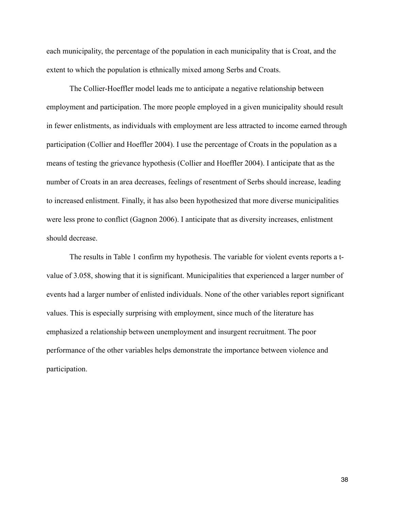each municipality, the percentage of the population in each municipality that is Croat, and the extent to which the population is ethnically mixed among Serbs and Croats.

 The Collier-Hoeffler model leads me to anticipate a negative relationship between employment and participation. The more people employed in a given municipality should result in fewer enlistments, as individuals with employment are less attracted to income earned through participation (Collier and Hoeffler 2004). I use the percentage of Croats in the population as a means of testing the grievance hypothesis (Collier and Hoeffler 2004). I anticipate that as the number of Croats in an area decreases, feelings of resentment of Serbs should increase, leading to increased enlistment. Finally, it has also been hypothesized that more diverse municipalities were less prone to conflict (Gagnon 2006). I anticipate that as diversity increases, enlistment should decrease.

 The results in Table 1 confirm my hypothesis. The variable for violent events reports a tvalue of 3.058, showing that it is significant. Municipalities that experienced a larger number of events had a larger number of enlisted individuals. None of the other variables report significant values. This is especially surprising with employment, since much of the literature has emphasized a relationship between unemployment and insurgent recruitment. The poor performance of the other variables helps demonstrate the importance between violence and participation.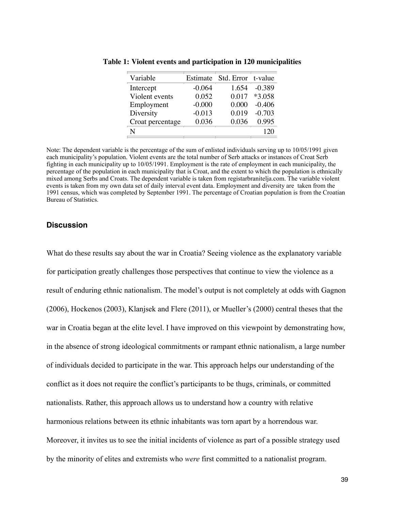| Variable         | Estimate | Std. Error t-value |          |
|------------------|----------|--------------------|----------|
| Intercept        | $-0.064$ | 1.654              | $-0.389$ |
| Violent events   | 0.052    | 0.017              | $*3.058$ |
| Employment       | $-0.000$ | 0.000              | $-0.406$ |
| Diversity        | $-0.013$ | 0.019              | $-0.703$ |
| Croat percentage | 0.036    | 0.036              | 0.995    |
| N                |          |                    |          |

**Table 1: Violent events and participation in 120 municipalities**

**Table 2: Summary Table of Early Joiners** mixed among Serbs and Croats. The dependent variable is taken from registarbranitelja.com. The variable violent 1991 census, which was completed by September 1991. The percentage of Croatian population is from the Croatian Note: The dependent variable is the percentage of the sum of enlisted individuals serving up to 10/05/1991 given each municipality's population. Violent events are the total number of Serb attacks or instances of Croat Serb fighting in each municipality up to 10/05/1991. Employment is the rate of employment in each municipality, the percentage of the population in each municipality that is Croat, and the extent to which the population is ethnically events is taken from my own data set of daily interval event data. Employment and diversity are taken from the Bureau of Statistics.

#### **Discussion**

by the minority of elites and extremists who *were* first committed to a nationalist program. What do these results say about the war in Croatia? Seeing violence as the explanatory variable for participation greatly challenges those perspectives that continue to view the violence as a Osijek No NDH Yes  $\alpha$  model's output is not completely at od  $D$  are  $M$  is no  $D$  and  $M$   $\rightarrow$   $M$ **Table 3: Summary Table of Later Joiners** of individuals decided to participate in the war. This approach helps our understanding of the conflict as it does not require the conflict's participants to be thugs, criminals, or committed nationalists. Rather, this approach allows us to understand how a country with relative dramatic North North North North North North North North North North North North North North North North North North North North North North North North North North North North North North North North North North North Nor ns between its ethnic inhabitants was torn anart by a horrende  $\sum_{i=1}^{n}$ Moreover, it invites us to see the initial incidents of violence as part of a possible strategy used result of enduring ethnic nationalism. The model's output is not completely at odds with Gagnon (2006), Hockenos (2003), Klanjsek and Flere (2011), or Mueller's (2000) central theses that the war in Croatia began at the elite level. I have improved on this viewpoint by demonstrating how, in the absence of strong ideological commitments or rampant ethnic nationalism, a large number harmonious relations between its ethnic inhabitants was torn apart by a horrendous war.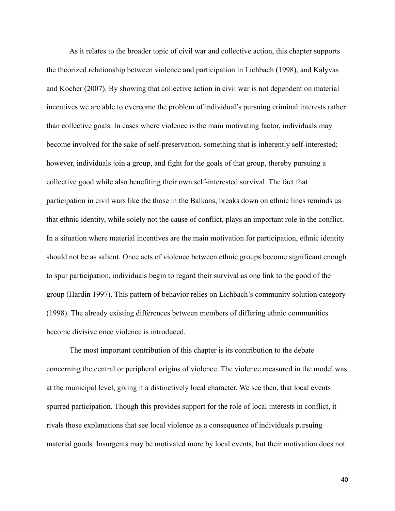As it relates to the broader topic of civil war and collective action, this chapter supports the theorized relationship between violence and participation in Lichbach (1998), and Kalyvas and Kocher (2007). By showing that collective action in civil war is not dependent on material incentives we are able to overcome the problem of individual's pursuing criminal interests rather than collective goals. In cases where violence is the main motivating factor, individuals may become involved for the sake of self-preservation, something that is inherently self-interested; however, individuals join a group, and fight for the goals of that group, thereby pursuing a collective good while also benefiting their own self-interested survival. The fact that participation in civil wars like the those in the Balkans, breaks down on ethnic lines reminds us that ethnic identity, while solely not the cause of conflict, plays an important role in the conflict. In a situation where material incentives are the main motivation for participation, ethnic identity should not be as salient. Once acts of violence between ethnic groups become significant enough to spur participation, individuals begin to regard their survival as one link to the good of the group (Hardin 1997). This pattern of behavior relies on Lichbach's community solution category (1998). The already existing differences between members of differing ethnic communities become divisive once violence is introduced.

 The most important contribution of this chapter is its contribution to the debate concerning the central or peripheral origins of violence. The violence measured in the model was at the municipal level, giving it a distinctively local character. We see then, that local events spurred participation. Though this provides support for the role of local interests in conflict, it rivals those explanations that see local violence as a consequence of individuals pursuing material goods. Insurgents may be motivated more by local events, but their motivation does not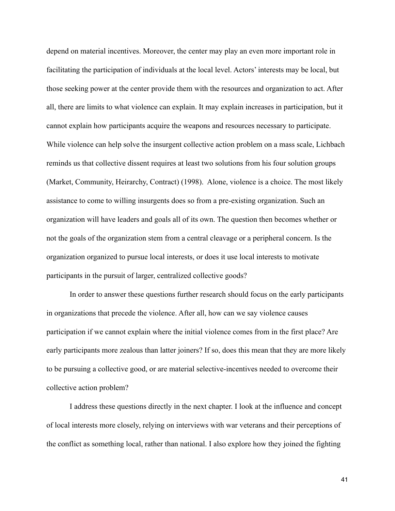depend on material incentives. Moreover, the center may play an even more important role in facilitating the participation of individuals at the local level. Actors' interests may be local, but those seeking power at the center provide them with the resources and organization to act. After all, there are limits to what violence can explain. It may explain increases in participation, but it cannot explain how participants acquire the weapons and resources necessary to participate. While violence can help solve the insurgent collective action problem on a mass scale, Lichbach reminds us that collective dissent requires at least two solutions from his four solution groups (Market, Community, Heirarchy, Contract) (1998). Alone, violence is a choice. The most likely assistance to come to willing insurgents does so from a pre-existing organization. Such an organization will have leaders and goals all of its own. The question then becomes whether or not the goals of the organization stem from a central cleavage or a peripheral concern. Is the organization organized to pursue local interests, or does it use local interests to motivate participants in the pursuit of larger, centralized collective goods?

 In order to answer these questions further research should focus on the early participants in organizations that precede the violence. After all, how can we say violence causes participation if we cannot explain where the initial violence comes from in the first place? Are early participants more zealous than latter joiners? If so, does this mean that they are more likely to be pursuing a collective good, or are material selective-incentives needed to overcome their collective action problem?

 I address these questions directly in the next chapter. I look at the influence and concept of local interests more closely, relying on interviews with war veterans and their perceptions of the conflict as something local, rather than national. I also explore how they joined the fighting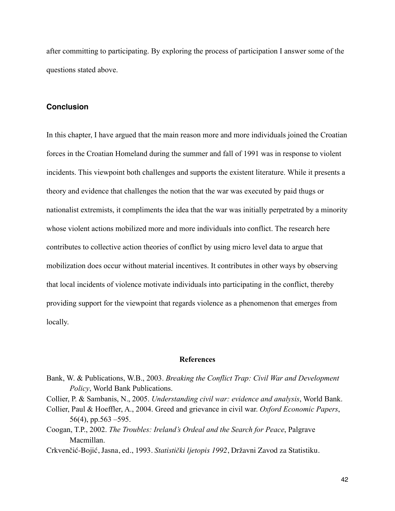after committing to participating. By exploring the process of participation I answer some of the questions stated above.

## **Conclusion**

In this chapter, I have argued that the main reason more and more individuals joined the Croatian forces in the Croatian Homeland during the summer and fall of 1991 was in response to violent incidents. This viewpoint both challenges and supports the existent literature. While it presents a theory and evidence that challenges the notion that the war was executed by paid thugs or nationalist extremists, it compliments the idea that the war was initially perpetrated by a minority whose violent actions mobilized more and more individuals into conflict. The research here contributes to collective action theories of conflict by using micro level data to argue that mobilization does occur without material incentives. It contributes in other ways by observing that local incidents of violence motivate individuals into participating in the conflict, thereby providing support for the viewpoint that regards violence as a phenomenon that emerges from locally.

### **References**

- Bank, W. & Publications, W.B., 2003. *Breaking the Conflict Trap: Civil War and Development Policy*, World Bank Publications.
- Collier, P. & Sambanis, N., 2005. *Understanding civil war: evidence and analysis*, World Bank.
- Collier, Paul & Hoeffler, A., 2004. Greed and grievance in civil war. *Oxford Economic Papers*, 56(4), pp.563 $-595$ .
- Coogan, T.P., 2002. *The Troubles: Ireland's Ordeal and the Search for Peace*, Palgrave Macmillan.
- Crkvenčić-Bojić, Jasna, ed., 1993. *Statistički ljetopis 1992*, Državni Zavod za Statistiku.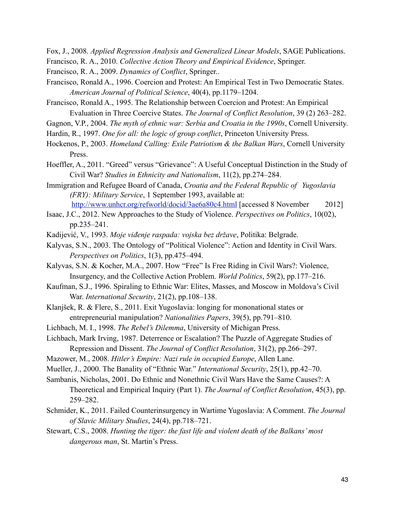Fox, J., 2008. *Applied Regression Analysis and Generalized Linear Models*, SAGE Publications.

Francisco, R. A., 2010. *Collective Action Theory and Empirical Evidence*, Springer.

Francisco, R. A., 2009. *Dynamics of Conflict*, Springer..

Francisco, Ronald A., 1996. Coercion and Protest: An Empirical Test in Two Democratic States. *American Journal of Political Science*, 40(4), pp.1179–1204.

Francisco, Ronald A., 1995. The Relationship between Coercion and Protest: An Empirical Evaluation in Three Coercive States. *The Journal of Conflict Resolution*, 39 (2) 263–282.

Gagnon, V.P., 2004. *The myth of ethnic war: Serbia and Croatia in the 1990s*, Cornell University.

Hardin, R., 1997. *One for all: the logic of group conflict*, Princeton University Press.

- Hockenos, P., 2003. *Homeland Calling: Exile Patriotism & the Balkan Wars*, Cornell University Press.
- Hoeffler, A., 2011. "Greed" versus "Grievance": A Useful Conceptual Distinction in the Study of Civil War? *Studies in Ethnicity and Nationalism*, 11(2), pp.274–284.
- Immigration and Refugee Board of Canada, *Croatia and the Federal Republic of Yugoslavia (FRY): Military Service*, 1 September 1993, available at: <http://www.unhcr.org/refworld/docid/3ae6a80c4.html>[accessed 8 November 2012]
- Isaac, J.C., 2012. New Approaches to the Study of Violence. *Perspectives on Politics*, 10(02), pp.235–241.
- Kadijević, V., 1993. *Moje viđenje raspada: vojska bez države*, Politika: Belgrade.
- Kalyvas, S.N., 2003. The Ontology of "Political Violence": Action and Identity in Civil Wars. *Perspectives on Politics*, 1(3), pp.475–494.
- Kalyvas, S.N. & Kocher, M.A., 2007. How "Free" Is Free Riding in Civil Wars?: Violence, Insurgency, and the Collective Action Problem. *World Politics*, 59(2), pp.177–216.
- Kaufman, S.J., 1996. Spiraling to Ethnic War: Elites, Masses, and Moscow in Moldova's Civil War. *International Security*, 21(2), pp.108–138.
- Klanjšek, R. & Flere, S., 2011. Exit Yugoslavia: longing for mononational states or entrepreneurial manipulation? *Nationalities Papers*, 39(5), pp.791–810.
- Lichbach, M. I., 1998. *The Rebel's Dilemma*, University of Michigan Press.
- Lichbach, Mark Irving, 1987. Deterrence or Escalation? The Puzzle of Aggregate Studies of Repression and Dissent. *The Journal of Conflict Resolution*, 31(2), pp.266–297.
- Mazower, M., 2008. *Hitler's Empire: Nazi rule in occupied Europe*, Allen Lane.
- Mueller, J., 2000. The Banality of "Ethnic War." *International Security*, 25(1), pp.42–70.
- Sambanis, Nicholas, 2001. Do Ethnic and Nonethnic Civil Wars Have the Same Causes?: A Theoretical and Empirical Inquiry (Part 1). *The Journal of Conflict Resolution*, 45(3), pp. 259–282.
- Schmider, K., 2011. Failed Counterinsurgency in Wartime Yugoslavia: A Comment. *The Journal of Slavic Military Studies*, 24(4), pp.718–721.
- Stewart, C.S., 2008. *Hunting the tiger: the fast life and violent death of the Balkans' most dangerous man*, St. Martin's Press.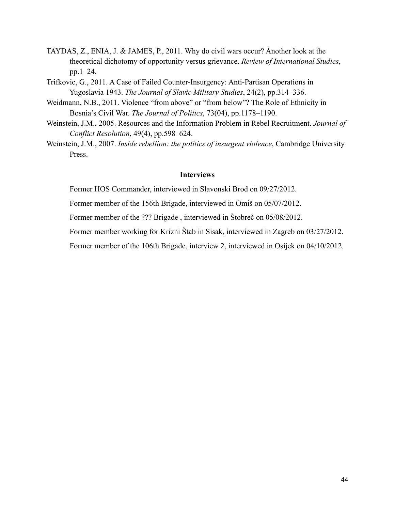- TAYDAS, Z., ENIA, J. & JAMES, P., 2011. Why do civil wars occur? Another look at the theoretical dichotomy of opportunity versus grievance. *Review of International Studies*, pp.1–24.
- Trifkovic, G., 2011. A Case of Failed Counter-Insurgency: Anti-Partisan Operations in Yugoslavia 1943. *The Journal of Slavic Military Studies*, 24(2), pp.314–336.
- Weidmann, N.B., 2011. Violence "from above" or "from below"? The Role of Ethnicity in Bosnia's Civil War. *The Journal of Politics*, 73(04), pp.1178–1190.
- Weinstein, J.M., 2005. Resources and the Information Problem in Rebel Recruitment. *Journal of Conflict Resolution*, 49(4), pp.598–624.
- Weinstein, J.M., 2007. *Inside rebellion: the politics of insurgent violence*, Cambridge University Press.

# **Interviews**

Former HOS Commander, interviewed in Slavonski Brod on 09/27/2012.

Former member of the 156th Brigade, interviewed in Omiš on 05/07/2012.

Former member of the ??? Brigade , interviewed in Štobreč on 05/08/2012.

Former member working for Krizni Štab in Sisak, interviewed in Zagreb on 03/27/2012.

Former member of the 106th Brigade, interview 2, interviewed in Osijek on 04/10/2012.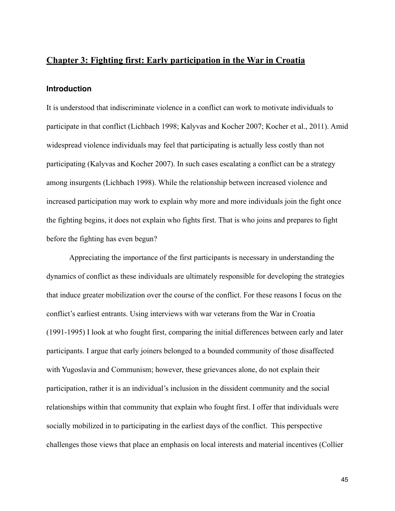# **Chapter 3: Fighting first: Early participation in the War in Croatia**

## **Introduction**

It is understood that indiscriminate violence in a conflict can work to motivate individuals to participate in that conflict (Lichbach 1998; Kalyvas and Kocher 2007; Kocher et al., 2011). Amid widespread violence individuals may feel that participating is actually less costly than not participating (Kalyvas and Kocher 2007). In such cases escalating a conflict can be a strategy among insurgents (Lichbach 1998). While the relationship between increased violence and increased participation may work to explain why more and more individuals join the fight once the fighting begins, it does not explain who fights first. That is who joins and prepares to fight before the fighting has even begun?

 Appreciating the importance of the first participants is necessary in understanding the dynamics of conflict as these individuals are ultimately responsible for developing the strategies that induce greater mobilization over the course of the conflict. For these reasons I focus on the conflict's earliest entrants. Using interviews with war veterans from the War in Croatia (1991-1995) I look at who fought first, comparing the initial differences between early and later participants. I argue that early joiners belonged to a bounded community of those disaffected with Yugoslavia and Communism; however, these grievances alone, do not explain their participation, rather it is an individual's inclusion in the dissident community and the social relationships within that community that explain who fought first. I offer that individuals were socially mobilized in to participating in the earliest days of the conflict. This perspective challenges those views that place an emphasis on local interests and material incentives (Collier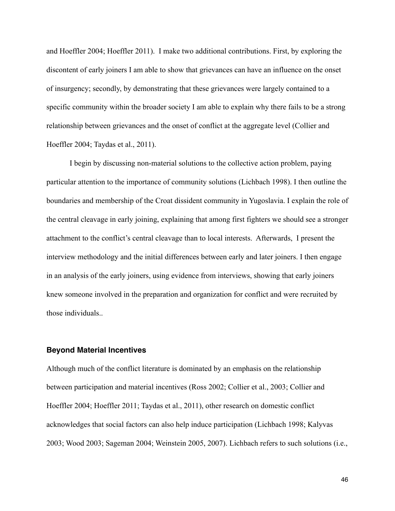and Hoeffler 2004; Hoeffler 2011). I make two additional contributions. First, by exploring the discontent of early joiners I am able to show that grievances can have an influence on the onset of insurgency; secondly, by demonstrating that these grievances were largely contained to a specific community within the broader society I am able to explain why there fails to be a strong relationship between grievances and the onset of conflict at the aggregate level (Collier and Hoeffler 2004; Taydas et al., 2011).

 I begin by discussing non-material solutions to the collective action problem, paying particular attention to the importance of community solutions (Lichbach 1998). I then outline the boundaries and membership of the Croat dissident community in Yugoslavia. I explain the role of the central cleavage in early joining, explaining that among first fighters we should see a stronger attachment to the conflict's central cleavage than to local interests. Afterwards, I present the interview methodology and the initial differences between early and later joiners. I then engage in an analysis of the early joiners, using evidence from interviews, showing that early joiners knew someone involved in the preparation and organization for conflict and were recruited by those individuals..

### **Beyond Material Incentives**

Although much of the conflict literature is dominated by an emphasis on the relationship between participation and material incentives (Ross 2002; Collier et al., 2003; Collier and Hoeffler 2004; Hoeffler 2011; Taydas et al., 2011), other research on domestic conflict acknowledges that social factors can also help induce participation (Lichbach 1998; Kalyvas 2003; Wood 2003; Sageman 2004; Weinstein 2005, 2007). Lichbach refers to such solutions (i.e.,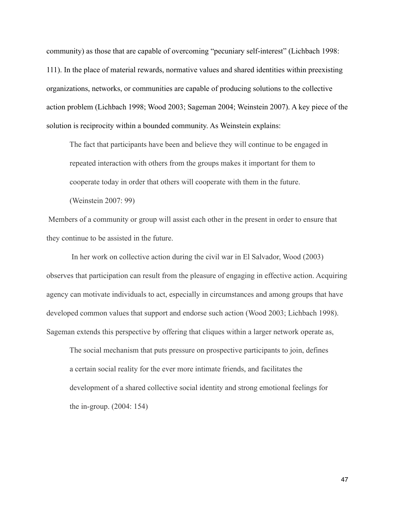community) as those that are capable of overcoming "pecuniary self-interest" (Lichbach 1998: 111). In the place of material rewards, normative values and shared identities within preexisting organizations, networks, or communities are capable of producing solutions to the collective action problem (Lichbach 1998; Wood 2003; Sageman 2004; Weinstein 2007). A key piece of the solution is reciprocity within a bounded community. As Weinstein explains:

The fact that participants have been and believe they will continue to be engaged in repeated interaction with others from the groups makes it important for them to cooperate today in order that others will cooperate with them in the future.

(Weinstein 2007: 99)

 Members of a community or group will assist each other in the present in order to ensure that they continue to be assisted in the future.

 In her work on collective action during the civil war in El Salvador, Wood (2003) observes that participation can result from the pleasure of engaging in effective action. Acquiring agency can motivate individuals to act, especially in circumstances and among groups that have developed common values that support and endorse such action (Wood 2003; Lichbach 1998). Sageman extends this perspective by offering that cliques within a larger network operate as,

 The social mechanism that puts pressure on prospective participants to join, defines a certain social reality for the ever more intimate friends, and facilitates the development of a shared collective social identity and strong emotional feelings for the in-group. (2004: 154)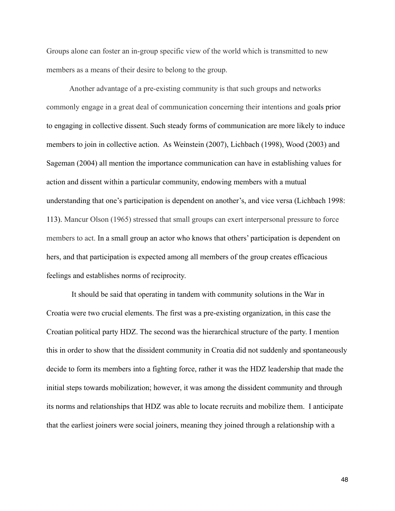Groups alone can foster an in-group specific view of the world which is transmitted to new members as a means of their desire to belong to the group.

 Another advantage of a pre-existing community is that such groups and networks commonly engage in a great deal of communication concerning their intentions and goals prior to engaging in collective dissent. Such steady forms of communication are more likely to induce members to join in collective action. As Weinstein (2007), Lichbach (1998), Wood (2003) and Sageman (2004) all mention the importance communication can have in establishing values for action and dissent within a particular community, endowing members with a mutual understanding that one's participation is dependent on another's, and vice versa (Lichbach 1998: 113). Mancur Olson (1965) stressed that small groups can exert interpersonal pressure to force members to act. In a small group an actor who knows that others' participation is dependent on hers, and that participation is expected among all members of the group creates efficacious feelings and establishes norms of reciprocity.

 It should be said that operating in tandem with community solutions in the War in Croatia were two crucial elements. The first was a pre-existing organization, in this case the Croatian political party HDZ. The second was the hierarchical structure of the party. I mention this in order to show that the dissident community in Croatia did not suddenly and spontaneously decide to form its members into a fighting force, rather it was the HDZ leadership that made the initial steps towards mobilization; however, it was among the dissident community and through its norms and relationships that HDZ was able to locate recruits and mobilize them. I anticipate that the earliest joiners were social joiners, meaning they joined through a relationship with a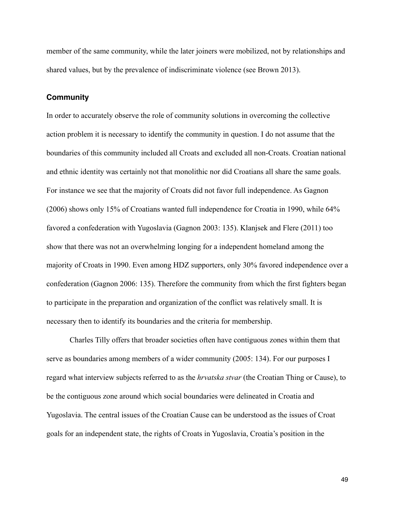member of the same community, while the later joiners were mobilized, not by relationships and shared values, but by the prevalence of indiscriminate violence (see Brown 2013).

### **Community**

In order to accurately observe the role of community solutions in overcoming the collective action problem it is necessary to identify the community in question. I do not assume that the boundaries of this community included all Croats and excluded all non-Croats. Croatian national and ethnic identity was certainly not that monolithic nor did Croatians all share the same goals. For instance we see that the majority of Croats did not favor full independence. As Gagnon (2006) shows only 15% of Croatians wanted full independence for Croatia in 1990, while 64% favored a confederation with Yugoslavia (Gagnon 2003: 135). Klanjsek and Flere (2011) too show that there was not an overwhelming longing for a independent homeland among the majority of Croats in 1990. Even among HDZ supporters, only 30% favored independence over a confederation (Gagnon 2006: 135). Therefore the community from which the first fighters began to participate in the preparation and organization of the conflict was relatively small. It is necessary then to identify its boundaries and the criteria for membership.

 Charles Tilly offers that broader societies often have contiguous zones within them that serve as boundaries among members of a wider community (2005: 134). For our purposes I regard what interview subjects referred to as the *hrvatska stvar* (the Croatian Thing or Cause), to be the contiguous zone around which social boundaries were delineated in Croatia and Yugoslavia. The central issues of the Croatian Cause can be understood as the issues of Croat goals for an independent state, the rights of Croats in Yugoslavia, Croatia's position in the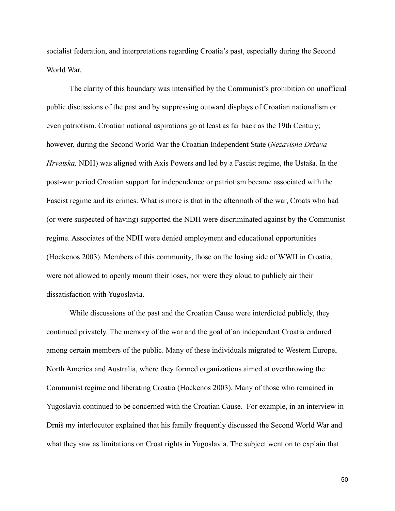socialist federation, and interpretations regarding Croatia's past, especially during the Second World War.

 The clarity of this boundary was intensified by the Communist's prohibition on unofficial public discussions of the past and by suppressing outward displays of Croatian nationalism or even patriotism. Croatian national aspirations go at least as far back as the 19th Century; however, during the Second World War the Croatian Independent State (*Nezavisna Država Hrvatska,* NDH) was aligned with Axis Powers and led by a Fascist regime, the Ustaša. In the post-war period Croatian support for independence or patriotism became associated with the Fascist regime and its crimes. What is more is that in the aftermath of the war, Croats who had (or were suspected of having) supported the NDH were discriminated against by the Communist regime. Associates of the NDH were denied employment and educational opportunities (Hockenos 2003). Members of this community, those on the losing side of WWII in Croatia, were not allowed to openly mourn their loses, nor were they aloud to publicly air their dissatisfaction with Yugoslavia.

 While discussions of the past and the Croatian Cause were interdicted publicly, they continued privately. The memory of the war and the goal of an independent Croatia endured among certain members of the public. Many of these individuals migrated to Western Europe, North America and Australia, where they formed organizations aimed at overthrowing the Communist regime and liberating Croatia (Hockenos 2003). Many of those who remained in Yugoslavia continued to be concerned with the Croatian Cause. For example, in an interview in Drniš my interlocutor explained that his family frequently discussed the Second World War and what they saw as limitations on Croat rights in Yugoslavia. The subject went on to explain that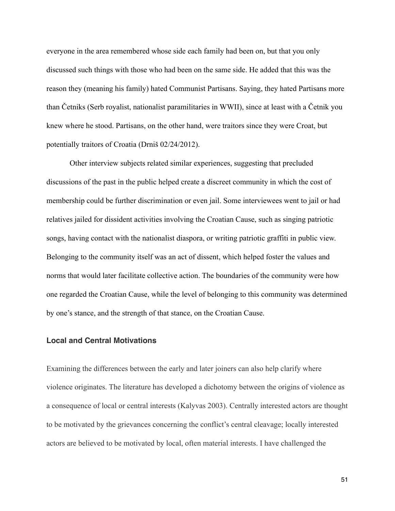everyone in the area remembered whose side each family had been on, but that you only discussed such things with those who had been on the same side. He added that this was the reason they (meaning his family) hated Communist Partisans. Saying, they hated Partisans more than Četniks (Serb royalist, nationalist paramilitaries in WWII), since at least with a Četnik you knew where he stood. Partisans, on the other hand, were traitors since they were Croat, but potentially traitors of Croatia (Drniš 02/24/2012).

 Other interview subjects related similar experiences, suggesting that precluded discussions of the past in the public helped create a discreet community in which the cost of membership could be further discrimination or even jail. Some interviewees went to jail or had relatives jailed for dissident activities involving the Croatian Cause, such as singing patriotic songs, having contact with the nationalist diaspora, or writing patriotic graffiti in public view. Belonging to the community itself was an act of dissent, which helped foster the values and norms that would later facilitate collective action. The boundaries of the community were how one regarded the Croatian Cause, while the level of belonging to this community was determined by one's stance, and the strength of that stance, on the Croatian Cause.

## **Local and Central Motivations**

Examining the differences between the early and later joiners can also help clarify where violence originates. The literature has developed a dichotomy between the origins of violence as a consequence of local or central interests (Kalyvas 2003). Centrally interested actors are thought to be motivated by the grievances concerning the conflict's central cleavage; locally interested actors are believed to be motivated by local, often material interests. I have challenged the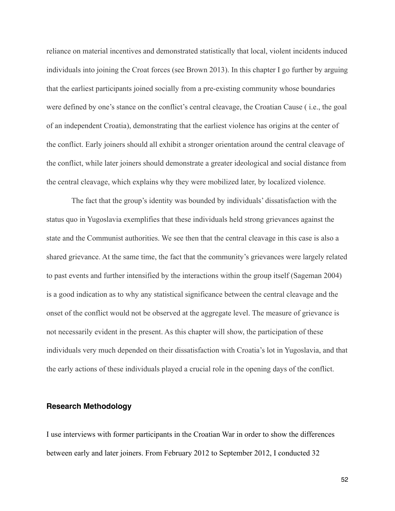reliance on material incentives and demonstrated statistically that local, violent incidents induced individuals into joining the Croat forces (see Brown 2013). In this chapter I go further by arguing that the earliest participants joined socially from a pre-existing community whose boundaries were defined by one's stance on the conflict's central cleavage, the Croatian Cause ( i.e., the goal of an independent Croatia), demonstrating that the earliest violence has origins at the center of the conflict. Early joiners should all exhibit a stronger orientation around the central cleavage of the conflict, while later joiners should demonstrate a greater ideological and social distance from the central cleavage, which explains why they were mobilized later, by localized violence.

 The fact that the group's identity was bounded by individuals' dissatisfaction with the status quo in Yugoslavia exemplifies that these individuals held strong grievances against the state and the Communist authorities. We see then that the central cleavage in this case is also a shared grievance. At the same time, the fact that the community's grievances were largely related to past events and further intensified by the interactions within the group itself (Sageman 2004) is a good indication as to why any statistical significance between the central cleavage and the onset of the conflict would not be observed at the aggregate level. The measure of grievance is not necessarily evident in the present. As this chapter will show, the participation of these individuals very much depended on their dissatisfaction with Croatia's lot in Yugoslavia, and that the early actions of these individuals played a crucial role in the opening days of the conflict.

### **Research Methodology**

I use interviews with former participants in the Croatian War in order to show the differences between early and later joiners. From February 2012 to September 2012, I conducted 32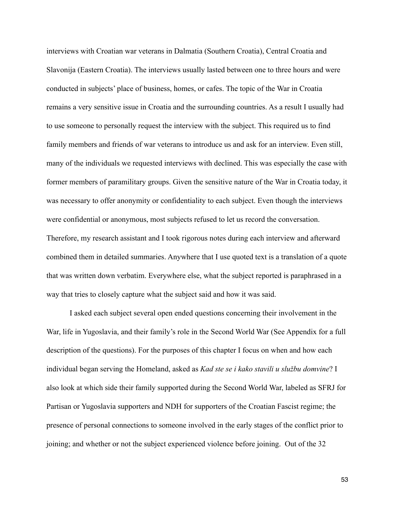interviews with Croatian war veterans in Dalmatia (Southern Croatia), Central Croatia and Slavonija (Eastern Croatia). The interviews usually lasted between one to three hours and were conducted in subjects' place of business, homes, or cafes. The topic of the War in Croatia remains a very sensitive issue in Croatia and the surrounding countries. As a result I usually had to use someone to personally request the interview with the subject. This required us to find family members and friends of war veterans to introduce us and ask for an interview. Even still, many of the individuals we requested interviews with declined. This was especially the case with former members of paramilitary groups. Given the sensitive nature of the War in Croatia today, it was necessary to offer anonymity or confidentiality to each subject. Even though the interviews were confidential or anonymous, most subjects refused to let us record the conversation. Therefore, my research assistant and I took rigorous notes during each interview and afterward combined them in detailed summaries. Anywhere that I use quoted text is a translation of a quote that was written down verbatim. Everywhere else, what the subject reported is paraphrased in a way that tries to closely capture what the subject said and how it was said.

 I asked each subject several open ended questions concerning their involvement in the War, life in Yugoslavia, and their family's role in the Second World War (See Appendix for a full description of the questions). For the purposes of this chapter I focus on when and how each individual began serving the Homeland, asked as *Kad ste se i kako stavili u službu domvine*? I also look at which side their family supported during the Second World War, labeled as SFRJ for Partisan or Yugoslavia supporters and NDH for supporters of the Croatian Fascist regime; the presence of personal connections to someone involved in the early stages of the conflict prior to joining; and whether or not the subject experienced violence before joining. Out of the 32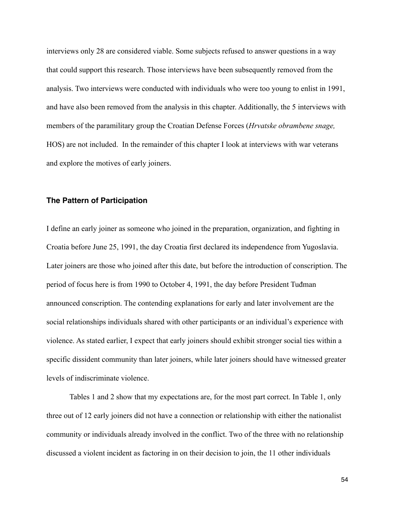interviews only 28 are considered viable. Some subjects refused to answer questions in a way that could support this research. Those interviews have been subsequently removed from the analysis. Two interviews were conducted with individuals who were too young to enlist in 1991, and have also been removed from the analysis in this chapter. Additionally, the 5 interviews with members of the paramilitary group the Croatian Defense Forces (*Hrvatske obrambene snage,*  HOS) are not included. In the remainder of this chapter I look at interviews with war veterans and explore the motives of early joiners.

## **The Pattern of Participation**

I define an early joiner as someone who joined in the preparation, organization, and fighting in Croatia before June 25, 1991, the day Croatia first declared its independence from Yugoslavia. Later joiners are those who joined after this date, but before the introduction of conscription. The period of focus here is from 1990 to October 4, 1991, the day before President Tuđman announced conscription. The contending explanations for early and later involvement are the social relationships individuals shared with other participants or an individual's experience with violence. As stated earlier, I expect that early joiners should exhibit stronger social ties within a specific dissident community than later joiners, while later joiners should have witnessed greater levels of indiscriminate violence.

 Tables 1 and 2 show that my expectations are, for the most part correct. In Table 1, only three out of 12 early joiners did not have a connection or relationship with either the nationalist community or individuals already involved in the conflict. Two of the three with no relationship discussed a violent incident as factoring in on their decision to join, the 11 other individuals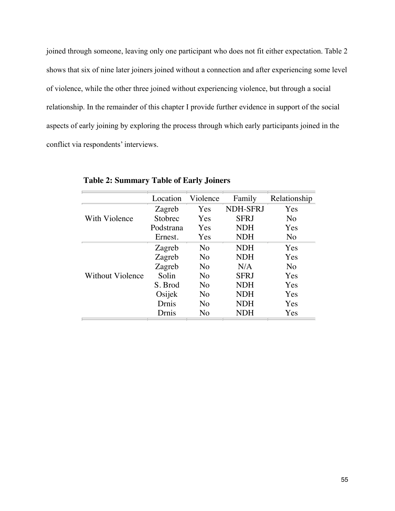foined through someone, leaving only one participant who does not fit either expectation. Table 2 shows that six of nine later joiners joined without a connection and after experiencing some level of violence, while the other three joined without experiencing violence, but through a social relationship. In the remainder of this chapter I provide further evidence in support of the social aspects of early joining by exploring the process through which early participants joined in the conflict via respondents' interviews. vince three joined wholet experiencing violence, or  $n_{\text{a}}$  or this chapter I provide further evidence in s cy expression process inough which carry part

|                  | Location  | Violence       | Family          | Relationship   |
|------------------|-----------|----------------|-----------------|----------------|
|                  | Zagreb    | Yes            | <b>NDH-SFRJ</b> | Yes            |
| With Violence    | Stobrec   | Yes            | <b>SFRJ</b>     | No             |
|                  | Podstrana | Yes            | <b>NDH</b>      | Yes            |
|                  | Ernest.   | Yes            | <b>NDH</b>      | No             |
|                  | Zagreb    | N <sub>o</sub> | <b>NDH</b>      | Yes            |
| Without Violence | Zagreb    | No             | <b>NDH</b>      | Yes            |
|                  | Zagreb    | No             | N/A             | N <sub>o</sub> |
|                  | Solin     | N <sub>o</sub> | <b>SFRJ</b>     | Yes            |
|                  | S. Brod   | No             | <b>NDH</b>      | Yes            |
|                  | Osijek    | N <sub>0</sub> | <b>NDH</b>      | Yes            |
|                  | Drnis     | No             | <b>NDH</b>      | Yes            |
|                  | Drnis     | No             | NDH             | Yes            |

**Table 2: Summary Table of Early Joiners**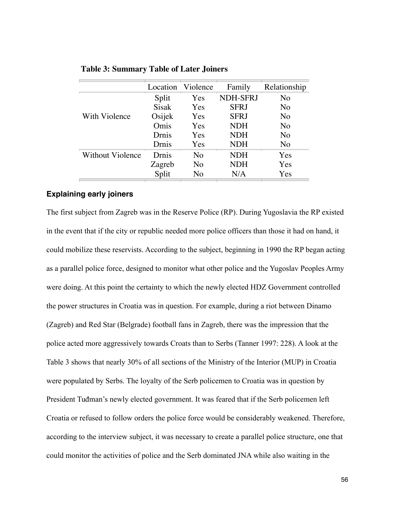| Location     |     | Family          | Relationship   |
|--------------|-----|-----------------|----------------|
| Split        | Yes | <b>NDH-SFRJ</b> | N <sub>o</sub> |
| <b>Sisak</b> | Yes | <b>SFRJ</b>     | N <sub>o</sub> |
| Osijek       | Yes | <b>SFRJ</b>     | N <sub>o</sub> |
| Omis         | Yes | <b>NDH</b>      | N <sub>o</sub> |
| Drnis        | Yes | <b>NDH</b>      | N <sub>o</sub> |
| Drnis        | Yes | <b>NDH</b>      | N <sub>o</sub> |
| Drnis        | No  | <b>NDH</b>      | Yes            |
| Zagreb       | No  | <b>NDH</b>      | Yes            |
| Split        | No  | N/A             | Yes            |
|              |     | Violence        |                |

**Table 3: Summary Table of Later Joiners**

### file:///private/var/folders/sP/sPp-Eu6fHAeeKJNxZdURGk+++TI/-Tmp-/lyx\_tmpdir.L26586/lyx\_tmpbuf1/Chapter2table1\_rev.html Page 1 of 3 **Explaining early joiners**

The first subject from Zagreb was in the Reserve Police (RP). During Yugoslavia the RP existed in the event that if the city or republic needed more police officers than those it had on hand, it could mobilize these reservists. According to the subject, beginning in 1990 the RP began acting as a parallel police force, designed to monitor what other police and the Yugoslav Peoples Army were doing. At this point the certainty to which the newly elected HDZ Government controlled the power structures in Croatia was in question. For example, during a riot between Dinamo (Zagreb) and Red Star (Belgrade) football fans in Zagreb, there was the impression that the police acted more aggressively towards Croats than to Serbs (Tanner 1997: 228). A look at the Table 3 shows that nearly 30% of all sections of the Ministry of the Interior (MUP) in Croatia were populated by Serbs. The loyalty of the Serb policemen to Croatia was in question by President Tuđman's newly elected government. It was feared that if the Serb policemen left Croatia or refused to follow orders the police force would be considerably weakened. Therefore, according to the interview subject, it was necessary to create a parallel police structure, one that could monitor the activities of police and the Serb dominated JNA while also waiting in the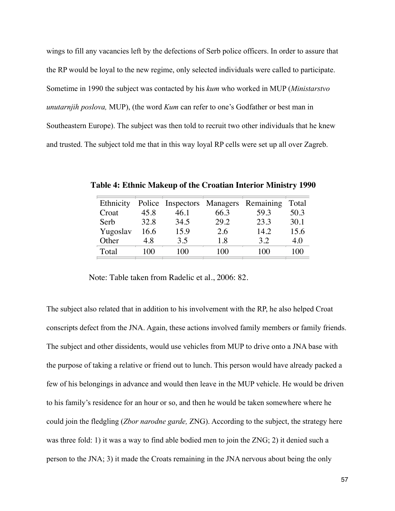wings to fill any vacancies left by the defections of Serb police officers. In order to assure that the RP would be loyal to the new regime, only selected individuals were called to participate. Sometime in 1990 the subject was contacted by his *kum* who worked in MUP (*Ministarstvo unutarnjih poslova,* MUP), (the word *Kum* can refer to one's Godfather or best man in Southeastern Europe). The subject was then told to recruit two other individuals that he knew and trusted. The subject told me that in this way loyal RP cells were set up all over Zagreb.

| Ethnicity |      |      |      | Police Inspectors Managers Remaining | Total |
|-----------|------|------|------|--------------------------------------|-------|
| Croat     | 45.8 | 46.1 | 66.3 | 59.3                                 | 50.3  |
| Serb      | 32.8 | 34.5 | 29.2 | 23.3                                 | 30.1  |
| Yugoslav  | 16.6 | 15.9 | 2.6  | 14.2                                 | 15.6  |
| Other     | 4.8  | 3.5  | 1.8  | 3.2                                  | 4.0   |
| Total     | 100  | 100  | 100  | 100                                  | 100   |

**Table 4: Ethnic Makeup of the Croatian Interior Ministry 1990**

Note: Table taken from Radelic et al., 2006: 82.

The subject and other dissidents, would use vehicles from MUP to drive onto a JNA base with Recieved pay Podstrana the purpose of taking a relative or friend out to lunch. This person would have already packed a  $\frac{1}{2}$  = = = =  $\frac{1}{2}$ few of his belongings in advance and would then leave in the MUP vehicle. He would be driven  $\begin{array}{cc} \n\cdot & \n\cdot & \n\cdot & \n\end{array}$ to his family's residence for an hour or so, and then he would be taken somewhere where he  $\overline{z}$ could join the fledgling (*Zbor narodne garde*, ZNG). According to the subject, the strategy here  $\overline{1}$   $\overline{1}$   $\overline{1}$   $\overline{1}$ was three fold: 1) it was a way to find able bodied men to join the ZNG; 2) it denied such a person to the JNA; 3) it made the Croats remaining in the JNA nervous about being the only The subject also related that in addition to his involvement with the RP, he also helped Croat conscripts defect from the JNA. Again, these actions involved family members or family friends.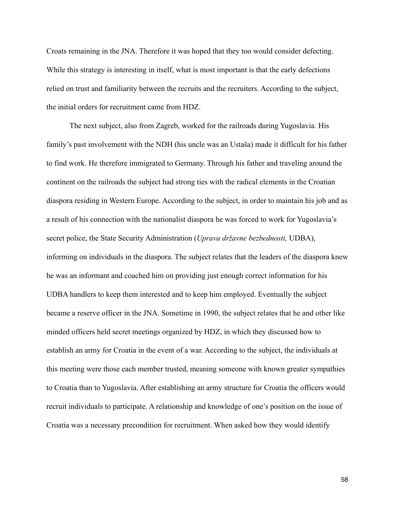Croats remaining in the JNA. Therefore it was hoped that they too would consider defecting. While this strategy is interesting in itself, what is most important is that the early defections relied on trust and familiarity between the recruits and the recruiters. According to the subject, the initial orders for recruitment came from HDZ.

 The next subject, also from Zagreb, worked for the railroads during Yugoslavia. His family's past involvement with the NDH (his uncle was an Ustaša) made it difficult for his father to find work. He therefore immigrated to Germany. Through his father and traveling around the continent on the railroads the subject had strong ties with the radical elements in the Croatian diaspora residing in Western Europe. According to the subject, in order to maintain his job and as a result of his connection with the nationalist diaspora he was forced to work for Yugoslavia's secret police, the State Security Administration (*Uprava državne bezbednosti,* UDBA), informing on individuals in the diaspora. The subject relates that the leaders of the diaspora knew he was an informant and coached him on providing just enough correct information for his UDBA handlers to keep them interested and to keep him employed. Eventually the subject became a reserve officer in the JNA. Sometime in 1990, the subject relates that he and other like minded officers held secret meetings organized by HDZ, in which they discussed how to establish an army for Croatia in the event of a war. According to the subject, the individuals at this meeting were those each member trusted, meaning someone with known greater sympathies to Croatia than to Yugoslavia. After establishing an army structure for Croatia the officers would recruit individuals to participate. A relationship and knowledge of one's position on the issue of Croatia was a necessary precondition for recruitment. When asked how they would identify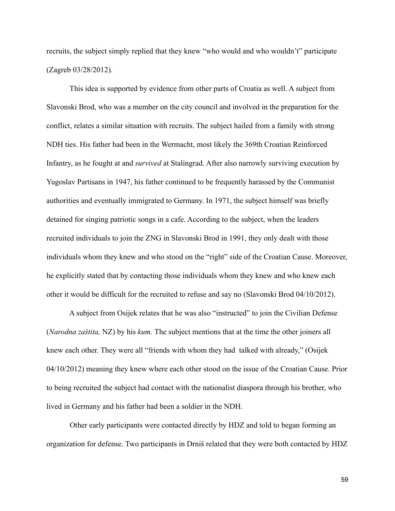recruits, the subject simply replied that they knew "who would and who wouldn't" participate (Zagreb 03/28/2012).

 This idea is supported by evidence from other parts of Croatia as well. A subject from Slavonski Brod, who was a member on the city council and involved in the preparation for the conflict, relates a similar situation with recruits. The subject hailed from a family with strong NDH ties. His father had been in the Wermacht, most likely the 369th Croatian Reinforced Infantry, as he fought at and *survived* at Stalingrad. After also narrowly surviving execution by Yugoslav Partisans in 1947, his father continued to be frequently harassed by the Communist authorities and eventually immigrated to Germany. In 1971, the subject himself was briefly detained for singing patriotic songs in a cafe. According to the subject, when the leaders recruited individuals to join the ZNG in Slavonski Brod in 1991, they only dealt with those individuals whom they knew and who stood on the "right" side of the Croatian Cause. Moreover, he explicitly stated that by contacting those individuals whom they knew and who knew each other it would be difficult for the recruited to refuse and say no (Slavonski Brod 04/10/2012).

 A subject from Osijek relates that he was also "instructed" to join the Civilian Defense (*Narodna zaštita,* NZ) by his *kum.* The subject mentions that at the time the other joiners all knew each other. They were all "friends with whom they had talked with already," (Osijek 04/10/2012) meaning they knew where each other stood on the issue of the Croatian Cause. Prior to being recruited the subject had contact with the nationalist diaspora through his brother, who lived in Germany and his father had been a soldier in the NDH.

 Other early participants were contacted directly by HDZ and told to began forming an organization for defense. Two participants in Drniš related that they were both contacted by HDZ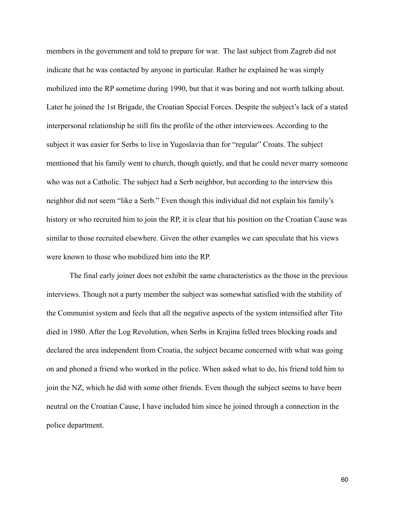members in the government and told to prepare for war. The last subject from Zagreb did not indicate that he was contacted by anyone in particular. Rather he explained he was simply mobilized into the RP sometime during 1990, but that it was boring and not worth talking about. Later he joined the 1st Brigade, the Croatian Special Forces. Despite the subject's lack of a stated interpersonal relationship he still fits the profile of the other interviewees. According to the subject it was easier for Serbs to live in Yugoslavia than for "regular" Croats. The subject mentioned that his family went to church, though quietly, and that he could never marry someone who was not a Catholic. The subject had a Serb neighbor, but according to the interview this neighbor did not seem "like a Serb." Even though this individual did not explain his family's history or who recruited him to join the RP, it is clear that his position on the Croatian Cause was similar to those recruited elsewhere. Given the other examples we can speculate that his views were known to those who mobilized him into the RP.

 The final early joiner does not exhibit the same characteristics as the those in the previous interviews. Though not a party member the subject was somewhat satisfied with the stability of the Communist system and feels that all the negative aspects of the system intensified after Tito died in 1980. After the Log Revolution, when Serbs in Krajina felled trees blocking roads and declared the area independent from Croatia, the subject became concerned with what was going on and phoned a friend who worked in the police. When asked what to do, his friend told him to join the NZ, which he did with some other friends. Even though the subject seems to have been neutral on the Croatian Cause, I have included him since he joined through a connection in the police department.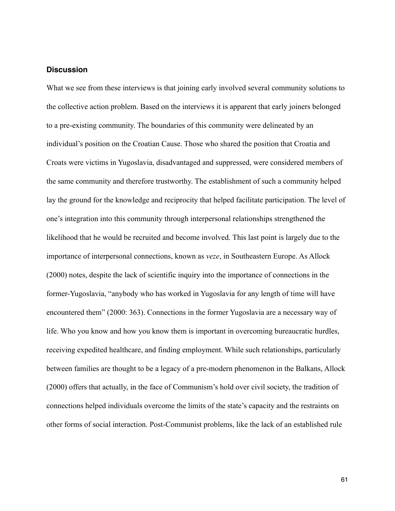# **Discussion**

What we see from these interviews is that joining early involved several community solutions to the collective action problem. Based on the interviews it is apparent that early joiners belonged to a pre-existing community. The boundaries of this community were delineated by an individual's position on the Croatian Cause. Those who shared the position that Croatia and Croats were victims in Yugoslavia, disadvantaged and suppressed, were considered members of the same community and therefore trustworthy. The establishment of such a community helped lay the ground for the knowledge and reciprocity that helped facilitate participation. The level of one's integration into this community through interpersonal relationships strengthened the likelihood that he would be recruited and become involved. This last point is largely due to the importance of interpersonal connections, known as *veze*, in Southeastern Europe. As Allock (2000) notes, despite the lack of scientific inquiry into the importance of connections in the former-Yugoslavia, "anybody who has worked in Yugoslavia for any length of time will have encountered them" (2000: 363). Connections in the former Yugoslavia are a necessary way of life. Who you know and how you know them is important in overcoming bureaucratic hurdles, receiving expedited healthcare, and finding employment. While such relationships, particularly between families are thought to be a legacy of a pre-modern phenomenon in the Balkans, Allock (2000) offers that actually, in the face of Communism's hold over civil society, the tradition of connections helped individuals overcome the limits of the state's capacity and the restraints on other forms of social interaction. Post-Communist problems, like the lack of an established rule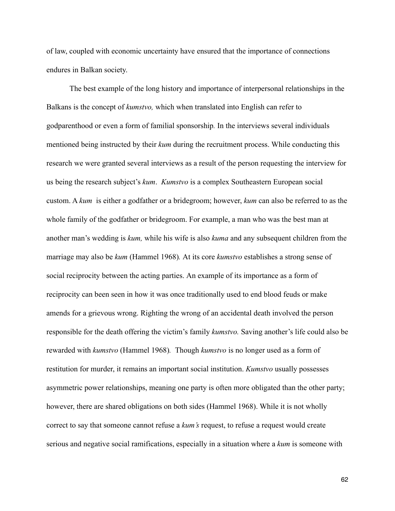of law, coupled with economic uncertainty have ensured that the importance of connections endures in Balkan society.

 The best example of the long history and importance of interpersonal relationships in the Balkans is the concept of *kumstvo,* which when translated into English can refer to godparenthood or even a form of familial sponsorship*.* In the interviews several individuals mentioned being instructed by their *kum* during the recruitment process. While conducting this research we were granted several interviews as a result of the person requesting the interview for us being the research subject's *kum*. *Kumstvo* is a complex Southeastern European social custom. A *kum* is either a godfather or a bridegroom; however, *kum* can also be referred to as the whole family of the godfather or bridegroom. For example, a man who was the best man at another man's wedding is *kum,* while his wife is also *kuma* and any subsequent children from the marriage may also be *kum* (Hammel 1968)*.* At its core *kumstvo* establishes a strong sense of social reciprocity between the acting parties. An example of its importance as a form of reciprocity can been seen in how it was once traditionally used to end blood feuds or make amends for a grievous wrong. Righting the wrong of an accidental death involved the person responsible for the death offering the victim's family *kumstvo.* Saving another's life could also be rewarded with *kumstvo* (Hammel 1968)*.* Though *kumstvo* is no longer used as a form of restitution for murder, it remains an important social institution. *Kumstvo* usually possesses asymmetric power relationships, meaning one party is often more obligated than the other party; however, there are shared obligations on both sides (Hammel 1968). While it is not wholly correct to say that someone cannot refuse a *kum's* request, to refuse a request would create serious and negative social ramifications, especially in a situation where a *kum* is someone with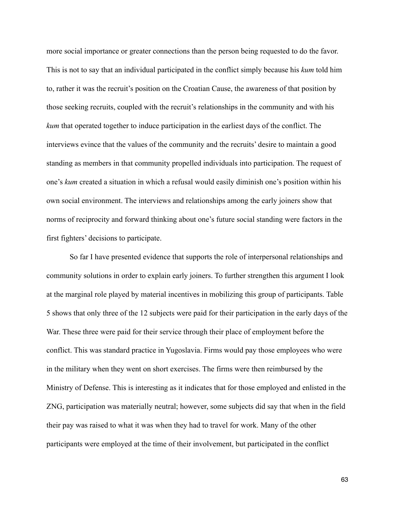more social importance or greater connections than the person being requested to do the favor. This is not to say that an individual participated in the conflict simply because his *kum* told him to, rather it was the recruit's position on the Croatian Cause, the awareness of that position by those seeking recruits, coupled with the recruit's relationships in the community and with his *kum* that operated together to induce participation in the earliest days of the conflict. The interviews evince that the values of the community and the recruits' desire to maintain a good standing as members in that community propelled individuals into participation. The request of one's *kum* created a situation in which a refusal would easily diminish one's position within his own social environment. The interviews and relationships among the early joiners show that norms of reciprocity and forward thinking about one's future social standing were factors in the first fighters' decisions to participate.

So far I have presented evidence that supports the role of interpersonal relationships and community solutions in order to explain early joiners. To further strengthen this argument I look at the marginal role played by material incentives in mobilizing this group of participants. Table 5 shows that only three of the 12 subjects were paid for their participation in the early days of the War. These three were paid for their service through their place of employment before the conflict. This was standard practice in Yugoslavia. Firms would pay those employees who were in the military when they went on short exercises. The firms were then reimbursed by the Ministry of Defense. This is interesting as it indicates that for those employed and enlisted in the ZNG, participation was materially neutral; however, some subjects did say that when in the field their pay was raised to what it was when they had to travel for work. Many of the other participants were employed at the time of their involvement, but participated in the conflict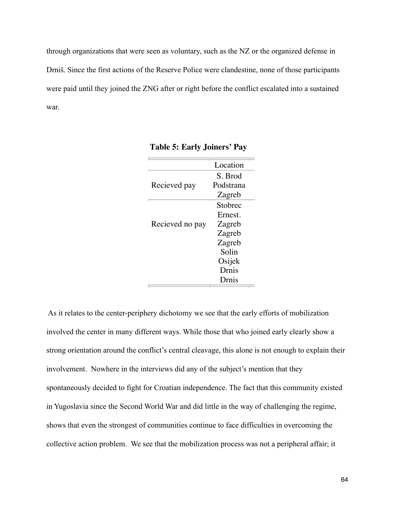through organizations that were seen as voluntary, such as the NZ or the organized defense in Drniš. Since the first actions of the Reserve Police were clandestine, none of those participants were paid until they joined the ZNG after or right before the conflict escalated into a sustained war.

|                 | Location  |
|-----------------|-----------|
|                 | S. Brod   |
| Recieved pay    | Podstrana |
|                 | Zagreb    |
|                 | Stobrec   |
|                 | Ernest.   |
| Recieved no pay | Zagreb    |
|                 | Zagreb    |
|                 | Zagreb    |
|                 | Solin     |
|                 | Osijek    |
|                 | Drnis     |
|                 | Drnis     |

|  |  | Table 5: Early Joiners' Pay |  |
|--|--|-----------------------------|--|
|--|--|-----------------------------|--|

shows that even the strongest of communities continue to face difficulties in overcoming the involved the center in many different ways. While those that who joined early clearly show a strong orientation around the conflict's central cleavage, this alone is not enough to explain their a 1.036721.036721.036721.03672.03672.03672.03672.03672.03672.03672.03672.03672.03672.03672.03672.03672.03672.0 involvement. Nowhere in the interviews did any of the subject's mention that they g 0.0001 and 0.0001 and 0.0001 and 0.0001 and 0.0001 and 0.0001 and 0.0001 and 0.0001 and 0.0001 and 0.0001 an<br>The contract of the contract of the contract of the contract of the contract of the contract of the contract o spontaneously decided to fight for Croatian independence. The fact that this community existed in Yugoslavia since the Second World War and did little in the way of challenging the regime, As it relates to the center-periphery dichotomy we see that the early efforts of mobilization collective action problem. We see that the mobilization process was not a peripheral affair; it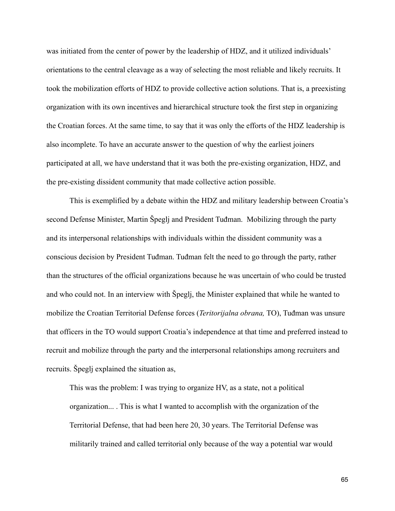was initiated from the center of power by the leadership of HDZ, and it utilized individuals' orientations to the central cleavage as a way of selecting the most reliable and likely recruits. It took the mobilization efforts of HDZ to provide collective action solutions. That is, a preexisting organization with its own incentives and hierarchical structure took the first step in organizing the Croatian forces. At the same time, to say that it was only the efforts of the HDZ leadership is also incomplete. To have an accurate answer to the question of why the earliest joiners participated at all, we have understand that it was both the pre-existing organization, HDZ, and the pre-existing dissident community that made collective action possible.

 This is exemplified by a debate within the HDZ and military leadership between Croatia's second Defense Minister, Martin Špeglj and President Tuđman. Mobilizing through the party and its interpersonal relationships with individuals within the dissident community was a conscious decision by President Tuđman. Tuđman felt the need to go through the party, rather than the structures of the official organizations because he was uncertain of who could be trusted and who could not. In an interview with Špeglj, the Minister explained that while he wanted to mobilize the Croatian Territorial Defense forces (*Teritorijalna obrana,* TO), Tuđman was unsure that officers in the TO would support Croatia's independence at that time and preferred instead to recruit and mobilize through the party and the interpersonal relationships among recruiters and recruits. Špeglj explained the situation as,

 This was the problem: I was trying to organize HV, as a state, not a political organization... . This is what I wanted to accomplish with the organization of the Territorial Defense, that had been here 20, 30 years. The Territorial Defense was militarily trained and called territorial only because of the way a potential war would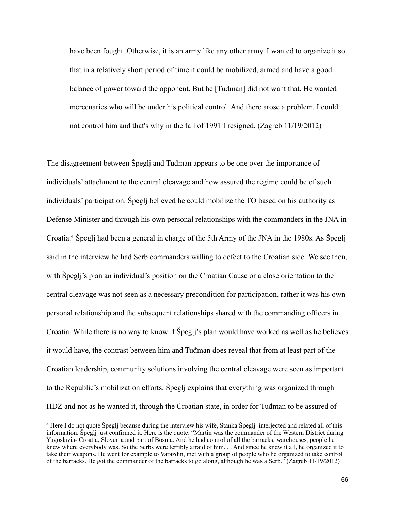have been fought. Otherwise, it is an army like any other army. I wanted to organize it so that in a relatively short period of time it could be mobilized, armed and have a good balance of power toward the opponent. But he [Tuđman] did not want that. He wanted mercenaries who will be under his political control. And there arose a problem. I could not control him and that's why in the fall of 1991 I resigned. (Zagreb 11/19/2012)

The disagreement between Špeglj and Tuđman appears to be one over the importance of individuals' attachment to the central cleavage and how assured the regime could be of such individuals' participation. Špeglj believed he could mobilize the TO based on his authority as Defense Minister and through his own personal relationships with the commanders in the JNA in Croatia[.4](#page-71-0) Špeglj had been a general in charge of the 5th Army of the JNA in the 1980s. As Špeglj said in the interview he had Serb commanders willing to defect to the Croatian side. We see then, with Špeglj's plan an individual's position on the Croatian Cause or a close orientation to the central cleavage was not seen as a necessary precondition for participation, rather it was his own personal relationship and the subsequent relationships shared with the commanding officers in Croatia. While there is no way to know if Špeglj's plan would have worked as well as he believes it would have, the contrast between him and Tuđman does reveal that from at least part of the Croatian leadership, community solutions involving the central cleavage were seen as important to the Republic's mobilization efforts. Špeglj explains that everything was organized through HDZ and not as he wanted it, through the Croatian state, in order for Tuđman to be assured of

<span id="page-71-0"></span><sup>4</sup> Here I do not quote Špeglj because during the interview his wife, Stanka Špeglj interjected and related all of this information. Špeglj just confirmed it. Here is the quote: "Martin was the commander of the Western District during Yugoslavia- Croatia, Slovenia and part of Bosnia. And he had control of all the barracks, warehouses, people he knew where everybody was. So the Serbs were terribly afraid of him... . And since he knew it all, he organized it to take their weapons. He went for example to Varazdin, met with a group of people who he organized to take control of the barracks. He got the commander of the barracks to go along, although he was a Serb." (Zagreb 11/19/2012)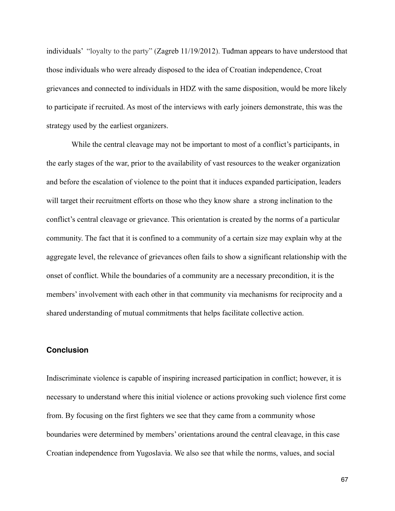individuals' "loyalty to the party" (Zagreb 11/19/2012). Tuđman appears to have understood that those individuals who were already disposed to the idea of Croatian independence, Croat grievances and connected to individuals in HDZ with the same disposition, would be more likely to participate if recruited. As most of the interviews with early joiners demonstrate, this was the strategy used by the earliest organizers.

While the central cleavage may not be important to most of a conflict's participants, in the early stages of the war, prior to the availability of vast resources to the weaker organization and before the escalation of violence to the point that it induces expanded participation, leaders will target their recruitment efforts on those who they know share a strong inclination to the conflict's central cleavage or grievance. This orientation is created by the norms of a particular community. The fact that it is confined to a community of a certain size may explain why at the aggregate level, the relevance of grievances often fails to show a significant relationship with the onset of conflict. While the boundaries of a community are a necessary precondition, it is the members' involvement with each other in that community via mechanisms for reciprocity and a shared understanding of mutual commitments that helps facilitate collective action.

### **Conclusion**

Indiscriminate violence is capable of inspiring increased participation in conflict; however, it is necessary to understand where this initial violence or actions provoking such violence first come from. By focusing on the first fighters we see that they came from a community whose boundaries were determined by members' orientations around the central cleavage, in this case Croatian independence from Yugoslavia. We also see that while the norms, values, and social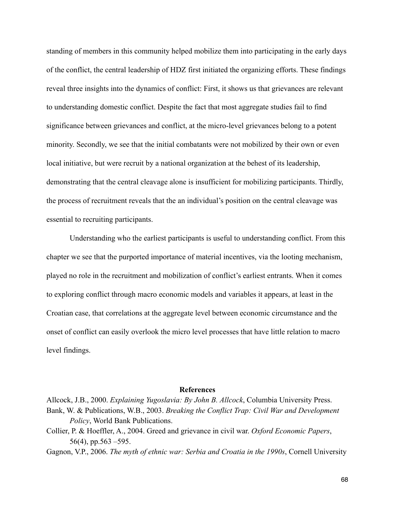standing of members in this community helped mobilize them into participating in the early days of the conflict, the central leadership of HDZ first initiated the organizing efforts. These findings reveal three insights into the dynamics of conflict: First, it shows us that grievances are relevant to understanding domestic conflict. Despite the fact that most aggregate studies fail to find significance between grievances and conflict, at the micro-level grievances belong to a potent minority. Secondly, we see that the initial combatants were not mobilized by their own or even local initiative, but were recruit by a national organization at the behest of its leadership, demonstrating that the central cleavage alone is insufficient for mobilizing participants. Thirdly, the process of recruitment reveals that the an individual's position on the central cleavage was essential to recruiting participants.

 Understanding who the earliest participants is useful to understanding conflict. From this chapter we see that the purported importance of material incentives, via the looting mechanism, played no role in the recruitment and mobilization of conflict's earliest entrants. When it comes to exploring conflict through macro economic models and variables it appears, at least in the Croatian case, that correlations at the aggregate level between economic circumstance and the onset of conflict can easily overlook the micro level processes that have little relation to macro level findings.

#### **References**

Allcock, J.B., 2000. *Explaining Yugoslavia: By John B. Allcock*, Columbia University Press. Bank, W. & Publications, W.B., 2003. *Breaking the Conflict Trap: Civil War and Development Policy*, World Bank Publications.

Collier, P. & Hoeffler, A., 2004. Greed and grievance in civil war. *Oxford Economic Papers*, 56(4), pp.563 –595.

Gagnon, V.P., 2006. *The myth of ethnic war: Serbia and Croatia in the 1990s*, Cornell University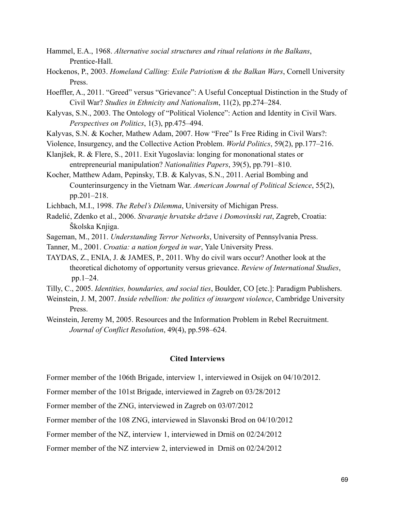- Hammel, E.A., 1968. *Alternative social structures and ritual relations in the Balkans*, Prentice-Hall.
- Hockenos, P., 2003. *Homeland Calling: Exile Patriotism & the Balkan Wars*, Cornell University Press.
- Hoeffler, A., 2011. "Greed" versus "Grievance": A Useful Conceptual Distinction in the Study of Civil War? *Studies in Ethnicity and Nationalism*, 11(2), pp.274–284.
- Kalyvas, S.N., 2003. The Ontology of "Political Violence": Action and Identity in Civil Wars. *Perspectives on Politics*, 1(3), pp.475–494.
- Kalyvas, S.N. & Kocher, Mathew Adam, 2007. How "Free" Is Free Riding in Civil Wars?:
- Violence, Insurgency, and the Collective Action Problem. *World Politics*, 59(2), pp.177–216.
- Klanjšek, R. & Flere, S., 2011. Exit Yugoslavia: longing for mononational states or entrepreneurial manipulation? *Nationalities Papers*, 39(5), pp.791–810.
- Kocher, Matthew Adam, Pepinsky, T.B. & Kalyvas, S.N., 2011. Aerial Bombing and Counterinsurgency in the Vietnam War. *American Journal of Political Science*, 55(2), pp.201–218.
- Lichbach, M.I., 1998. *The Rebel's Dilemma*, University of Michigan Press.
- Radelić, Zdenko et al., 2006. *Stvaranje hrvatske države i Domovinski rat*, Zagreb, Croatia: Školska Knjiga.
- Sageman, M., 2011. *Understanding Terror Networks*, University of Pennsylvania Press.
- Tanner, M., 2001. *Croatia: a nation forged in war*, Yale University Press.
- TAYDAS, Z., ENIA, J. & JAMES, P., 2011. Why do civil wars occur? Another look at the theoretical dichotomy of opportunity versus grievance. *Review of International Studies*, pp.1–24.
- Tilly, C., 2005. *Identities, boundaries, and social ties*, Boulder, CO [etc.]: Paradigm Publishers.
- Weinstein, J. M, 2007. *Inside rebellion: the politics of insurgent violence*, Cambridge University Press.
- Weinstein, Jeremy M, 2005. Resources and the Information Problem in Rebel Recruitment. *Journal of Conflict Resolution*, 49(4), pp.598–624.

### **Cited Interviews**

Former member of the 106th Brigade, interview 1, interviewed in Osijek on 04/10/2012.

Former member of the 101st Brigade, interviewed in Zagreb on 03/28/2012

Former member of the ZNG, interviewed in Zagreb on 03/07/2012

Former member of the 108 ZNG, interviewed in Slavonski Brod on 04/10/2012

Former member of the NZ, interview 1, interviewed in Drniš on 02/24/2012

Former member of the NZ interview 2, interviewed in Drniš on 02/24/2012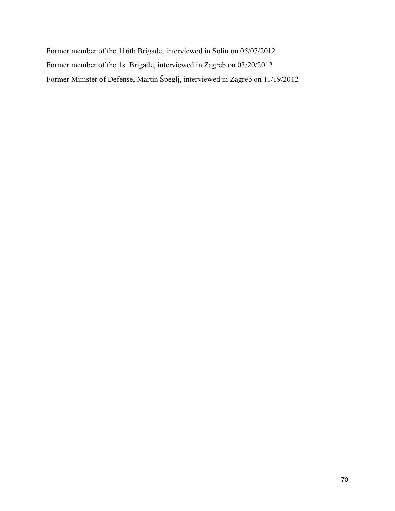Former member of the 116th Brigade, interviewed in Solin on 05/07/2012 Former member of the 1st Brigade, interviewed in Zagreb on 03/20/2012 Former Minister of Defense, Martin Špeglj, interviewed in Zagreb on 11/19/2012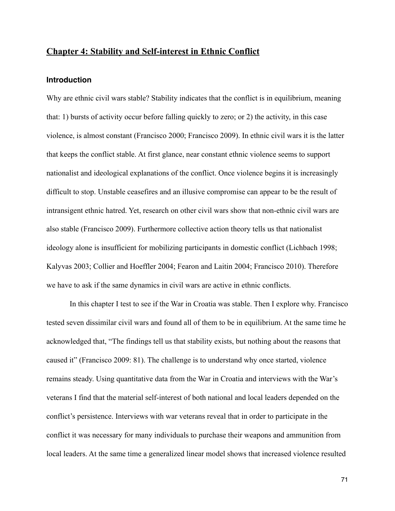## **Chapter 4: Stability and Self-interest in Ethnic Conflict**

### **Introduction**

Why are ethnic civil wars stable? Stability indicates that the conflict is in equilibrium, meaning that: 1) bursts of activity occur before falling quickly to zero; or 2) the activity, in this case violence, is almost constant (Francisco 2000; Francisco 2009). In ethnic civil wars it is the latter that keeps the conflict stable. At first glance, near constant ethnic violence seems to support nationalist and ideological explanations of the conflict. Once violence begins it is increasingly difficult to stop. Unstable ceasefires and an illusive compromise can appear to be the result of intransigent ethnic hatred. Yet, research on other civil wars show that non-ethnic civil wars are also stable (Francisco 2009). Furthermore collective action theory tells us that nationalist ideology alone is insufficient for mobilizing participants in domestic conflict (Lichbach 1998; Kalyvas 2003; Collier and Hoeffler 2004; Fearon and Laitin 2004; Francisco 2010). Therefore we have to ask if the same dynamics in civil wars are active in ethnic conflicts.

 In this chapter I test to see if the War in Croatia was stable. Then I explore why. Francisco tested seven dissimilar civil wars and found all of them to be in equilibrium. At the same time he acknowledged that, "The findings tell us that stability exists, but nothing about the reasons that caused it" (Francisco 2009: 81). The challenge is to understand why once started, violence remains steady. Using quantitative data from the War in Croatia and interviews with the War's veterans I find that the material self-interest of both national and local leaders depended on the conflict's persistence. Interviews with war veterans reveal that in order to participate in the conflict it was necessary for many individuals to purchase their weapons and ammunition from local leaders. At the same time a generalized linear model shows that increased violence resulted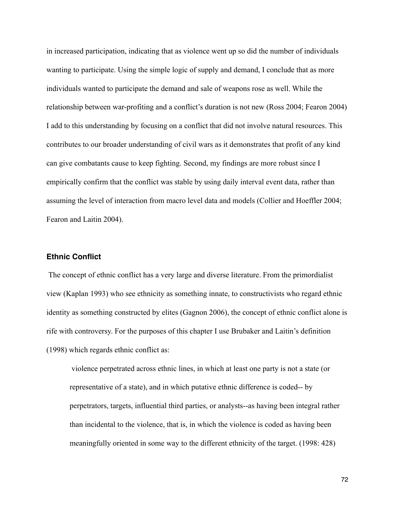in increased participation, indicating that as violence went up so did the number of individuals wanting to participate. Using the simple logic of supply and demand, I conclude that as more individuals wanted to participate the demand and sale of weapons rose as well. While the relationship between war-profiting and a conflict's duration is not new (Ross 2004; Fearon 2004) I add to this understanding by focusing on a conflict that did not involve natural resources. This contributes to our broader understanding of civil wars as it demonstrates that profit of any kind can give combatants cause to keep fighting. Second, my findings are more robust since I empirically confirm that the conflict was stable by using daily interval event data, rather than assuming the level of interaction from macro level data and models (Collier and Hoeffler 2004; Fearon and Laitin 2004).

#### **Ethnic Conflict**

The concept of ethnic conflict has a very large and diverse literature. From the primordialist view (Kaplan 1993) who see ethnicity as something innate, to constructivists who regard ethnic identity as something constructed by elites (Gagnon 2006), the concept of ethnic conflict alone is rife with controversy. For the purposes of this chapter I use Brubaker and Laitin's definition (1998) which regards ethnic conflict as:

 violence perpetrated across ethnic lines, in which at least one party is not a state (or representative of a state), and in which putative ethnic difference is coded-- by perpetrators, targets, influential third parties, or analysts--as having been integral rather than incidental to the violence, that is, in which the violence is coded as having been meaningfully oriented in some way to the different ethnicity of the target. (1998: 428)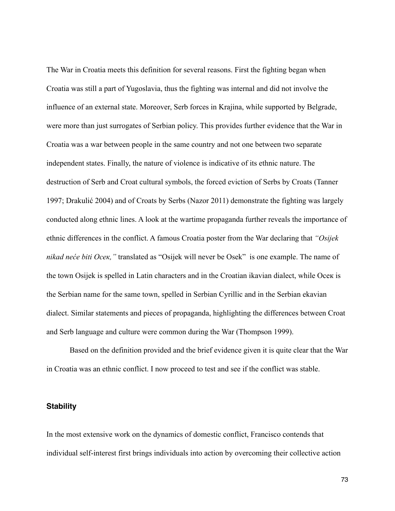The War in Croatia meets this definition for several reasons. First the fighting began when Croatia was still a part of Yugoslavia, thus the fighting was internal and did not involve the influence of an external state. Moreover, Serb forces in Krajina, while supported by Belgrade, were more than just surrogates of Serbian policy. This provides further evidence that the War in Croatia was a war between people in the same country and not one between two separate independent states. Finally, the nature of violence is indicative of its ethnic nature. The destruction of Serb and Croat cultural symbols, the forced eviction of Serbs by Croats (Tanner 1997; Drakulić 2004) and of Croats by Serbs (Nazor 2011) demonstrate the fighting was largely conducted along ethnic lines. A look at the wartime propaganda further reveals the importance of ethnic differences in the conflict. A famous Croatia poster from the War declaring that *"Osijek nikad neće biti Осек,"* translated as "Osijek will never be Osek" is one example. The name of the town Osijek is spelled in Latin characters and in the Croatian ikavian dialect, while Oсек is the Serbian name for the same town, spelled in Serbian Cyrillic and in the Serbian ekavian dialect. Similar statements and pieces of propaganda, highlighting the differences between Croat and Serb language and culture were common during the War (Thompson 1999).

 Based on the definition provided and the brief evidence given it is quite clear that the War in Croatia was an ethnic conflict. I now proceed to test and see if the conflict was stable.

### **Stability**

In the most extensive work on the dynamics of domestic conflict, Francisco contends that individual self-interest first brings individuals into action by overcoming their collective action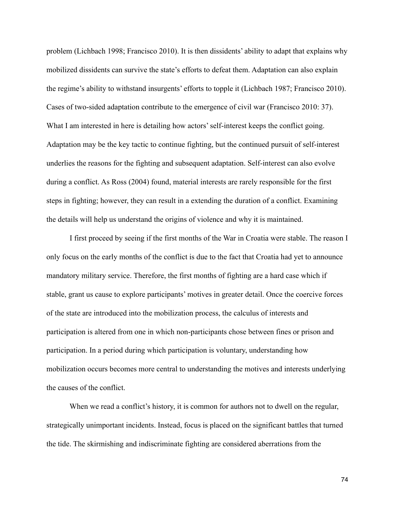problem (Lichbach 1998; Francisco 2010). It is then dissidents' ability to adapt that explains why mobilized dissidents can survive the state's efforts to defeat them. Adaptation can also explain the regime's ability to withstand insurgents' efforts to topple it (Lichbach 1987; Francisco 2010). Cases of two-sided adaptation contribute to the emergence of civil war (Francisco 2010: 37). What I am interested in here is detailing how actors' self-interest keeps the conflict going. Adaptation may be the key tactic to continue fighting, but the continued pursuit of self-interest underlies the reasons for the fighting and subsequent adaptation. Self-interest can also evolve during a conflict. As Ross (2004) found, material interests are rarely responsible for the first steps in fighting; however, they can result in a extending the duration of a conflict. Examining the details will help us understand the origins of violence and why it is maintained.

 I first proceed by seeing if the first months of the War in Croatia were stable. The reason I only focus on the early months of the conflict is due to the fact that Croatia had yet to announce mandatory military service. Therefore, the first months of fighting are a hard case which if stable, grant us cause to explore participants' motives in greater detail. Once the coercive forces of the state are introduced into the mobilization process, the calculus of interests and participation is altered from one in which non-participants chose between fines or prison and participation. In a period during which participation is voluntary, understanding how mobilization occurs becomes more central to understanding the motives and interests underlying the causes of the conflict.

When we read a conflict's history, it is common for authors not to dwell on the regular, strategically unimportant incidents. Instead, focus is placed on the significant battles that turned the tide. The skirmishing and indiscriminate fighting are considered aberrations from the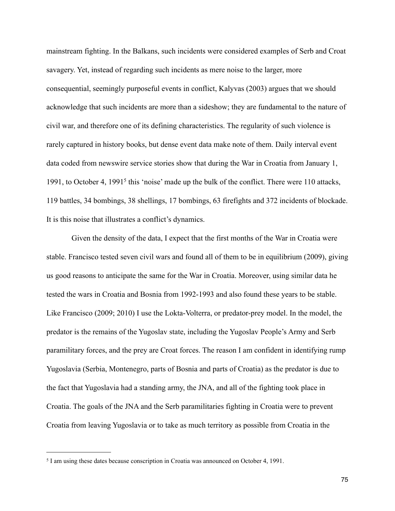mainstream fighting. In the Balkans, such incidents were considered examples of Serb and Croat savagery. Yet, instead of regarding such incidents as mere noise to the larger, more consequential, seemingly purposeful events in conflict, Kalyvas (2003) argues that we should acknowledge that such incidents are more than a sideshow; they are fundamental to the nature of civil war, and therefore one of its defining characteristics. The regularity of such violence is rarely captured in history books, but dense event data make note of them. Daily interval event data coded from newswire service stories show that during the War in Croatia from January 1, 1991, to October 4, 1991[5](#page-80-0) this 'noise' made up the bulk of the conflict. There were 110 attacks, 119 battles, 34 bombings, 38 shellings, 17 bombings, 63 firefights and 372 incidents of blockade. It is this noise that illustrates a conflict's dynamics.

 Given the density of the data, I expect that the first months of the War in Croatia were stable. Francisco tested seven civil wars and found all of them to be in equilibrium (2009), giving us good reasons to anticipate the same for the War in Croatia. Moreover, using similar data he tested the wars in Croatia and Bosnia from 1992-1993 and also found these years to be stable. Like Francisco (2009; 2010) I use the Lokta-Volterra, or predator-prey model. In the model, the predator is the remains of the Yugoslav state, including the Yugoslav People's Army and Serb paramilitary forces, and the prey are Croat forces. The reason I am confident in identifying rump Yugoslavia (Serbia, Montenegro, parts of Bosnia and parts of Croatia) as the predator is due to the fact that Yugoslavia had a standing army, the JNA, and all of the fighting took place in Croatia. The goals of the JNA and the Serb paramilitaries fighting in Croatia were to prevent Croatia from leaving Yugoslavia or to take as much territory as possible from Croatia in the

<span id="page-80-0"></span><sup>5</sup> I am using these dates because conscription in Croatia was announced on October 4, 1991.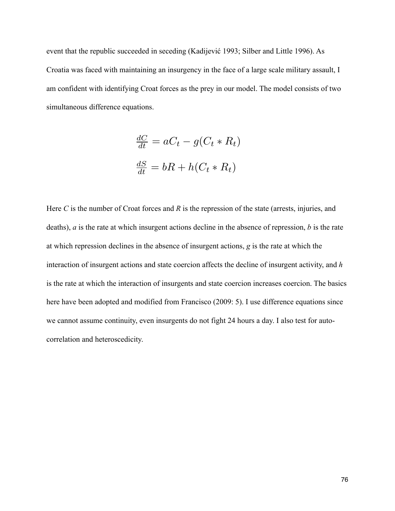event that the republic succeeded in seceding (Kadijević 1993; Silber and Little 1996). As Croatia was faced with maintaining an insurgency in the face of a large scale military assault, I am confident with identifying Croat forces as the prey in our model. The model consists of two simultaneous difference equations.

$$
\frac{dC}{dt} = aC_t - g(C_t * R_t)
$$

$$
\frac{dS}{dt} = bR + h(C_t * R_t)
$$

Here *C* is the number of Croat forces and *R* is the repression of the state (arrests, injuries, and deaths), *a* is the rate at which insurgent actions decline in the absence of repression, *b* is the rate at which repression declines in the absence of insurgent actions, *g* is the rate at which the interaction of insurgent actions and state coercion affects the decline of insurgent activity, and *h* is the rate at which the interaction of insurgents and state coercion increases coercion. The basics here have been adopted and modified from Francisco (2009: 5). I use difference equations since we cannot assume continuity, even insurgents do not fight 24 hours a day. I also test for autocorrelation and heteroscedicity.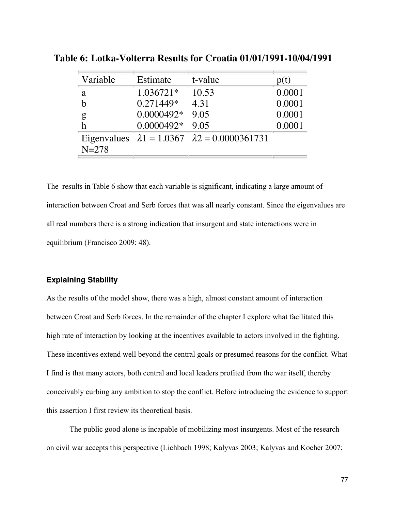| Variable  | Estimate     | t-value                                                     | p(t)   |
|-----------|--------------|-------------------------------------------------------------|--------|
| a         | $1.036721*$  | 10.53                                                       | 0.0001 |
| h         | 0.271449*    | 4.31                                                        | 0.0001 |
| g         | $0.0000492*$ | 9.05                                                        | 0.0001 |
| h         | $0.0000492*$ | 9.05                                                        | 0.0001 |
| $N = 278$ |              | Eigenvalues $\lambda_1 = 1.0367$ $\lambda_2 = 0.0000361731$ |        |

**Table 6: Lotka-Volterra Results for Croatia 01/01/1991-10/04/1991**

The results in Table 6 show that each variable is significant, indicating a large amount of interaction between Croat and Serb forces that was all nearly constant. Since the eigenvalues are all real numbers there is a strong indication that insurgent and state interactions were in equilibrium (Francisco 2009: 48).

#### **Explaining Stability**

As the results of the model show, there was a high, almost constant amount of interaction between Croat and Serb forces. In the remainder of the chapter I explore what facilitated this high rate of interaction by looking at the incentives available to actors involved in the fighting. These incentives extend well beyond the central goals or presumed reasons for the conflict. What I find is that many actors, both central and local leaders profited from the war itself, thereby conceivably curbing any ambition to stop the conflict. Before introducing the evidence to support this assertion I first review its theoretical basis.

 The public good alone is incapable of mobilizing most insurgents. Most of the research on civil war accepts this perspective (Lichbach 1998; Kalyvas 2003; Kalyvas and Kocher 2007;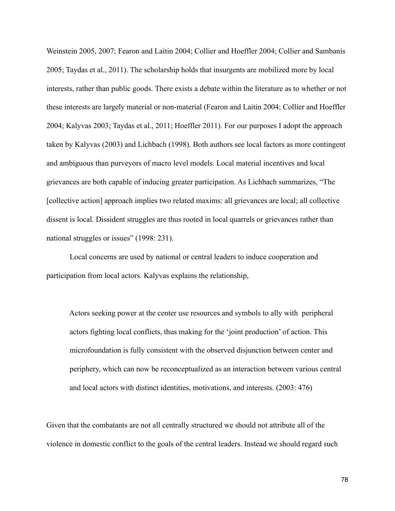Weinstein 2005, 2007; Fearon and Laitin 2004; Collier and Hoeffler 2004; Collier and Sambanis 2005; Taydas et al., 2011). The scholarship holds that insurgents are mobilized more by local interests, rather than public goods. There exists a debate within the literature as to whether or not these interests are largely material or non-material (Fearon and Laitin 2004; Collier and Hoeffler 2004; Kalyvas 2003; Taydas et al., 2011; Hoeffler 2011). For our purposes I adopt the approach taken by Kalyvas (2003) and Lichbach (1998). Both authors see local factors as more contingent and ambiguous than purveyors of macro level models. Local material incentives and local grievances are both capable of inducing greater participation. As Lichbach summarizes, "The [collective action] approach implies two related maxims: all grievances are local; all collective dissent is local. Dissident struggles are thus rooted in local quarrels or grievances rather than national struggles or issues" (1998: 231).

 Local concerns are used by national or central leaders to induce cooperation and participation from local actors. Kalyvas explains the relationship,

 Actors seeking power at the center use resources and symbols to ally with peripheral actors fighting local conflicts, thus making for the 'joint production' of action. This microfoundation is fully consistent with the observed disjunction between center and periphery, which can now be reconceptualized as an interaction between various central and local actors with distinct identities, motivations, and interests. (2003: 476)

Given that the combatants are not all centrally structured we should not attribute all of the violence in domestic conflict to the goals of the central leaders. Instead we should regard such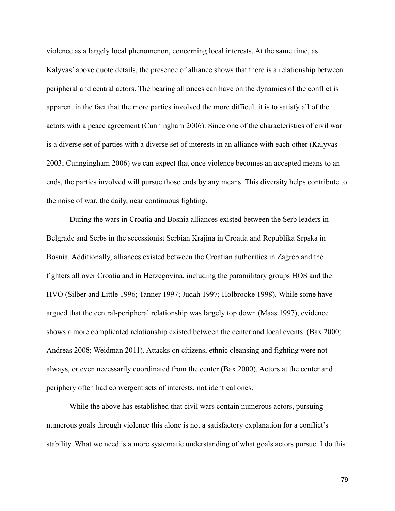violence as a largely local phenomenon, concerning local interests. At the same time, as Kalyvas' above quote details, the presence of alliance shows that there is a relationship between peripheral and central actors. The bearing alliances can have on the dynamics of the conflict is apparent in the fact that the more parties involved the more difficult it is to satisfy all of the actors with a peace agreement (Cunningham 2006). Since one of the characteristics of civil war is a diverse set of parties with a diverse set of interests in an alliance with each other (Kalyvas 2003; Cunngingham 2006) we can expect that once violence becomes an accepted means to an ends, the parties involved will pursue those ends by any means. This diversity helps contribute to the noise of war, the daily, near continuous fighting.

 During the wars in Croatia and Bosnia alliances existed between the Serb leaders in Belgrade and Serbs in the secessionist Serbian Krajina in Croatia and Republika Srpska in Bosnia. Additionally, alliances existed between the Croatian authorities in Zagreb and the fighters all over Croatia and in Herzegovina, including the paramilitary groups HOS and the HVO (Silber and Little 1996; Tanner 1997; Judah 1997; Holbrooke 1998). While some have argued that the central-peripheral relationship was largely top down (Maas 1997), evidence shows a more complicated relationship existed between the center and local events (Bax 2000; Andreas 2008; Weidman 2011). Attacks on citizens, ethnic cleansing and fighting were not always, or even necessarily coordinated from the center (Bax 2000). Actors at the center and periphery often had convergent sets of interests, not identical ones.

 While the above has established that civil wars contain numerous actors, pursuing numerous goals through violence this alone is not a satisfactory explanation for a conflict's stability. What we need is a more systematic understanding of what goals actors pursue. I do this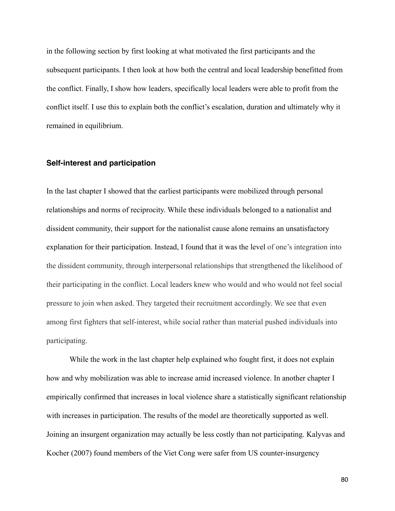in the following section by first looking at what motivated the first participants and the subsequent participants. I then look at how both the central and local leadership benefitted from the conflict. Finally, I show how leaders, specifically local leaders were able to profit from the conflict itself. I use this to explain both the conflict's escalation, duration and ultimately why it remained in equilibrium.

### **Self-interest and participation**

In the last chapter I showed that the earliest participants were mobilized through personal relationships and norms of reciprocity. While these individuals belonged to a nationalist and dissident community, their support for the nationalist cause alone remains an unsatisfactory explanation for their participation. Instead, I found that it was the level of one's integration into the dissident community, through interpersonal relationships that strengthened the likelihood of their participating in the conflict. Local leaders knew who would and who would not feel social pressure to join when asked. They targeted their recruitment accordingly. We see that even among first fighters that self-interest, while social rather than material pushed individuals into participating.

While the work in the last chapter help explained who fought first, it does not explain how and why mobilization was able to increase amid increased violence. In another chapter I empirically confirmed that increases in local violence share a statistically significant relationship with increases in participation. The results of the model are theoretically supported as well. Joining an insurgent organization may actually be less costly than not participating. Kalyvas and Kocher (2007) found members of the Viet Cong were safer from US counter-insurgency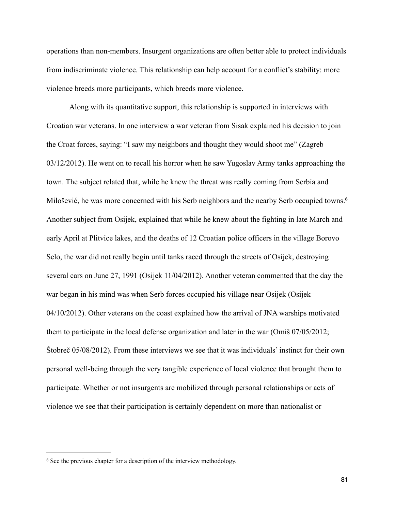operations than non-members. Insurgent organizations are often better able to protect individuals from indiscriminate violence. This relationship can help account for a conflict's stability: more violence breeds more participants, which breeds more violence.

 Along with its quantitative support, this relationship is supported in interviews with Croatian war veterans. In one interview a war veteran from Sisak explained his decision to join the Croat forces, saying: "I saw my neighbors and thought they would shoot me" (Zagreb 03/12/2012). He went on to recall his horror when he saw Yugoslav Army tanks approaching the town. The subject related that, while he knew the threat was really coming from Serbia and Milošević, he was more concerned with his Serb neighbors and the nearby Serb occupied towns.<sup>6</sup> Another subject from Osijek, explained that while he knew about the fighting in late March and early April at Plitvice lakes, and the deaths of 12 Croatian police officers in the village Borovo Selo, the war did not really begin until tanks raced through the streets of Osijek, destroying several cars on June 27, 1991 (Osijek 11/04/2012). Another veteran commented that the day the war began in his mind was when Serb forces occupied his village near Osijek (Osijek 04/10/2012). Other veterans on the coast explained how the arrival of JNA warships motivated them to participate in the local defense organization and later in the war (Omiš 07/05/2012; Štobreč 05/08/2012). From these interviews we see that it was individuals' instinct for their own personal well-being through the very tangible experience of local violence that brought them to participate. Whether or not insurgents are mobilized through personal relationships or acts of violence we see that their participation is certainly dependent on more than nationalist or

<span id="page-86-0"></span><sup>6</sup> See the previous chapter for a description of the interview methodology.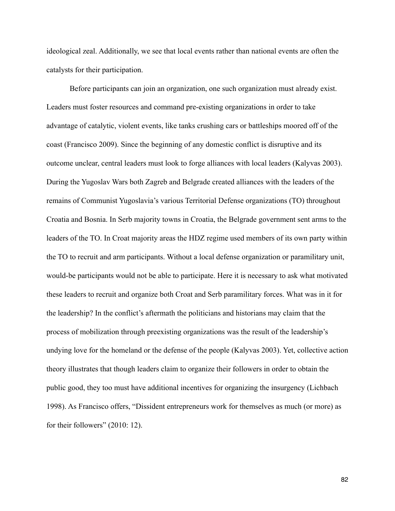ideological zeal. Additionally, we see that local events rather than national events are often the catalysts for their participation.

 Before participants can join an organization, one such organization must already exist. Leaders must foster resources and command pre-existing organizations in order to take advantage of catalytic, violent events, like tanks crushing cars or battleships moored off of the coast (Francisco 2009). Since the beginning of any domestic conflict is disruptive and its outcome unclear, central leaders must look to forge alliances with local leaders (Kalyvas 2003). During the Yugoslav Wars both Zagreb and Belgrade created alliances with the leaders of the remains of Communist Yugoslavia's various Territorial Defense organizations (TO) throughout Croatia and Bosnia. In Serb majority towns in Croatia, the Belgrade government sent arms to the leaders of the TO. In Croat majority areas the HDZ regime used members of its own party within the TO to recruit and arm participants. Without a local defense organization or paramilitary unit, would-be participants would not be able to participate. Here it is necessary to ask what motivated these leaders to recruit and organize both Croat and Serb paramilitary forces. What was in it for the leadership? In the conflict's aftermath the politicians and historians may claim that the process of mobilization through preexisting organizations was the result of the leadership's undying love for the homeland or the defense of the people (Kalyvas 2003). Yet, collective action theory illustrates that though leaders claim to organize their followers in order to obtain the public good, they too must have additional incentives for organizing the insurgency (Lichbach 1998). As Francisco offers, "Dissident entrepreneurs work for themselves as much (or more) as for their followers" (2010: 12).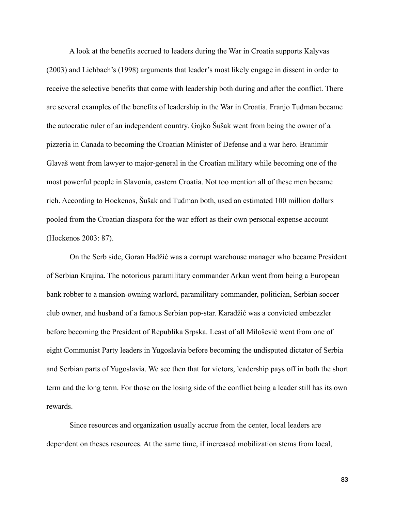A look at the benefits accrued to leaders during the War in Croatia supports Kalyvas (2003) and Lichbach's (1998) arguments that leader's most likely engage in dissent in order to receive the selective benefits that come with leadership both during and after the conflict. There are several examples of the benefits of leadership in the War in Croatia. Franjo Tuđman became the autocratic ruler of an independent country. Gojko Šušak went from being the owner of a pizzeria in Canada to becoming the Croatian Minister of Defense and a war hero. Branimir Glavaš went from lawyer to major-general in the Croatian military while becoming one of the most powerful people in Slavonia, eastern Croatia. Not too mention all of these men became rich. According to Hockenos, Šušak and Tuđman both, used an estimated 100 million dollars pooled from the Croatian diaspora for the war effort as their own personal expense account (Hockenos 2003: 87).

 On the Serb side, Goran Hadžić was a corrupt warehouse manager who became President of Serbian Krajina. The notorious paramilitary commander Arkan went from being a European bank robber to a mansion-owning warlord, paramilitary commander, politician, Serbian soccer club owner, and husband of a famous Serbian pop-star. Karadžić was a convicted embezzler before becoming the President of Republika Srpska. Least of all Milošević went from one of eight Communist Party leaders in Yugoslavia before becoming the undisputed dictator of Serbia and Serbian parts of Yugoslavia. We see then that for victors, leadership pays off in both the short term and the long term. For those on the losing side of the conflict being a leader still has its own rewards.

 Since resources and organization usually accrue from the center, local leaders are dependent on theses resources. At the same time, if increased mobilization stems from local,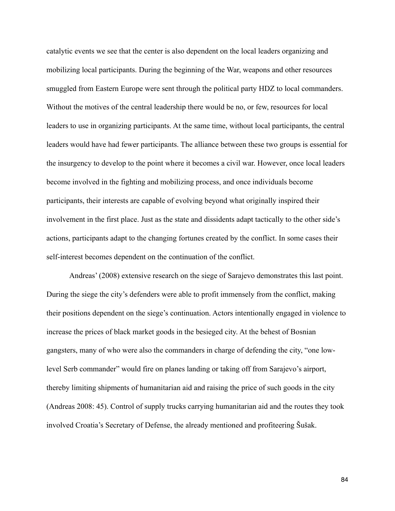catalytic events we see that the center is also dependent on the local leaders organizing and mobilizing local participants. During the beginning of the War, weapons and other resources smuggled from Eastern Europe were sent through the political party HDZ to local commanders. Without the motives of the central leadership there would be no, or few, resources for local leaders to use in organizing participants. At the same time, without local participants, the central leaders would have had fewer participants. The alliance between these two groups is essential for the insurgency to develop to the point where it becomes a civil war. However, once local leaders become involved in the fighting and mobilizing process, and once individuals become participants, their interests are capable of evolving beyond what originally inspired their involvement in the first place. Just as the state and dissidents adapt tactically to the other side's actions, participants adapt to the changing fortunes created by the conflict. In some cases their self-interest becomes dependent on the continuation of the conflict.

 Andreas' (2008) extensive research on the siege of Sarajevo demonstrates this last point. During the siege the city's defenders were able to profit immensely from the conflict, making their positions dependent on the siege's continuation. Actors intentionally engaged in violence to increase the prices of black market goods in the besieged city. At the behest of Bosnian gangsters, many of who were also the commanders in charge of defending the city, "one lowlevel Serb commander" would fire on planes landing or taking off from Sarajevo's airport, thereby limiting shipments of humanitarian aid and raising the price of such goods in the city (Andreas 2008: 45). Control of supply trucks carrying humanitarian aid and the routes they took involved Croatia's Secretary of Defense, the already mentioned and profiteering Šušak.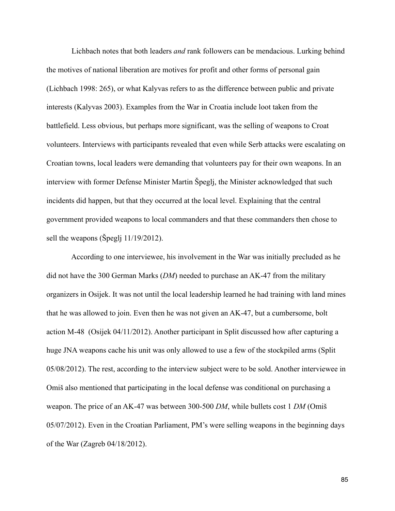Lichbach notes that both leaders *and* rank followers can be mendacious. Lurking behind the motives of national liberation are motives for profit and other forms of personal gain (Lichbach 1998: 265), or what Kalyvas refers to as the difference between public and private interests (Kalyvas 2003). Examples from the War in Croatia include loot taken from the battlefield. Less obvious, but perhaps more significant, was the selling of weapons to Croat volunteers. Interviews with participants revealed that even while Serb attacks were escalating on Croatian towns, local leaders were demanding that volunteers pay for their own weapons. In an interview with former Defense Minister Martin Špeglj, the Minister acknowledged that such incidents did happen, but that they occurred at the local level. Explaining that the central government provided weapons to local commanders and that these commanders then chose to sell the weapons (Špeglj 11/19/2012).

 According to one interviewee, his involvement in the War was initially precluded as he did not have the 300 German Marks (*DM*) needed to purchase an AK-47 from the military organizers in Osijek. It was not until the local leadership learned he had training with land mines that he was allowed to join. Even then he was not given an AK-47, but a cumbersome, bolt action M-48 (Osijek 04/11/2012). Another participant in Split discussed how after capturing a huge JNA weapons cache his unit was only allowed to use a few of the stockpiled arms (Split 05/08/2012). The rest, according to the interview subject were to be sold. Another interviewee in Omiš also mentioned that participating in the local defense was conditional on purchasing a weapon. The price of an AK-47 was between 300-500 *DM*, while bullets cost 1 *DM* (Omiš 05/07/2012). Even in the Croatian Parliament, PM's were selling weapons in the beginning days of the War (Zagreb 04/18/2012).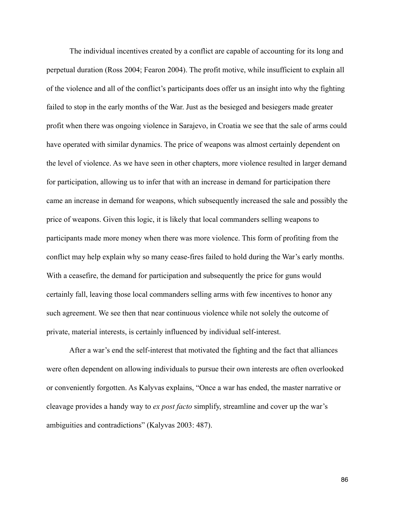The individual incentives created by a conflict are capable of accounting for its long and perpetual duration (Ross 2004; Fearon 2004). The profit motive, while insufficient to explain all of the violence and all of the conflict's participants does offer us an insight into why the fighting failed to stop in the early months of the War. Just as the besieged and besiegers made greater profit when there was ongoing violence in Sarajevo, in Croatia we see that the sale of arms could have operated with similar dynamics. The price of weapons was almost certainly dependent on the level of violence. As we have seen in other chapters, more violence resulted in larger demand for participation, allowing us to infer that with an increase in demand for participation there came an increase in demand for weapons, which subsequently increased the sale and possibly the price of weapons. Given this logic, it is likely that local commanders selling weapons to participants made more money when there was more violence. This form of profiting from the conflict may help explain why so many cease-fires failed to hold during the War's early months. With a ceasefire, the demand for participation and subsequently the price for guns would certainly fall, leaving those local commanders selling arms with few incentives to honor any such agreement. We see then that near continuous violence while not solely the outcome of private, material interests, is certainly influenced by individual self-interest.

 After a war's end the self-interest that motivated the fighting and the fact that alliances were often dependent on allowing individuals to pursue their own interests are often overlooked or conveniently forgotten. As Kalyvas explains, "Once a war has ended, the master narrative or cleavage provides a handy way to *ex post facto* simplify, streamline and cover up the war's ambiguities and contradictions" (Kalyvas 2003: 487).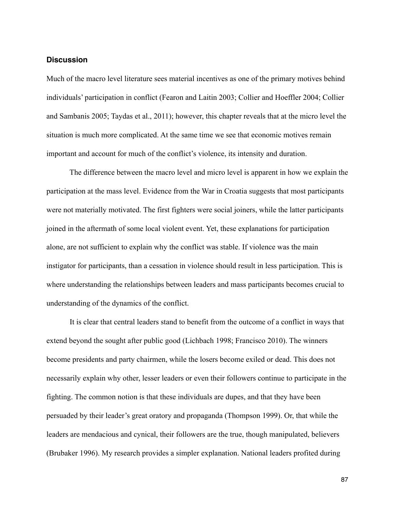### **Discussion**

Much of the macro level literature sees material incentives as one of the primary motives behind individuals' participation in conflict (Fearon and Laitin 2003; Collier and Hoeffler 2004; Collier and Sambanis 2005; Taydas et al., 2011); however, this chapter reveals that at the micro level the situation is much more complicated. At the same time we see that economic motives remain important and account for much of the conflict's violence, its intensity and duration.

 The difference between the macro level and micro level is apparent in how we explain the participation at the mass level. Evidence from the War in Croatia suggests that most participants were not materially motivated. The first fighters were social joiners, while the latter participants joined in the aftermath of some local violent event. Yet, these explanations for participation alone, are not sufficient to explain why the conflict was stable. If violence was the main instigator for participants, than a cessation in violence should result in less participation. This is where understanding the relationships between leaders and mass participants becomes crucial to understanding of the dynamics of the conflict.

 It is clear that central leaders stand to benefit from the outcome of a conflict in ways that extend beyond the sought after public good (Lichbach 1998; Francisco 2010). The winners become presidents and party chairmen, while the losers become exiled or dead. This does not necessarily explain why other, lesser leaders or even their followers continue to participate in the fighting. The common notion is that these individuals are dupes, and that they have been persuaded by their leader's great oratory and propaganda (Thompson 1999). Or, that while the leaders are mendacious and cynical, their followers are the true, though manipulated, believers (Brubaker 1996). My research provides a simpler explanation. National leaders profited during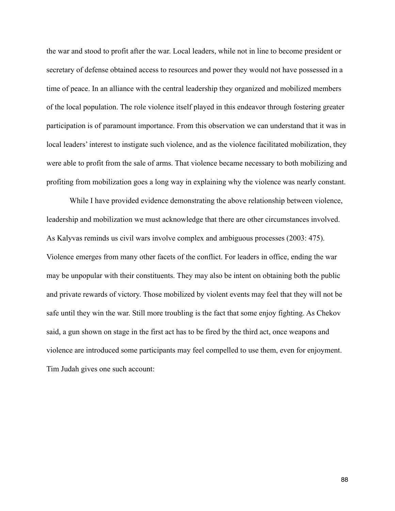the war and stood to profit after the war. Local leaders, while not in line to become president or secretary of defense obtained access to resources and power they would not have possessed in a time of peace. In an alliance with the central leadership they organized and mobilized members of the local population. The role violence itself played in this endeavor through fostering greater participation is of paramount importance. From this observation we can understand that it was in local leaders' interest to instigate such violence, and as the violence facilitated mobilization, they were able to profit from the sale of arms. That violence became necessary to both mobilizing and profiting from mobilization goes a long way in explaining why the violence was nearly constant.

 While I have provided evidence demonstrating the above relationship between violence, leadership and mobilization we must acknowledge that there are other circumstances involved. As Kalyvas reminds us civil wars involve complex and ambiguous processes (2003: 475). Violence emerges from many other facets of the conflict. For leaders in office, ending the war may be unpopular with their constituents. They may also be intent on obtaining both the public and private rewards of victory. Those mobilized by violent events may feel that they will not be safe until they win the war. Still more troubling is the fact that some enjoy fighting. As Chekov said, a gun shown on stage in the first act has to be fired by the third act, once weapons and violence are introduced some participants may feel compelled to use them, even for enjoyment. Tim Judah gives one such account: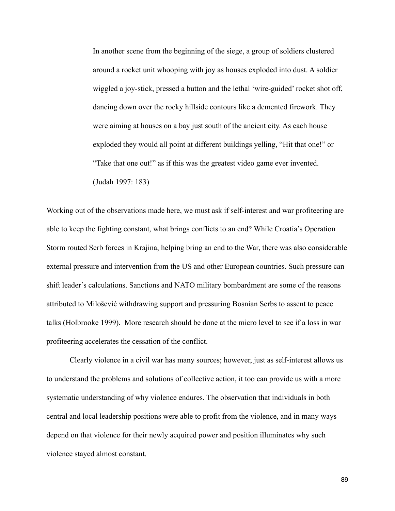In another scene from the beginning of the siege, a group of soldiers clustered around a rocket unit whooping with joy as houses exploded into dust. A soldier wiggled a joy-stick, pressed a button and the lethal 'wire-guided' rocket shot off, dancing down over the rocky hillside contours like a demented firework. They were aiming at houses on a bay just south of the ancient city. As each house exploded they would all point at different buildings yelling, "Hit that one!" or "Take that one out!" as if this was the greatest video game ever invented. (Judah 1997: 183)

Working out of the observations made here, we must ask if self-interest and war profiteering are able to keep the fighting constant, what brings conflicts to an end? While Croatia's Operation Storm routed Serb forces in Krajina, helping bring an end to the War, there was also considerable external pressure and intervention from the US and other European countries. Such pressure can shift leader's calculations. Sanctions and NATO military bombardment are some of the reasons attributed to Milošević withdrawing support and pressuring Bosnian Serbs to assent to peace talks (Holbrooke 1999). More research should be done at the micro level to see if a loss in war profiteering accelerates the cessation of the conflict.

 Clearly violence in a civil war has many sources; however, just as self-interest allows us to understand the problems and solutions of collective action, it too can provide us with a more systematic understanding of why violence endures. The observation that individuals in both central and local leadership positions were able to profit from the violence, and in many ways depend on that violence for their newly acquired power and position illuminates why such violence stayed almost constant.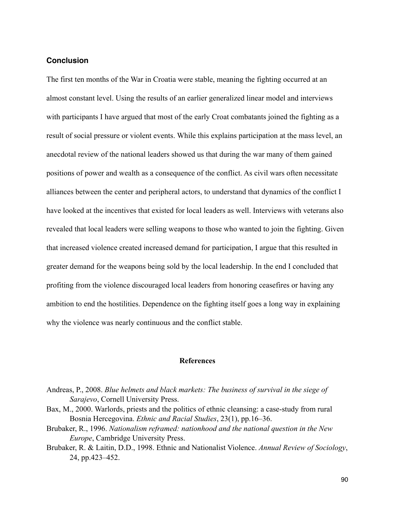## **Conclusion**

The first ten months of the War in Croatia were stable, meaning the fighting occurred at an almost constant level. Using the results of an earlier generalized linear model and interviews with participants I have argued that most of the early Croat combatants joined the fighting as a result of social pressure or violent events. While this explains participation at the mass level, an anecdotal review of the national leaders showed us that during the war many of them gained positions of power and wealth as a consequence of the conflict. As civil wars often necessitate alliances between the center and peripheral actors, to understand that dynamics of the conflict I have looked at the incentives that existed for local leaders as well. Interviews with veterans also revealed that local leaders were selling weapons to those who wanted to join the fighting. Given that increased violence created increased demand for participation, I argue that this resulted in greater demand for the weapons being sold by the local leadership. In the end I concluded that profiting from the violence discouraged local leaders from honoring ceasefires or having any ambition to end the hostilities. Dependence on the fighting itself goes a long way in explaining why the violence was nearly continuous and the conflict stable.

#### **References**

- Bax, M., 2000. Warlords, priests and the politics of ethnic cleansing: a case-study from rural Bosnia Hercegovina. *Ethnic and Racial Studies*, 23(1), pp.16–36.
- Brubaker, R., 1996. *Nationalism reframed: nationhood and the national question in the New Europe*, Cambridge University Press.
- Brubaker, R. & Laitin, D.D., 1998. Ethnic and Nationalist Violence. *Annual Review of Sociology*, 24, pp.423–452.

Andreas, P., 2008. *Blue helmets and black markets: The business of survival in the siege of Sarajevo*, Cornell University Press.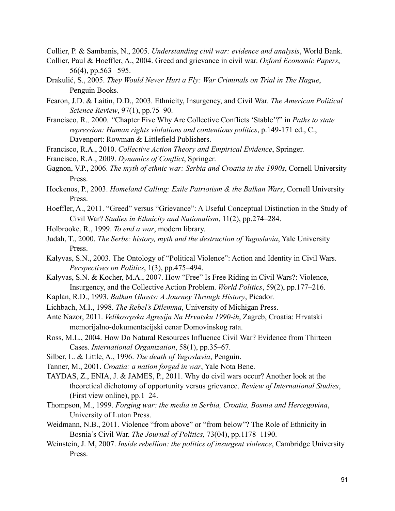Collier, P. & Sambanis, N., 2005. *Understanding civil war: evidence and analysis*, World Bank.

- Collier, Paul & Hoeffler, A., 2004. Greed and grievance in civil war. *Oxford Economic Papers*, 56(4), pp.563 –595.
- Drakulić, S., 2005. *They Would Never Hurt a Fly: War Criminals on Trial in The Hague*, Penguin Books.
- Fearon, J.D. & Laitin, D.D., 2003. Ethnicity, Insurgency, and Civil War. *The American Political Science Review*, 97(1), pp.75–90.
- Francisco, R.*,* 2000. *"*Chapter Five Why Are Collective Conflicts 'Stable'?" in *Paths to state repression: Human rights violations and contentious politics*, p.149-171 ed., C., Davenport: Rowman & Littlefield Publishers.
- Francisco, R.A., 2010. *Collective Action Theory and Empirical Evidence*, Springer.
- Francisco, R.A., 2009. *Dynamics of Conflict*, Springer.
- Gagnon, V.P., 2006. *The myth of ethnic war: Serbia and Croatia in the 1990s*, Cornell University Press.
- Hockenos, P., 2003. *Homeland Calling: Exile Patriotism & the Balkan Wars*, Cornell University Press.
- Hoeffler, A., 2011. "Greed" versus "Grievance": A Useful Conceptual Distinction in the Study of Civil War? *Studies in Ethnicity and Nationalism*, 11(2), pp.274–284.
- Holbrooke, R., 1999. *To end a war*, modern library.
- Judah, T., 2000. *The Serbs: history, myth and the destruction of Yugoslavia*, Yale University Press.
- Kalyvas, S.N., 2003. The Ontology of "Political Violence": Action and Identity in Civil Wars. *Perspectives on Politics*, 1(3), pp.475–494.
- Kalyvas, S.N. & Kocher, M.A., 2007. How "Free" Is Free Riding in Civil Wars?: Violence, Insurgency, and the Collective Action Problem. *World Politics*, 59(2), pp.177–216.
- Kaplan, R.D., 1993. *Balkan Ghosts: A Journey Through History*, Picador.
- Lichbach, M.I., 1998. *The Rebel's Dilemma*, University of Michigan Press.
- Ante Nazor, 2011. *Velikosrpska Agresija Na Hrvatsku 1990-ih*, Zagreb, Croatia: Hrvatski memorijalno-dokumentacijski cenar Domovinskog rata.
- Ross, M.L., 2004. How Do Natural Resources Influence Civil War? Evidence from Thirteen Cases. *International Organization*, 58(1), pp.35–67.
- Silber, L. & Little, A., 1996. *The death of Yugoslavia*, Penguin.
- Tanner, M., 2001. *Croatia: a nation forged in war*, Yale Nota Bene.
- TAYDAS, Z., ENIA, J. & JAMES, P., 2011. Why do civil wars occur? Another look at the theoretical dichotomy of opportunity versus grievance. *Review of International Studies*, (First view online), pp.1–24.
- Thompson, M., 1999. *Forging war: the media in Serbia, Croatia, Bosnia and Hercegovina*, University of Luton Press.
- Weidmann, N.B., 2011. Violence "from above" or "from below"? The Role of Ethnicity in Bosnia's Civil War. *The Journal of Politics*, 73(04), pp.1178–1190.
- Weinstein, J. M, 2007. *Inside rebellion: the politics of insurgent violence*, Cambridge University Press.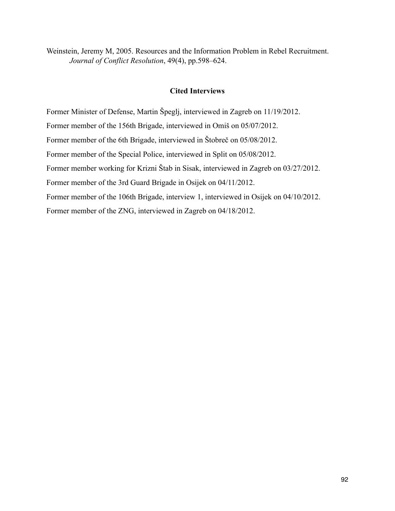Weinstein, Jeremy M, 2005. Resources and the Information Problem in Rebel Recruitment. *Journal of Conflict Resolution*, 49(4), pp.598–624.

# **Cited Interviews**

Former Minister of Defense, Martin Špeglj, interviewed in Zagreb on 11/19/2012. Former member of the 156th Brigade, interviewed in Omiš on 05/07/2012. Former member of the 6th Brigade, interviewed in Štobreč on 05/08/2012. Former member of the Special Police, interviewed in Split on 05/08/2012. Former member working for Krizni Štab in Sisak, interviewed in Zagreb on 03/27/2012. Former member of the 3rd Guard Brigade in Osijek on 04/11/2012. Former member of the 106th Brigade, interview 1, interviewed in Osijek on 04/10/2012. Former member of the ZNG, interviewed in Zagreb on 04/18/2012.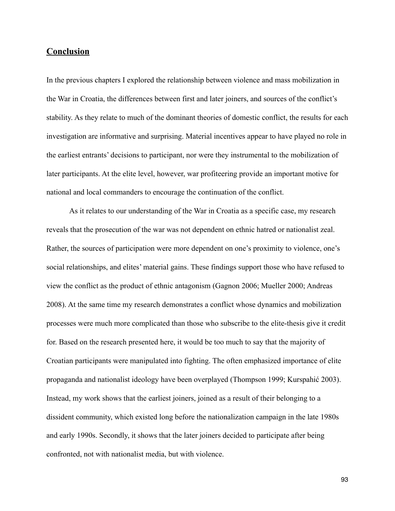## **Conclusion**

In the previous chapters I explored the relationship between violence and mass mobilization in the War in Croatia, the differences between first and later joiners, and sources of the conflict's stability. As they relate to much of the dominant theories of domestic conflict, the results for each investigation are informative and surprising. Material incentives appear to have played no role in the earliest entrants' decisions to participant, nor were they instrumental to the mobilization of later participants. At the elite level, however, war profiteering provide an important motive for national and local commanders to encourage the continuation of the conflict.

 As it relates to our understanding of the War in Croatia as a specific case, my research reveals that the prosecution of the war was not dependent on ethnic hatred or nationalist zeal. Rather, the sources of participation were more dependent on one's proximity to violence, one's social relationships, and elites' material gains. These findings support those who have refused to view the conflict as the product of ethnic antagonism (Gagnon 2006; Mueller 2000; Andreas 2008). At the same time my research demonstrates a conflict whose dynamics and mobilization processes were much more complicated than those who subscribe to the elite-thesis give it credit for. Based on the research presented here, it would be too much to say that the majority of Croatian participants were manipulated into fighting. The often emphasized importance of elite propaganda and nationalist ideology have been overplayed (Thompson 1999; Kurspahić 2003). Instead, my work shows that the earliest joiners, joined as a result of their belonging to a dissident community, which existed long before the nationalization campaign in the late 1980s and early 1990s. Secondly, it shows that the later joiners decided to participate after being confronted, not with nationalist media, but with violence.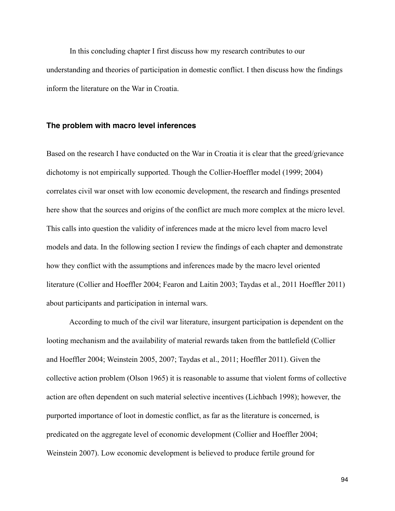In this concluding chapter I first discuss how my research contributes to our understanding and theories of participation in domestic conflict. I then discuss how the findings inform the literature on the War in Croatia.

### **The problem with macro level inferences**

Based on the research I have conducted on the War in Croatia it is clear that the greed/grievance dichotomy is not empirically supported. Though the Collier-Hoeffler model (1999; 2004) correlates civil war onset with low economic development, the research and findings presented here show that the sources and origins of the conflict are much more complex at the micro level. This calls into question the validity of inferences made at the micro level from macro level models and data. In the following section I review the findings of each chapter and demonstrate how they conflict with the assumptions and inferences made by the macro level oriented literature (Collier and Hoeffler 2004; Fearon and Laitin 2003; Taydas et al., 2011 Hoeffler 2011) about participants and participation in internal wars.

 According to much of the civil war literature, insurgent participation is dependent on the looting mechanism and the availability of material rewards taken from the battlefield (Collier and Hoeffler 2004; Weinstein 2005, 2007; Taydas et al., 2011; Hoeffler 2011). Given the collective action problem (Olson 1965) it is reasonable to assume that violent forms of collective action are often dependent on such material selective incentives (Lichbach 1998); however, the purported importance of loot in domestic conflict, as far as the literature is concerned, is predicated on the aggregate level of economic development (Collier and Hoeffler 2004; Weinstein 2007). Low economic development is believed to produce fertile ground for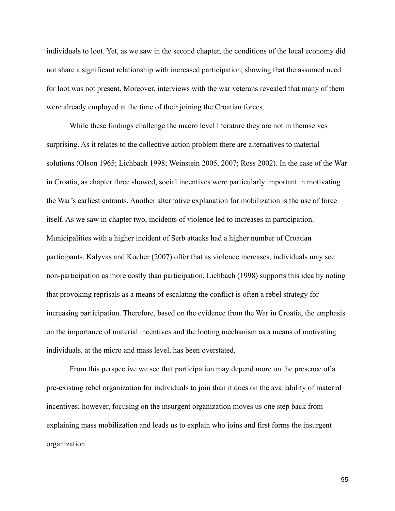individuals to loot. Yet, as we saw in the second chapter, the conditions of the local economy did not share a significant relationship with increased participation, showing that the assumed need for loot was not present. Moreover, interviews with the war veterans revealed that many of them were already employed at the time of their joining the Croatian forces.

 While these findings challenge the macro level literature they are not in themselves surprising. As it relates to the collective action problem there are alternatives to material solutions (Olson 1965; Lichbach 1998; Weinstein 2005, 2007; Ross 2002). In the case of the War in Croatia, as chapter three showed, social incentives were particularly important in motivating the War's earliest entrants. Another alternative explanation for mobilization is the use of force itself. As we saw in chapter two, incidents of violence led to increases in participation. Municipalities with a higher incident of Serb attacks had a higher number of Croatian participants. Kalyvas and Kocher (2007) offer that as violence increases, individuals may see non-participation as more costly than participation. Lichbach (1998) supports this idea by noting that provoking reprisals as a means of escalating the conflict is often a rebel strategy for increasing participation. Therefore, based on the evidence from the War in Croatia, the emphasis on the importance of material incentives and the looting mechanism as a means of motivating individuals, at the micro and mass level, has been overstated.

 From this perspective we see that participation may depend more on the presence of a pre-existing rebel organization for individuals to join than it does on the availability of material incentives; however, focusing on the insurgent organization moves us one step back from explaining mass mobilization and leads us to explain who joins and first forms the insurgent organization.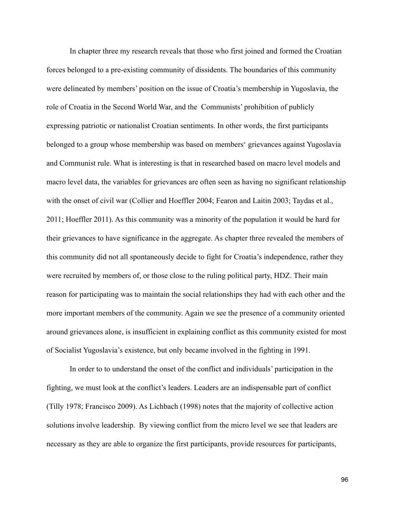In chapter three my research reveals that those who first joined and formed the Croatian forces belonged to a pre-existing community of dissidents. The boundaries of this community were delineated by members' position on the issue of Croatia's membership in Yugoslavia, the role of Croatia in the Second World War, and the Communists' prohibition of publicly expressing patriotic or nationalist Croatian sentiments. In other words, the first participants belonged to a group whose membership was based on members' grievances against Yugoslavia and Communist rule. What is interesting is that in researched based on macro level models and macro level data, the variables for grievances are often seen as having no significant relationship with the onset of civil war (Collier and Hoeffler 2004; Fearon and Laitin 2003; Taydas et al., 2011; Hoeffler 2011). As this community was a minority of the population it would be hard for their grievances to have significance in the aggregate. As chapter three revealed the members of this community did not all spontaneously decide to fight for Croatia's independence, rather they were recruited by members of, or those close to the ruling political party, HDZ. Their main reason for participating was to maintain the social relationships they had with each other and the more important members of the community. Again we see the presence of a community oriented around grievances alone, is insufficient in explaining conflict as this community existed for most of Socialist Yugoslavia's existence, but only became involved in the fighting in 1991.

 In order to to understand the onset of the conflict and individuals' participation in the fighting, we must look at the conflict's leaders. Leaders are an indispensable part of conflict (Tilly 1978; Francisco 2009). As Lichbach (1998) notes that the majority of collective action solutions involve leadership. By viewing conflict from the micro level we see that leaders are necessary as they are able to organize the first participants, provide resources for participants,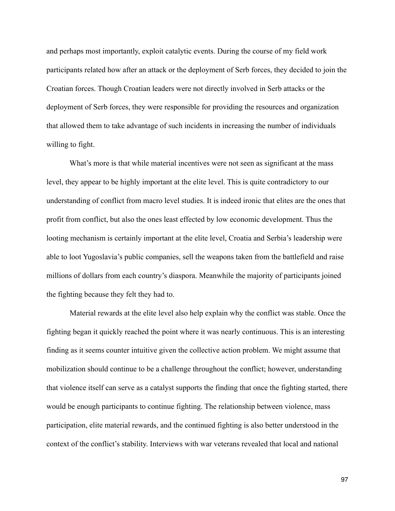and perhaps most importantly, exploit catalytic events. During the course of my field work participants related how after an attack or the deployment of Serb forces, they decided to join the Croatian forces. Though Croatian leaders were not directly involved in Serb attacks or the deployment of Serb forces, they were responsible for providing the resources and organization that allowed them to take advantage of such incidents in increasing the number of individuals willing to fight.

What's more is that while material incentives were not seen as significant at the mass level, they appear to be highly important at the elite level. This is quite contradictory to our understanding of conflict from macro level studies. It is indeed ironic that elites are the ones that profit from conflict, but also the ones least effected by low economic development. Thus the looting mechanism is certainly important at the elite level, Croatia and Serbia's leadership were able to loot Yugoslavia's public companies, sell the weapons taken from the battlefield and raise millions of dollars from each country's diaspora. Meanwhile the majority of participants joined the fighting because they felt they had to.

 Material rewards at the elite level also help explain why the conflict was stable. Once the fighting began it quickly reached the point where it was nearly continuous. This is an interesting finding as it seems counter intuitive given the collective action problem. We might assume that mobilization should continue to be a challenge throughout the conflict; however, understanding that violence itself can serve as a catalyst supports the finding that once the fighting started, there would be enough participants to continue fighting. The relationship between violence, mass participation, elite material rewards, and the continued fighting is also better understood in the context of the conflict's stability. Interviews with war veterans revealed that local and national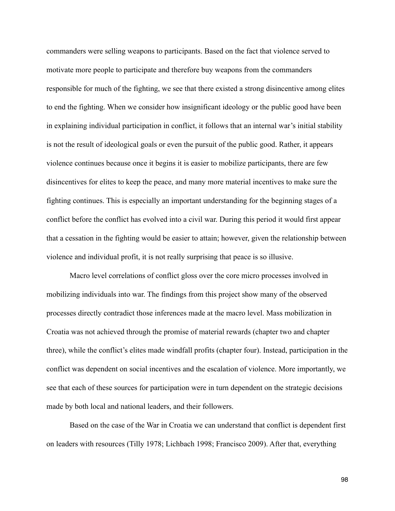commanders were selling weapons to participants. Based on the fact that violence served to motivate more people to participate and therefore buy weapons from the commanders responsible for much of the fighting, we see that there existed a strong disincentive among elites to end the fighting. When we consider how insignificant ideology or the public good have been in explaining individual participation in conflict, it follows that an internal war's initial stability is not the result of ideological goals or even the pursuit of the public good. Rather, it appears violence continues because once it begins it is easier to mobilize participants, there are few disincentives for elites to keep the peace, and many more material incentives to make sure the fighting continues. This is especially an important understanding for the beginning stages of a conflict before the conflict has evolved into a civil war. During this period it would first appear that a cessation in the fighting would be easier to attain; however, given the relationship between violence and individual profit, it is not really surprising that peace is so illusive.

 Macro level correlations of conflict gloss over the core micro processes involved in mobilizing individuals into war. The findings from this project show many of the observed processes directly contradict those inferences made at the macro level. Mass mobilization in Croatia was not achieved through the promise of material rewards (chapter two and chapter three), while the conflict's elites made windfall profits (chapter four). Instead, participation in the conflict was dependent on social incentives and the escalation of violence. More importantly, we see that each of these sources for participation were in turn dependent on the strategic decisions made by both local and national leaders, and their followers.

 Based on the case of the War in Croatia we can understand that conflict is dependent first on leaders with resources (Tilly 1978; Lichbach 1998; Francisco 2009). After that, everything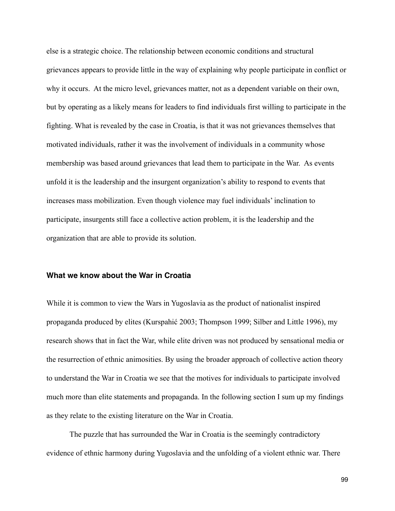else is a strategic choice. The relationship between economic conditions and structural grievances appears to provide little in the way of explaining why people participate in conflict or why it occurs. At the micro level, grievances matter, not as a dependent variable on their own, but by operating as a likely means for leaders to find individuals first willing to participate in the fighting. What is revealed by the case in Croatia, is that it was not grievances themselves that motivated individuals, rather it was the involvement of individuals in a community whose membership was based around grievances that lead them to participate in the War. As events unfold it is the leadership and the insurgent organization's ability to respond to events that increases mass mobilization. Even though violence may fuel individuals' inclination to participate, insurgents still face a collective action problem, it is the leadership and the organization that are able to provide its solution.

#### **What we know about the War in Croatia**

While it is common to view the Wars in Yugoslavia as the product of nationalist inspired propaganda produced by elites (Kurspahić 2003; Thompson 1999; Silber and Little 1996), my research shows that in fact the War, while elite driven was not produced by sensational media or the resurrection of ethnic animosities. By using the broader approach of collective action theory to understand the War in Croatia we see that the motives for individuals to participate involved much more than elite statements and propaganda. In the following section I sum up my findings as they relate to the existing literature on the War in Croatia.

 The puzzle that has surrounded the War in Croatia is the seemingly contradictory evidence of ethnic harmony during Yugoslavia and the unfolding of a violent ethnic war. There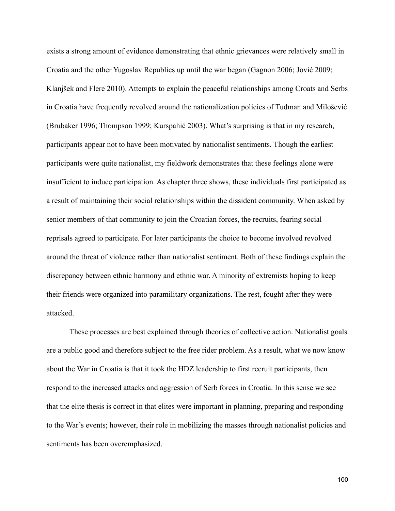exists a strong amount of evidence demonstrating that ethnic grievances were relatively small in Croatia and the other Yugoslav Republics up until the war began (Gagnon 2006; Jović 2009; Klanjšek and Flere 2010). Attempts to explain the peaceful relationships among Croats and Serbs in Croatia have frequently revolved around the nationalization policies of Tuđman and Milošević (Brubaker 1996; Thompson 1999; Kurspahić 2003). What's surprising is that in my research, participants appear not to have been motivated by nationalist sentiments. Though the earliest participants were quite nationalist, my fieldwork demonstrates that these feelings alone were insufficient to induce participation. As chapter three shows, these individuals first participated as a result of maintaining their social relationships within the dissident community. When asked by senior members of that community to join the Croatian forces, the recruits, fearing social reprisals agreed to participate. For later participants the choice to become involved revolved around the threat of violence rather than nationalist sentiment. Both of these findings explain the discrepancy between ethnic harmony and ethnic war. A minority of extremists hoping to keep their friends were organized into paramilitary organizations. The rest, fought after they were attacked.

 These processes are best explained through theories of collective action. Nationalist goals are a public good and therefore subject to the free rider problem. As a result, what we now know about the War in Croatia is that it took the HDZ leadership to first recruit participants, then respond to the increased attacks and aggression of Serb forces in Croatia. In this sense we see that the elite thesis is correct in that elites were important in planning, preparing and responding to the War's events; however, their role in mobilizing the masses through nationalist policies and sentiments has been overemphasized.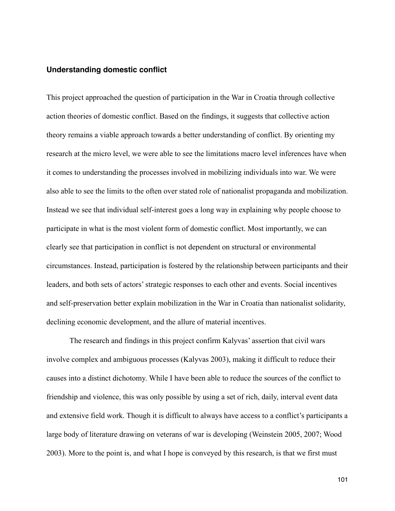### **Understanding domestic conflict**

This project approached the question of participation in the War in Croatia through collective action theories of domestic conflict. Based on the findings, it suggests that collective action theory remains a viable approach towards a better understanding of conflict. By orienting my research at the micro level, we were able to see the limitations macro level inferences have when it comes to understanding the processes involved in mobilizing individuals into war. We were also able to see the limits to the often over stated role of nationalist propaganda and mobilization. Instead we see that individual self-interest goes a long way in explaining why people choose to participate in what is the most violent form of domestic conflict. Most importantly, we can clearly see that participation in conflict is not dependent on structural or environmental circumstances. Instead, participation is fostered by the relationship between participants and their leaders, and both sets of actors' strategic responses to each other and events. Social incentives and self-preservation better explain mobilization in the War in Croatia than nationalist solidarity, declining economic development, and the allure of material incentives.

 The research and findings in this project confirm Kalyvas' assertion that civil wars involve complex and ambiguous processes (Kalyvas 2003), making it difficult to reduce their causes into a distinct dichotomy. While I have been able to reduce the sources of the conflict to friendship and violence, this was only possible by using a set of rich, daily, interval event data and extensive field work. Though it is difficult to always have access to a conflict's participants a large body of literature drawing on veterans of war is developing (Weinstein 2005, 2007; Wood 2003). More to the point is, and what I hope is conveyed by this research, is that we first must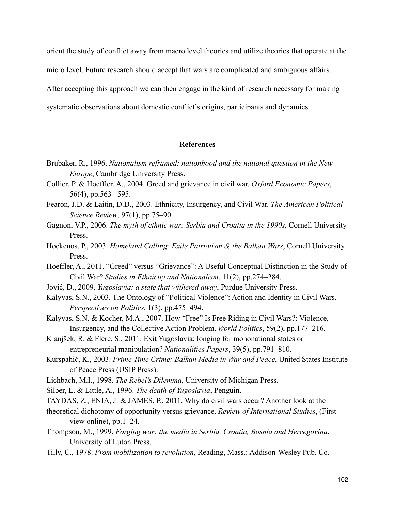orient the study of conflict away from macro level theories and utilize theories that operate at the micro level. Future research should accept that wars are complicated and ambiguous affairs.

After accepting this approach we can then engage in the kind of research necessary for making

systematic observations about domestic conflict's origins, participants and dynamics.

#### **References**

- Brubaker, R., 1996. *Nationalism reframed: nationhood and the national question in the New Europe*, Cambridge University Press.
- Collier, P. & Hoeffler, A., 2004. Greed and grievance in civil war. *Oxford Economic Papers*, 56(4), pp.563 –595.
- Fearon, J.D. & Laitin, D.D., 2003. Ethnicity, Insurgency, and Civil War. *The American Political Science Review*, 97(1), pp.75–90.
- Gagnon, V.P., 2006. *The myth of ethnic war: Serbia and Croatia in the 1990s*, Cornell University **Press**.
- Hockenos, P., 2003. *Homeland Calling: Exile Patriotism & the Balkan Wars*, Cornell University Press.
- Hoeffler, A., 2011. "Greed" versus "Grievance": A Useful Conceptual Distinction in the Study of Civil War? *Studies in Ethnicity and Nationalism*, 11(2), pp.274–284.
- Jović, D., 2009. *Yugoslavia: a state that withered away*, Purdue University Press.
- Kalyvas, S.N., 2003. The Ontology of "Political Violence": Action and Identity in Civil Wars. *Perspectives on Politics*, 1(3), pp.475–494.
- Kalyvas, S.N. & Kocher, M.A., 2007. How "Free" Is Free Riding in Civil Wars?: Violence, Insurgency, and the Collective Action Problem. *World Politics*, 59(2), pp.177–216.
- Klanjšek, R. & Flere, S., 2011. Exit Yugoslavia: longing for mononational states or entrepreneurial manipulation? *Nationalities Papers*, 39(5), pp.791–810.
- Kurspahić, K., 2003. *Prime Time Crime: Balkan Media in War and Peace*, United States Institute of Peace Press (USIP Press).
- Lichbach, M.I., 1998. *The Rebel's Dilemma*, University of Michigan Press.
- Silber, L. & Little, A., 1996. *The death of Yugoslavia*, Penguin.
- TAYDAS, Z., ENIA, J. & JAMES, P., 2011. Why do civil wars occur? Another look at the
- theoretical dichotomy of opportunity versus grievance. *Review of International Studies*, (First view online), pp.1–24.
- Thompson, M., 1999. *Forging war: the media in Serbia, Croatia, Bosnia and Hercegovina*, University of Luton Press.
- Tilly, C., 1978. *From mobilization to revolution*, Reading, Mass.: Addison-Wesley Pub. Co.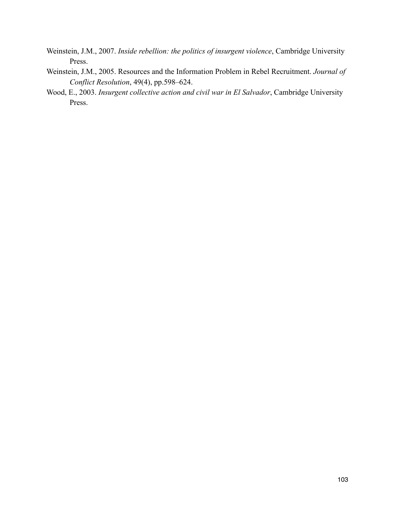- Weinstein, J.M., 2007. *Inside rebellion: the politics of insurgent violence*, Cambridge University Press.
- Weinstein, J.M., 2005. Resources and the Information Problem in Rebel Recruitment. *Journal of Conflict Resolution*, 49(4), pp.598–624.
- Wood, E., 2003. *Insurgent collective action and civil war in El Salvador*, Cambridge University Press.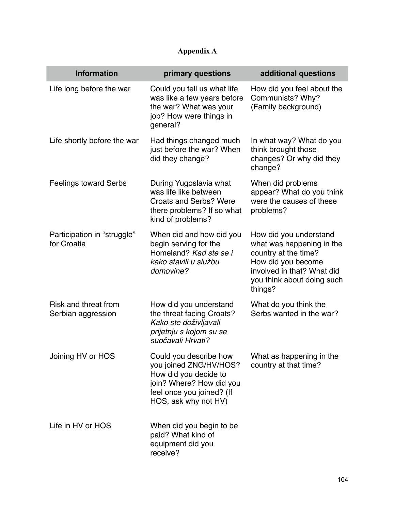## **Appendix A**

| <b>Information</b>                         | primary questions                                                                                                                                          | additional questions                                                                                                                                                     |
|--------------------------------------------|------------------------------------------------------------------------------------------------------------------------------------------------------------|--------------------------------------------------------------------------------------------------------------------------------------------------------------------------|
| Life long before the war                   | Could you tell us what life<br>was like a few years before<br>the war? What was your<br>job? How were things in<br>general?                                | How did you feel about the<br>Communists? Why?<br>(Family background)                                                                                                    |
| Life shortly before the war                | Had things changed much<br>just before the war? When<br>did they change?                                                                                   | In what way? What do you<br>think brought those<br>changes? Or why did they<br>change?                                                                                   |
| <b>Feelings toward Serbs</b>               | During Yugoslavia what<br>was life like between<br><b>Croats and Serbs? Were</b><br>there problems? If so what<br>kind of problems?                        | When did problems<br>appear? What do you think<br>were the causes of these<br>problems?                                                                                  |
| Participation in "struggle"<br>for Croatia | When did and how did you<br>begin serving for the<br>Homeland? Kad ste se i<br>kako stavili u službu<br>domovine?                                          | How did you understand<br>what was happening in the<br>country at the time?<br>How did you become<br>involved in that? What did<br>you think about doing such<br>things? |
| Risk and threat from<br>Serbian aggression | How did you understand<br>the threat facing Croats?<br>Kako ste doživljavali<br>prijetnju s kojom su se<br>suočavali Hrvati?                               | What do you think the<br>Serbs wanted in the war?                                                                                                                        |
| Joining HV or HOS                          | Could you describe how<br>you joined ZNG/HV/HOS?<br>How did you decide to<br>join? Where? How did you<br>feel once you joined? (If<br>HOS, ask why not HV) | What as happening in the<br>country at that time?                                                                                                                        |
| Life in HV or HOS                          | When did you begin to be<br>paid? What kind of<br>equipment did you<br>receive?                                                                            |                                                                                                                                                                          |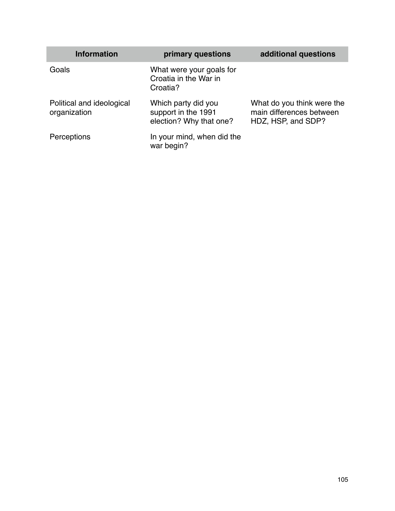| <b>Information</b>                        | primary questions                                                     | additional questions                                                         |
|-------------------------------------------|-----------------------------------------------------------------------|------------------------------------------------------------------------------|
| Goals                                     | What were your goals for<br>Croatia in the War in<br>Croatia?         |                                                                              |
| Political and ideological<br>organization | Which party did you<br>support in the 1991<br>election? Why that one? | What do you think were the<br>main differences between<br>HDZ, HSP, and SDP? |
| Perceptions                               | In your mind, when did the<br>war begin?                              |                                                                              |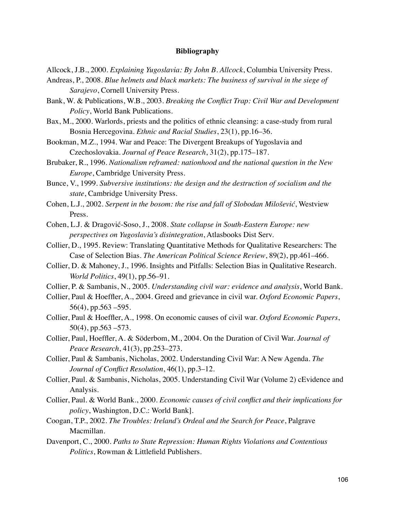## **Bibliography**

- Allcock, J.B., 2000. *Explaining Yugoslavia: By John B. Allcock*, Columbia University Press.
- Andreas, P., 2008. *Blue helmets and black markets: The business of survival in the siege of Sarajevo*, Cornell University Press.
- Bank, W. & Publications, W.B., 2003. *Breaking the Conflict Trap: Civil War and Development Policy*, World Bank Publications.
- Bax, M., 2000. Warlords, priests and the politics of ethnic cleansing: a case-study from rural Bosnia Hercegovina. *Ethnic and Racial Studies*, 23(1), pp.16–36.
- Bookman, M.Z., 1994. War and Peace: The Divergent Breakups of Yugoslavia and Czechoslovakia. *Journal of Peace Research*, 31(2), pp.175–187.
- Brubaker, R., 1996. *Nationalism reframed: nationhood and the national question in the New Europe*, Cambridge University Press.
- Bunce, V., 1999. *Subversive institutions: the design and the destruction of socialism and the state*, Cambridge University Press.
- Cohen, L.J., 2002. *Serpent in the bosom: the rise and fall of Slobodan Milošević*, Westview Press.
- Cohen, L.J. & Dragović-Soso, J., 2008. *State collapse in South-Eastern Europe: new perspectives on Yugoslavia's disintegration*, Atlasbooks Dist Serv.
- Collier, D., 1995. Review: Translating Quantitative Methods for Qualitative Researchers: The Case of Selection Bias. *The American Political Science Review*, 89(2), pp.461–466.
- Collier, D. & Mahoney, J., 1996. Insights and Pitfalls: Selection Bias in Qualitative Research. *World Politics*, 49(1), pp.56–91.
- Collier, P. & Sambanis, N., 2005. *Understanding civil war: evidence and analysis*, World Bank.
- Collier, Paul & Hoeffler, A., 2004. Greed and grievance in civil war. *Oxford Economic Papers*, 56(4), pp.563 –595.
- Collier, Paul & Hoeffler, A., 1998. On economic causes of civil war. *Oxford Economic Papers*,  $50(4)$ , pp.563  $-573$ .
- Collier, Paul, Hoeffler, A. & Söderbom, M., 2004. On the Duration of Civil War. *Journal of Peace Research*, 41(3), pp.253–273.
- Collier, Paul & Sambanis, Nicholas, 2002. Understanding Civil War: A New Agenda. *The Journal of Conflict Resolution*, 46(1), pp.3–12.
- Collier, Paul. & Sambanis, Nicholas, 2005. Understanding Civil War (Volume 2) cEvidence and Analysis.
- Collier, Paul. & World Bank., 2000. *Economic causes of civil conflict and their implications for policy*, Washington, D.C.: World Bank].
- Coogan, T.P., 2002. *The Troubles: Ireland's Ordeal and the Search for Peace*, Palgrave Macmillan.
- Davenport, C., 2000. *Paths to State Repression: Human Rights Violations and Contentious Politics*, Rowman & Littlefield Publishers.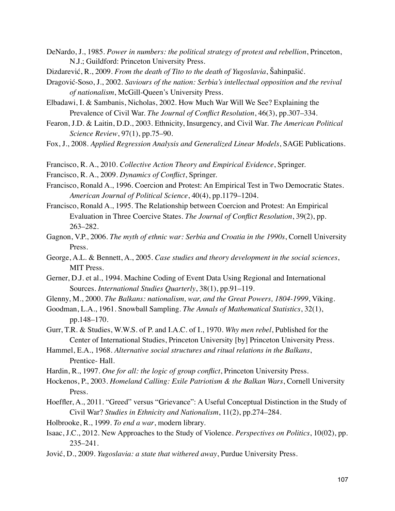- DeNardo, J., 1985. *Power in numbers: the political strategy of protest and rebellion*, Princeton, N.J.; Guildford: Princeton University Press.
- Dizdarević, R., 2009. *From the death of Tito to the death of Yugoslavia*, Šahinpašić.
- Dragović-Soso, J., 2002. *Saviours of the nation: Serbia's intellectual opposition and the revival of nationalism*, McGill-Queen's University Press.
- Elbadawi, I. & Sambanis, Nicholas, 2002. How Much War Will We See? Explaining the Prevalence of Civil War. *The Journal of Conflict Resolution*, 46(3), pp.307–334.
- Fearon, J.D. & Laitin, D.D., 2003. Ethnicity, Insurgency, and Civil War. *The American Political Science Review*, 97(1), pp.75–90.
- Fox, J., 2008. *Applied Regression Analysis and Generalized Linear Models*, SAGE Publications.
- Francisco, R. A., 2010. *Collective Action Theory and Empirical Evidence*, Springer.
- Francisco, R. A., 2009. *Dynamics of Conflict*, Springer.
- Francisco, Ronald A., 1996. Coercion and Protest: An Empirical Test in Two Democratic States. *American Journal of Political Science*, 40(4), pp.1179–1204.
- Francisco, Ronald A., 1995. The Relationship between Coercion and Protest: An Empirical Evaluation in Three Coercive States. *The Journal of Conflict Resolution*, 39(2), pp. 263–282.
- Gagnon, V.P., 2006. *The myth of ethnic war: Serbia and Croatia in the 1990s*, Cornell University Press.
- George, A.L. & Bennett, A., 2005. *Case studies and theory development in the social sciences*, MIT Press.
- Gerner, D.J. et al., 1994. Machine Coding of Event Data Using Regional and International Sources. *International Studies Quarterly*, 38(1), pp.91–119.
- Glenny, M., 2000. *The Balkans: nationalism, war, and the Great Powers, 1804-1999*, Viking.
- Goodman, L.A., 1961. Snowball Sampling. *The Annals of Mathematical Statistics*, 32(1), pp.148–170.
- Gurr, T.R. & Studies, W.W.S. of P. and I.A.C. of I., 1970. *Why men rebel*, Published for the Center of International Studies, Princeton University [by] Princeton University Press.
- Hammel, E.A., 1968. *Alternative social structures and ritual relations in the Balkans*, Prentice- Hall.
- Hardin, R., 1997. *One for all: the logic of group conflict*, Princeton University Press.
- Hockenos, P., 2003. *Homeland Calling: Exile Patriotism & the Balkan Wars*, Cornell University Press.
- Hoeffler, A., 2011. "Greed" versus "Grievance": A Useful Conceptual Distinction in the Study of Civil War? *Studies in Ethnicity and Nationalism*, 11(2), pp.274–284.
- Holbrooke, R., 1999. *To end a war*, modern library.
- Isaac, J.C., 2012. New Approaches to the Study of Violence. *Perspectives on Politics*, 10(02), pp. 235–241.
- Jović, D., 2009. *Yugoslavia: a state that withered away*, Purdue University Press.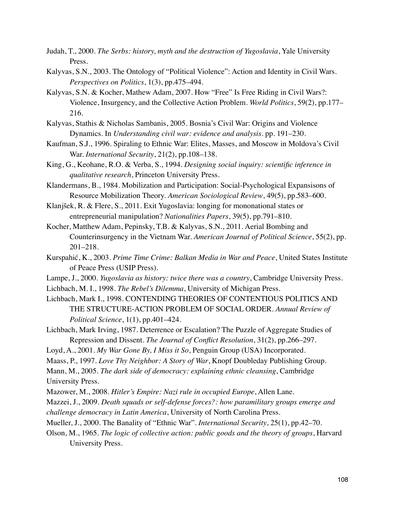- Judah, T., 2000. *The Serbs: history, myth and the destruction of Yugoslavia*, Yale University Press.
- Kalyvas, S.N., 2003. The Ontology of "Political Violence": Action and Identity in Civil Wars. *Perspectives on Politics*, 1(3), pp.475–494.
- Kalyvas, S.N. & Kocher, Mathew Adam, 2007. How "Free" Is Free Riding in Civil Wars?: Violence, Insurgency, and the Collective Action Problem. *World Politics*, 59(2), pp.177– 216.
- Kalyvas, Stathis & Nicholas Sambanis, 2005. Bosnia's Civil War: Origins and Violence Dynamics. In *Understanding civil war: evidence and analysis*. pp. 191–230.
- Kaufman, S.J., 1996. Spiraling to Ethnic War: Elites, Masses, and Moscow in Moldova's Civil War. *International Security*, 21(2), pp.108–138.
- King, G., Keohane, R.O. & Verba, S., 1994. *Designing social inquiry: scientific inference in qualitative research*, Princeton University Press.
- Klandermans, B., 1984. Mobilization and Participation: Social-Psychological Expansisons of Resource Mobilization Theory. *American Sociological Review*, 49(5), pp.583–600.
- Klanjšek, R. & Flere, S., 2011. Exit Yugoslavia: longing for mononational states or entrepreneurial manipulation? *Nationalities Papers*, 39(5), pp.791–810.
- Kocher, Matthew Adam, Pepinsky, T.B. & Kalyvas, S.N., 2011. Aerial Bombing and Counterinsurgency in the Vietnam War. *American Journal of Political Science*, 55(2), pp. 201–218.
- Kurspahić, K., 2003. *Prime Time Crime: Balkan Media in War and Peace*, United States Institute of Peace Press (USIP Press).
- Lampe, J., 2000. *Yugoslavia as history: twice there was a country*, Cambridge University Press.
- Lichbach, M. I., 1998. *The Rebel's Dilemma*, University of Michigan Press.
- Lichbach, Mark I., 1998. CONTENDING THEORIES OF CONTENTIOUS POLITICS AND THE STRUCTURE-ACTION PROBLEM OF SOCIAL ORDER. *Annual Review of Political Science*, 1(1), pp.401–424.
- Lichbach, Mark Irving, 1987. Deterrence or Escalation? The Puzzle of Aggregate Studies of Repression and Dissent. *The Journal of Conflict Resolution*, 31(2), pp.266–297.
- Loyd, A., 2001. *My War Gone By, I Miss it So*, Penguin Group (USA) Incorporated.
- Maass, P., 1997. *Love Thy Neighbor: A Story of War*, Knopf Doubleday Publishing Group.
- Mann, M., 2005. *The dark side of democracy: explaining ethnic cleansing*, Cambridge University Press.
- Mazower, M., 2008. *Hitler's Empire: Nazi rule in occupied Europe*, Allen Lane.

Mazzei, J., 2009. *Death squads or self-defense forces?: how paramilitary groups emerge and challenge democracy in Latin America*, University of North Carolina Press.

- Mueller, J., 2000. The Banality of "Ethnic War". *International Security*, 25(1), pp.42–70.
- Olson, M., 1965. *The logic of collective action: public goods and the theory of groups*, Harvard University Press.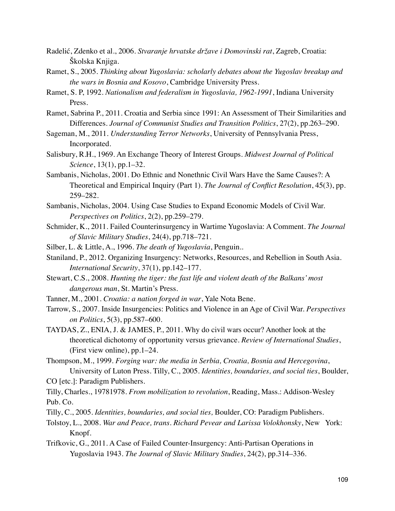- Radelić, Zdenko et al., 2006. *Stvaranje hrvatske države i Domovinski rat*, Zagreb, Croatia: Školska Knjiga.
- Ramet, S., 2005. *Thinking about Yugoslavia: scholarly debates about the Yugoslav breakup and the wars in Bosnia and Kosovo*, Cambridge University Press.
- Ramet, S. P, 1992. *Nationalism and federalism in Yugoslavia, 1962-1991*, Indiana University Press.
- Ramet, Sabrina P., 2011. Croatia and Serbia since 1991: An Assessment of Their Similarities and Differences. *Journal of Communist Studies and Transition Politics*, 27(2), pp.263–290.
- Sageman, M., 2011. *Understanding Terror Networks*, University of Pennsylvania Press, Incorporated.
- Salisbury, R.H., 1969. An Exchange Theory of Interest Groups. *Midwest Journal of Political Science*, 13(1), pp.1–32.
- Sambanis, Nicholas, 2001. Do Ethnic and Nonethnic Civil Wars Have the Same Causes?: A Theoretical and Empirical Inquiry (Part 1). *The Journal of Conflict Resolution*, 45(3), pp. 259–282.
- Sambanis, Nicholas, 2004. Using Case Studies to Expand Economic Models of Civil War. *Perspectives on Politics*, 2(2), pp.259–279.
- Schmider, K., 2011. Failed Counterinsurgency in Wartime Yugoslavia: A Comment. *The Journal of Slavic Military Studies*, 24(4), pp.718–721.
- Silber, L. & Little, A., 1996. *The death of Yugoslavia*, Penguin..
- Staniland, P., 2012. Organizing Insurgency: Networks, Resources, and Rebellion in South Asia. *International Security*, 37(1), pp.142–177.
- Stewart, C.S., 2008. *Hunting the tiger: the fast life and violent death of the Balkans' most dangerous man*, St. Martin's Press.
- Tanner, M., 2001. *Croatia: a nation forged in war*, Yale Nota Bene.
- Tarrow, S., 2007. Inside Insurgencies: Politics and Violence in an Age of Civil War. *Perspectives on Politics*, 5(3), pp.587–600.
- TAYDAS, Z., ENIA, J. & JAMES, P., 2011. Why do civil wars occur? Another look at the theoretical dichotomy of opportunity versus grievance. *Review of International Studies*, (First view online), pp.1–24.
- Thompson, M., 1999. *Forging war: the media in Serbia, Croatia, Bosnia and Hercegovina*, University of Luton Press. Tilly, C., 2005. *Identities, boundaries, and social ties*, Boulder,
- CO [etc.]: Paradigm Publishers.

Tilly, Charles., 19781978. *From mobilization to revolution*, Reading, Mass.: Addison-Wesley Pub. Co.

- Tilly, C., 2005. *Identities, boundaries, and social ties,* Boulder, CO: Paradigm Publishers.
- Tolstoy, L., 2008. *War and Peace, trans. Richard Pevear and Larissa Volokhonsky*, New York: Knopf.
- Trifkovic, G., 2011. A Case of Failed Counter-Insurgency: Anti-Partisan Operations in Yugoslavia 1943. *The Journal of Slavic Military Studies*, 24(2), pp.314–336.